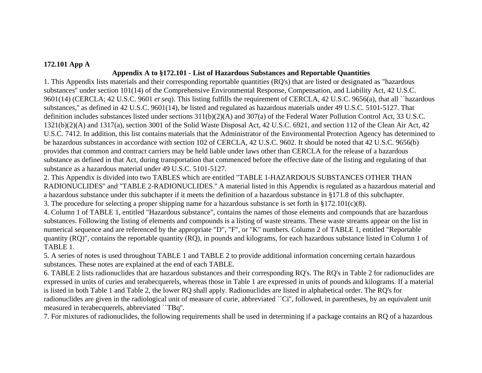### **172.101 App A**

# **Appendix A to §172.101 - List of Hazardous Substances and Reportable Quantities**

1. This Appendix lists materials and their corresponding reportable quantities (RQ's) that are listed or designated as "hazardous substances'' under section 101(14) of the Comprehensive Environmental Response, Compensation, and Liability Act, 42 U.S.C. 9601(14) (CERCLA; 42 U.S.C. 9601 *et seq*). This listing fulfills the requirement of CERCLA, 42 U.S.C. 9656(a), that all ``hazardous substances,'' as defined in 42 U.S.C. 9601(14), be listed and regulated as hazardous materials under 49 U.S.C. 5101-5127. That definition includes substances listed under sections 311(b)(2)(A) and 307(a) of the Federal Water Pollution Control Act, 33 U.S.C. 1321(b)(2)(A) and 1317(a), section 3001 of the Solid Waste Disposal Act, 42 U.S.C. 6921, and section 112 of the Clean Air Act, 42 U.S.C. 7412. In addition, this list contains materials that the Administrator of the Environmental Protection Agency has determined to be hazardous substances in accordance with section 102 of CERCLA, 42 U.S.C. 9602. It should be noted that 42 U.S.C. 9656(b) provides that common and contract carriers may be held liable under laws other than CERCLA for the release of a hazardous substance as defined in that Act, during transportation that commenced before the effective date of the listing and regulating of that substance as a hazardous material under 49 U.S.C. 5101-5127.

2. This Appendix is divided into two TABLES which are entitled "TABLE 1-HAZARDOUS SUBSTANCES OTHER THAN RADIONUCLIDES'' and "TABLE 2-RADIONUCLIDES.'' A material listed in this Appendix is regulated as a hazardous material and a hazardous substance under this subchapter if it meets the definition of a hazardous substance in §171.8 of this subchapter.

3. The procedure for selecting a proper shipping name for a hazardous substance is set forth in §172.101(c)(8).

4. Column 1 of TABLE 1, entitled "Hazardous substance", contains the names of those elements and compounds that are hazardous substances. Following the listing of elements and compounds is a listing of waste streams. These waste streams appear on the list in numerical sequence and are referenced by the appropriate "D", "F", or "K" numbers. Column 2 of TABLE 1, entitled "Reportable quantity (RQ)", contains the reportable quantity (RQ), in pounds and kilograms, for each hazardous substance listed in Column 1 of TABLE 1.

5. A series of notes is used throughout TABLE 1 and TABLE 2 to provide additional information concerning certain hazardous substances. These notes are explained at the end of each TABLE.

6. TABLE 2 lists radionuclides that are hazardous substances and their corresponding RQ's. The RQ's in Table 2 for radionuclides are expressed in units of curies and terabecquerels, whereas those in Table 1 are expressed in units of pounds and kilograms. If a material is listed in both Table 1 and Table 2, the lower RQ shall apply. Radionuclides are listed in alphabetical order. The RQ's for radionuclides are given in the radiological unit of measure of curie, abbreviated ``Ci'', followed, in parentheses, by an equivalent unit measured in terabecquerels, abbreviated ``TBq''.

7. For mixtures of radionuclides, the following requirements shall be used in determining if a package contains an RQ of a hazardous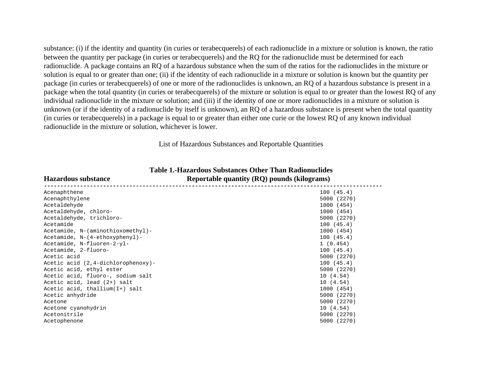substance: (i) if the identity and quantity (in curies or terabecquerels) of each radionuclide in a mixture or solution is known, the ratio between the quantity per package (in curies or terabecquerels) and the RQ for the radionuclide must be determined for each radionuclide. A package contains an RQ of a hazardous substance when the sum of the ratios for the radionuclides in the mixture or solution is equal to or greater than one; (ii) if the identity of each radionuclide in a mixture or solution is known but the quantity per package (in curies or terabecquerels) of one or more of the radionuclides is unknown, an RQ of a hazardous substance is present in a package when the total quantity (in curies or terabecquerels) of the mixture or solution is equal to or greater than the lowest RQ of any individual radionuclide in the mixture or solution; and (iii) if the identity of one or more radionuclides in a mixture or solution is unknown (or if the identity of a radionuclide by itself is unknown), an RQ of a hazardous substance is present when the total quantity (in curies or terabecquerels) in a package is equal to or greater than either one curie or the lowest RQ of any known individual radionuclide in the mixture or solution, whichever is lower.

List of Hazardous Substances and Reportable Quantities

| <b>Hazardous substance</b>             | Reportable quantity (RQ) pounds (kilograms) |
|----------------------------------------|---------------------------------------------|
| Acenaphthene                           | 100(45.4)                                   |
| Acenaphthylene                         | 5000 (2270)                                 |
| Acetaldehyde                           | 1000 (454)                                  |
| Acetaldehyde, chloro-                  | 1000 (454)                                  |
| Acetaldehyde, trichloro-               | 5000 (2270)                                 |
| Acetamide                              | 100(45.4)                                   |
| Acetamide, N-(aminothioxomethyl)-      | 1000 (454)                                  |
| Acetamide, N-(4-ethoxyphenyl)-         | 100(45.4)                                   |
| Acetamide, N-fluoren-2-yl-             | 1(0.454)                                    |
| Acetamide, 2-fluoro-                   | 100(45.4)                                   |
| Acetic acid                            | 5000 (2270)                                 |
| Acetic acid $(2, 4$ -dichlorophenoxy)- | 100(45.4)                                   |
| Acetic acid, ethyl ester               | 5000 (2270)                                 |
| Acetic acid, fluoro-, sodium salt      | 10(4.54)                                    |
| Acetic acid, lead (2+) salt            | 10(4.54)                                    |
| Acetic acid, thallium(I+) salt         | 1000 (454)                                  |
| Acetic anhydride                       | 5000 (2270)                                 |
| Acetone                                | 5000 (2270)                                 |
| Acetone cyanohydrin                    | 10(4.54)                                    |
| Acetonitrile                           | 5000 (2270)                                 |
| Acetophenone                           | 5000 (2270)                                 |
|                                        |                                             |

**Table 1.-Hazardous Substances Other Than Radionuclides Hazardous substance Reportable quantity (RQ) pounds (kilograms)**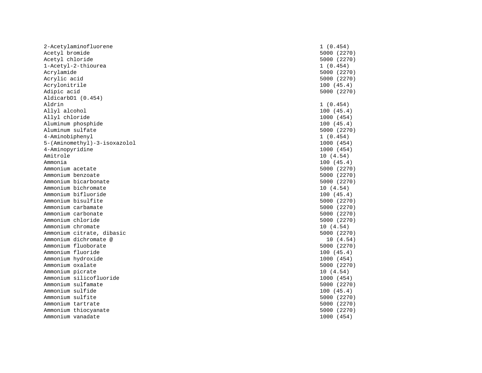2-Acetylaminofluorene 1 (0.454) Acetyl bromide 5000 (2270) Acetyl chloride 5000 (2270) 1-Acetyl-2-thiourea 1 (0.454) Acrylamide 5000 (2270) Acrylic acid 5000 (2270) Acrylonitrile 100 (45.4) Adipic acid 5000 (2270) AldicarbD1 (0.454) Aldrin 1 (0.454) Allyl alcohol 100 (45.4) Allyl chloride 1000 (454) Aluminum phosphide 100 (45.4) Aluminum sulfate 5000 (2270) 4-Aminobiphenyl 1 (0.454) 5-(Aminomethyl)-3-isoxazolol 1000 (454) 4-Aminopyridine 1000 (454) Amitrole 10 (4.54) Ammonia 100 (45.4) Ammonium acetate 5000 (2270) Ammonium benzoate 5000 (2270) Ammonium bicarbonate 5000 (2270) Ammonium bichromate 10 (4.54) Ammonium bifluoride 100 (45.4) Ammonium bisulfite 5000 (2270) Ammonium carbamate 5000 (2270) Ammonium carbonate 5000 (2270) Ammonium chloride 5000 (2270) Ammonium chromate 10 (4.54) Ammonium citrate, dibasic 5000 (2270) Ammonium dichromate @ 10 (4.54) Ammonium fluoborate 5000 (2270) Ammonium fluoride 100 (45.4) Ammonium hydroxide 1000 (454) Ammonium oxalate Ammonium picrate 10 (4.54) Ammonium silicofluoride 1000 (454) Ammonium sulfamate 5000 (2270) Ammonium sulfide 100 (45.4) Ammonium sulfite 5000 (2270) Ammonium tartrate 5000 (2270) Ammonium thiocyanate 5000 (2270) Ammonium vanadate 1000 (454)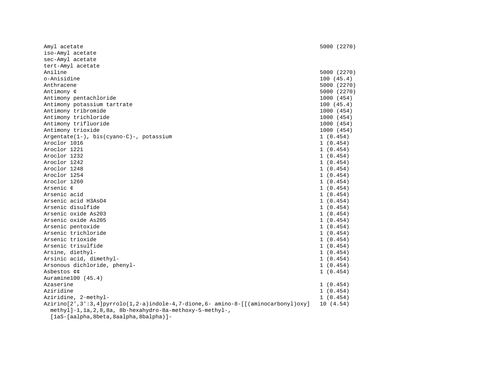| Amyl acetate                                                                      | 5000 (2270) |
|-----------------------------------------------------------------------------------|-------------|
| iso-Amyl acetate                                                                  |             |
| sec-Amyl acetate                                                                  |             |
| tert-Amyl acetate                                                                 |             |
| Aniline                                                                           | 5000 (2270) |
| o-Anisidine                                                                       | 100(45.4)   |
| Anthracene                                                                        | 5000 (2270) |
| Antimony ¢                                                                        | 5000 (2270) |
| Antimony pentachloride                                                            | 1000 (454)  |
| Antimony potassium tartrate                                                       | 100(45.4)   |
| Antimony tribromide                                                               | 1000 (454)  |
| Antimony trichloride                                                              | 1000 (454)  |
| Antimony trifluoride                                                              | 1000 (454)  |
| Antimony trioxide                                                                 | 1000 (454)  |
| Argentate(1-), bis(cyano-C)-, potassium                                           | 1(0.454)    |
| Aroclor 1016                                                                      | 1(0.454)    |
| Aroclor 1221                                                                      | 1(0.454)    |
| Aroclor 1232                                                                      | 1(0.454)    |
| Aroclor 1242                                                                      | 1(0.454)    |
| Aroclor 1248                                                                      | 1(0.454)    |
| Aroclor 1254                                                                      | 1(0.454)    |
| Aroclor 1260                                                                      | 1(0.454)    |
| Arsenic ¢                                                                         | 1(0.454)    |
| Arsenic acid                                                                      | 1(0.454)    |
| Arsenic acid H3AsO4                                                               | 1(0.454)    |
| Arsenic disulfide                                                                 | 1(0.454)    |
| Arsenic oxide As203                                                               | 1(0.454)    |
| Arsenic oxide As205                                                               | 1(0.454)    |
| Arsenic pentoxide                                                                 | 1(0.454)    |
| Arsenic trichloride                                                               | 1(0.454)    |
| Arsenic trioxide                                                                  | 1(0.454)    |
| Arsenic trisulfide                                                                | 1(0.454)    |
| Arsine, diethyl-                                                                  | 1(0.454)    |
| Arsinic acid, dimethyl-                                                           | 1(0.454)    |
| Arsonous dichloride, phenyl-                                                      | 1(0.454)    |
| Asbestos ¢¢                                                                       | 1(0.454)    |
| Auramine100 (45.4)                                                                |             |
| Azaserine                                                                         | 1(0.454)    |
| Aziridine                                                                         | 1(0.454)    |
| Aziridine, 2-methyl-                                                              | 1(0.454)    |
| Azirino[2',3':3,4]pyrrolo(1,2-a)indole-4,7-dione,6- amino-8-[[(aminocarbonyl)oxy] | 10(4.54)    |
| methyl]-1, 1a, 2, 8, 8a, 8b-hexahydro-8a-methoxy-5-methyl-,                       |             |
| [laS-[aalpha, 8beta, 8aalpha, 8balpha)]-                                          |             |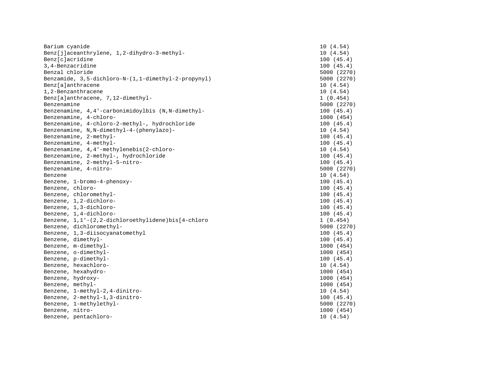| Barium cyanide                                      | 10(4.54)    |
|-----------------------------------------------------|-------------|
| Benz[j]aceanthrylene, 1,2-dihydro-3-methyl-         | 10(4.54)    |
| Benz[c]acridine                                     | 100(45.4)   |
| 3, 4-Benzacridine                                   | 100(45.4)   |
| Benzal chloride                                     | 5000 (2270) |
| Benzamide, 3,5-dichloro-N-(1,1-dimethyl-2-propynyl) | 5000 (2270) |
| Benz[a]anthracene                                   | 10(4.54)    |
| 1,2-Benzanthracene                                  | 10(4.54)    |
| Benz[a]anthracene, 7,12-dimethyl-                   | 1(0.454)    |
| Benzenamine                                         | 5000 (2270) |
| Benzenamine, 4,4'-carbonimidoylbis (N,N-dimethyl-   | 100(45.4)   |
| Benzenamine, 4-chloro-                              | 1000 (454)  |
| Benzenamine, 4-chloro-2-methyl-, hydrochloride      | 100(45.4)   |
| Benzenamine, N, N-dimethyl-4-(phenylazo)-           | 10(4.54)    |
| Benzenamine, 2-methyl-                              | 100(45.4)   |
| Benzenamine, 4-methyl-                              | 100(45.4)   |
| Benzenamine, 4,4'-methylenebis(2-chloro-            | 10(4.54)    |
| Benzenamine, 2-methyl-, hydrochloride               | 100(45.4)   |
| Benzenamine, 2-methyl-5-nitro-                      | 100(45.4)   |
| Benzenamine, 4-nitro-                               | 5000 (2270) |
| Benzene                                             | 10(4.54)    |
| Benzene, 1-bromo-4-phenoxy-                         | 100(45.4)   |
| Benzene, chloro-                                    | 100(45.4)   |
| Benzene, chloromethyl-                              | 100(45.4)   |
| Benzene, 1,2-dichloro-                              | 100(45.4)   |
| Benzene, 1,3-dichloro-                              | 100(45.4)   |
| Benzene, 1,4-dichloro-                              | 100(45.4)   |
| Benzene, 1,1'-(2,2-dichloroethylidene)bis[4-chloro  | 1(0.454)    |
| Benzene, dichloromethyl-                            | 5000 (2270) |
| Benzene, 1,3-diisocyanatomethyl                     | 100(45.4)   |
| Benzene, dimethyl-                                  | 100(45.4)   |
| Benzene, m-dimethyl-                                | 1000 (454)  |
| Benzene, o-dimethyl-                                | 1000 (454)  |
| Benzene, p-dimethyl-                                | 100(45.4)   |
| Benzene, hexachloro-                                | 10(4.54)    |
| Benzene, hexahydro-                                 | 1000 (454)  |
| Benzene, hydroxy-                                   | 1000 (454)  |
| Benzene, methyl-                                    | 1000 (454)  |
| Benzene, 1-methyl-2, 4-dinitro-                     | 10(4.54)    |
| Benzene, 2-methyl-1,3-dinitro-                      | 100(45.4)   |
| Benzene, 1-methylethyl-                             | 5000 (2270) |
| Benzene, nitro-                                     | 1000 (454)  |
| Benzene, pentachloro-                               | 10(4.54)    |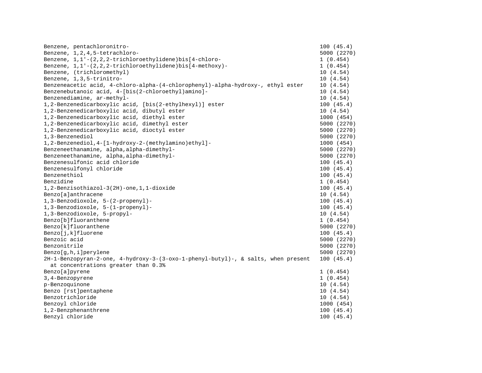| Benzene, pentachloronitro-                                                        | 100(45.4)   |
|-----------------------------------------------------------------------------------|-------------|
| Benzene, 1, 2, 4, 5-tetrachloro-                                                  | 5000 (2270) |
| Benzene, 1, 1'-(2, 2, 2-trichloroethylidene) bis [4-chloro-                       | 1(0.454)    |
| Benzene, $1, 1'$ -(2,2,2-trichloroethylidene)bis[4-methoxy)-                      | 1(0.454)    |
| Benzene, (trichloromethyl)                                                        | 10(4.54)    |
| Benzene, 1, 3, 5-trinitro-                                                        | 10(4.54)    |
| Benzeneacetic acid, 4-chloro-alpha-(4-chlorophenyl)-alpha-hydroxy-, ethyl ester   | 10(4.54)    |
| Benzenebutanoic acid, 4-[bis(2-chloroethyl)amino]-                                | 10(4.54)    |
| Benzenediamine, ar-methyl-                                                        | 10(4.54)    |
| 1,2-Benzenedicarboxylic acid, [bis(2-ethylhexyl)] ester                           | 100(45.4)   |
| 1,2-Benzenedicarboxylic acid, dibutyl ester                                       | 10(4.54)    |
| 1,2-Benzenedicarboxylic acid, diethyl ester                                       | 1000 (454)  |
| 1,2-Benzenedicarboxylic acid, dimethyl ester                                      | 5000 (2270) |
| 1,2-Benzenedicarboxylic acid, dioctyl ester                                       | 5000 (2270) |
| 1,3-Benzenediol                                                                   | 5000 (2270) |
| 1,2-Benzenediol,4-[1-hydroxy-2-(methylamino)ethyl]-                               | 1000 (454)  |
| Benzeneethanamine, alpha, alpha-dimethyl-                                         | 5000 (2270) |
| Benzeneethanamine, alpha, alpha-dimethyl-                                         | 5000 (2270) |
| Benzenesulfonic acid chloride                                                     | 100(45.4)   |
| Benzenesulfonyl chloride                                                          | 100(45.4)   |
| Benzenethiol                                                                      | 100(45.4)   |
| Benzidine                                                                         | 1(0.454)    |
| 1,2-Benzisothiazol-3(2H)-one,1,1-dioxide                                          | 100(45.4)   |
| Benzo[a]anthracene                                                                | 10(4.54)    |
| 1,3-Benzodioxole, 5-(2-propenyl)-                                                 | 100(45.4)   |
| 1,3-Benzodioxole, 5-(1-propenyl)-                                                 | 100(45.4)   |
| 1,3-Benzodioxole, 5-propyl-                                                       | 10(4.54)    |
| Benzo[b]fluoranthene                                                              | 1(0.454)    |
| Benzo[k]fluoranthene                                                              | 5000 (2270) |
| Benzo[j,k]fluorene                                                                | 100(45.4)   |
| Benzoic acid                                                                      | 5000 (2270) |
| Benzonitrile                                                                      | 5000 (2270) |
| $Benzo[q,h,i]$ perylene                                                           | 5000 (2270) |
| 2H-1-Benzopyran-2-one, 4-hydroxy-3-(3-oxo-1-phenyl-butyl)-, & salts, when present | 100(45.4)   |
| at concentrations greater than 0.3%                                               |             |
| Benzo[a]pyrene                                                                    | 1(0.454)    |
| 3, 4-Benzopyrene                                                                  | 1(0.454)    |
| p-Benzoquinone                                                                    | 10(4.54)    |
| Benzo [rst]pentaphene                                                             | 10(4.54)    |
| Benzotrichloride                                                                  | 10(4.54)    |
| Benzoyl chloride                                                                  | 1000 (454)  |
| 1,2-Benzphenanthrene                                                              | 100(45.4)   |
| Benzyl chloride                                                                   | 100(45.4)   |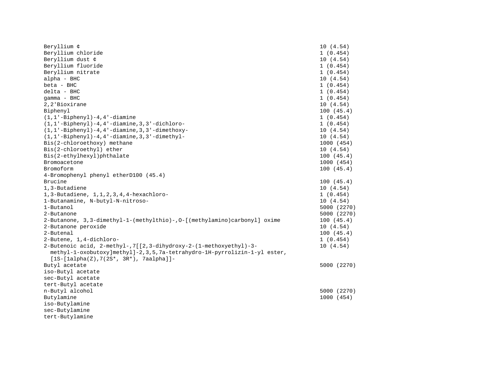| Beryllium ¢                                                              | 10(4.54)    |
|--------------------------------------------------------------------------|-------------|
| Beryllium chloride                                                       | 1(0.454)    |
| Beryllium dust ¢                                                         | 10(4.54)    |
| Beryllium fluoride                                                       | 1(0.454)    |
| Beryllium nitrate                                                        | 1(0.454)    |
| alpha - BHC                                                              | 10(4.54)    |
| beta - BHC                                                               | 1(0.454)    |
| delta - BHC                                                              | 1(0.454)    |
| qamma - BHC                                                              | 1(0.454)    |
| 2,2'Bioxirane                                                            | 10(4.54)    |
| Biphenyl                                                                 | 100(45.4)   |
| $(1, 1'-Bipheny1) - 4, 4'-diamine$                                       | 1(0.454)    |
| $(1, 1'-Bipheny1) - 4, 4'-diamine, 3, 3'-dichloro-$                      | 1(0.454)    |
| $(1, 1'-Bipheny1) - 4, 4'-diamine, 3, 3'-dimethoxy-$                     | 10(4.54)    |
| $(1, 1'-Bipheny1) - 4, 4'-diamine, 3, 3'-dimethyl-$                      | 10(4.54)    |
| Bis(2-chloroethoxy) methane                                              | 1000 (454)  |
| Bis(2-chloroethyl) ether                                                 | 10(4.54)    |
| Bis(2-ethylhexyl)phthalate                                               | 100(45.4)   |
| Bromoacetone                                                             | 1000 (454)  |
| Bromoform                                                                | 100(45.4)   |
| 4-Bromophenyl phenyl etherD100 (45.4)                                    |             |
| Brucine                                                                  | 100(45.4)   |
| 1,3-Butadiene                                                            | 10(4.54)    |
| 1, 3-Butadiene, 1, 1, 2, 3, 4, 4-hexachloro-                             | 1(0.454)    |
| 1-Butanamine, N-butyl-N-nitroso-                                         | 10(4.54)    |
| 1-Butanol                                                                | 5000 (2270) |
| 2-Butanone                                                               | 5000 (2270) |
| 2-Butanone, 3,3-dimethyl-1-(methylthio)-,0-[(methylamino)carbonyl] oxime | 100(45.4)   |
| 2-Butanone peroxide                                                      | 10(4.54)    |
| 2-Butenal                                                                | 100(45.4)   |
| 2-Butene, 1,4-dichloro-                                                  | 1(0.454)    |
| 2-Butenoic acid, 2-methyl-,7[[2,3-dihydroxy-2-(1-methoxyethyl)-3-        | 10(4.54)    |
| methyl-1-oxobutoxy]methyl]-2,3,5,7a-tetrahydro-1H-pyrrolizin-1-yl ester, |             |
| $[1S-[1a]pha(Z),7(2S*, 3R*)$ , 7aalpha]]-                                |             |
| Butyl acetate                                                            | 5000 (2270) |
| iso-Butyl acetate                                                        |             |
| sec-Butyl acetate                                                        |             |
| tert-Butyl acetate                                                       |             |
| n-Butyl alcohol                                                          | 5000 (2270) |
| Butylamine                                                               | 1000 (454)  |
| iso-Butylamine                                                           |             |
| sec-Butylamine                                                           |             |
| tert-Butylamine                                                          |             |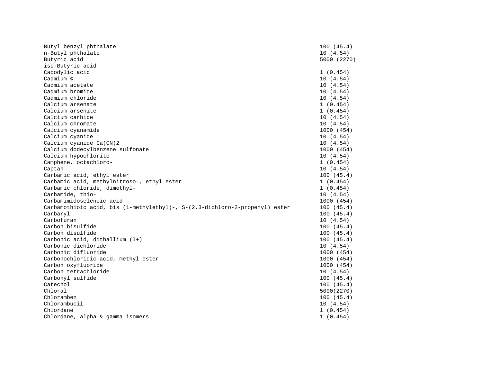| Butyl benzyl phthalate                                                      | 100(45.4)   |
|-----------------------------------------------------------------------------|-------------|
| n-Butyl phthalate                                                           | 10(4.54)    |
| Butyric acid                                                                | 5000 (2270) |
| iso-Butyric acid                                                            |             |
| Cacodylic acid                                                              | 1(0.454)    |
| Cadmium ¢                                                                   | 10(4.54)    |
| Cadmium acetate                                                             | 10(4.54)    |
| Cadmium bromide                                                             | 10(4.54)    |
| Cadmium chloride                                                            | 10(4.54)    |
| Calcium arsenate                                                            | 1(0.454)    |
| Calcium arsenite                                                            | 1(0.454)    |
| Calcium carbide                                                             | 10(4.54)    |
| Calcium chromate                                                            | 10(4.54)    |
| Calcium cyanamide                                                           | 1000 (454)  |
| Calcium cyanide                                                             | 10(4.54)    |
| Calcium cyanide Ca(CN)2                                                     | 10(4.54)    |
| Calcium dodecylbenzene sulfonate                                            | 1000 (454)  |
| Calcium hypochlorite                                                        | 10(4.54)    |
| Camphene, octachloro-                                                       | 1(0.454)    |
| Captan                                                                      | 10(4.54)    |
| Carbamic acid, ethyl ester                                                  | 100(45.4)   |
| Carbamic acid, methylnitroso-, ethyl ester                                  | 1(0.454)    |
| Carbamic chloride, dimethyl-                                                | 1(0.454)    |
| Carbamide, thio-                                                            | 10(4.54)    |
| Carbamimidoselenoic acid                                                    | 1000 (454)  |
| Carbamothioic acid, bis (1-methylethyl)-, S-(2,3-dichloro-2-propenyl) ester | 100(45.4)   |
| Carbaryl                                                                    | 100(45.4)   |
| Carbofuran                                                                  | 10(4.54)    |
| Carbon bisulfide                                                            | 100(45.4)   |
| Carbon disulfide                                                            | 100(45.4)   |
| Carbonic acid, dithallium (I+)                                              | 100(45.4)   |
| Carbonic dichloride                                                         | 10 (4.54)   |
| Carbonic difluoride                                                         | 1000 (454)  |
| Carbonochloridic acid, methyl ester                                         | 1000 (454)  |
| Carbon oxyfluoride                                                          | 1000 (454)  |
| Carbon tetrachloride                                                        | 10(4.54)    |
| Carbonyl sulfide                                                            | 100(45.4)   |
| Catechol                                                                    | 100(45.4)   |
| Chloral                                                                     | 5000(2270)  |
| Chloramben                                                                  | 100(45.4)   |
| Chlorambucil                                                                | 10(4.54)    |
| Chlordane                                                                   | 1(0.454)    |
| Chlordane, alpha & gamma isomers                                            | 1(0.454)    |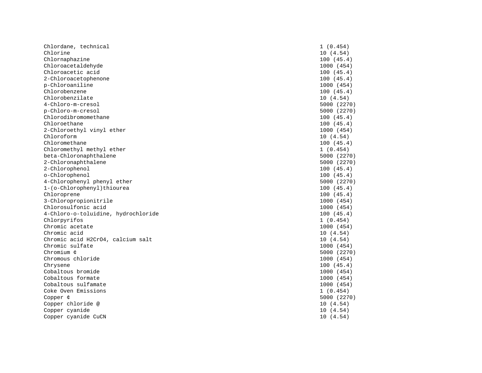| Chlordane, technical                | 1(0.454)    |
|-------------------------------------|-------------|
| Chlorine                            | 10(4.54)    |
| Chlornaphazine                      | 100(45.4)   |
| Chloroacetaldehyde                  | 1000 (454)  |
| Chloroacetic acid                   | 100(45.4)   |
| 2-Chloroacetophenone                | 100(45.4)   |
| p-Chloroaniline                     | 1000 (454)  |
| Chlorobenzene                       | 100(45.4)   |
| Chlorobenzilate                     | 10(4.54)    |
| 4-Chloro-m-cresol                   | 5000 (2270) |
| p-Chloro-m-cresol                   | 5000 (2270) |
| Chlorodibromomethane                | 100(45.4)   |
| Chloroethane                        | 100(45.4)   |
| 2-Chloroethyl vinyl ether           | 1000 (454)  |
| Chloroform                          | 10(4.54)    |
| Chloromethane                       | 100(45.4)   |
| Chloromethyl methyl ether           | 1(0.454)    |
| beta-Chloronaphthalene              | 5000 (2270) |
| 2-Chloronaphthalene                 | 5000 (2270) |
| 2-Chlorophenol                      | 100(45.4)   |
| o-Chlorophenol                      | 100(45.4)   |
| 4-Chlorophenyl phenyl ether         | 5000 (2270) |
| 1-(o-Chlorophenyl)thiourea          | 100(45.4)   |
| Chloroprene                         | 100(45.4)   |
| 3-Chloropropionitrile               | 1000 (454)  |
| Chlorosulfonic acid                 | 1000 (454)  |
| 4-Chloro-o-toluidine, hydrochloride | 100(45.4)   |
| Chlorpyrifos                        | 1(0.454)    |
| Chromic acetate                     | 1000 (454)  |
| Chromic acid                        | 10(4.54)    |
| Chromic acid H2CrO4, calcium salt   | 10(4.54)    |
| Chromic sulfate                     | 1000 (454)  |
| Chromium ¢                          | 5000 (2270) |
| Chromous chloride                   | 1000 (454)  |
| Chrysene                            | 100(45.4)   |
| Cobaltous bromide                   | 1000 (454)  |
| Cobaltous formate                   | 1000 (454)  |
| Cobaltous sulfamate                 | 1000 (454)  |
| Coke Oven Emissions                 | 1(0.454)    |
| Copper ¢                            | 5000 (2270) |
| Copper chloride @                   | 10(4.54)    |
| Copper cyanide                      | 10(4.54)    |
| Copper cyanide CuCN                 | 10(4.54)    |
|                                     |             |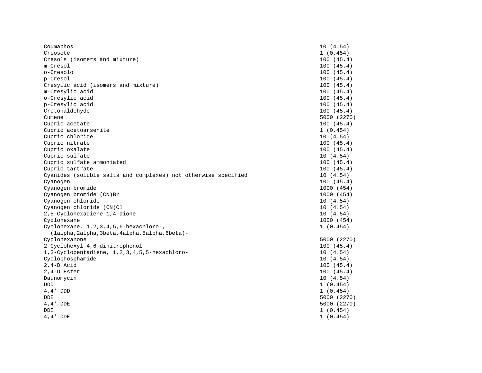| Coumaphos                                                      | 10(4.54)    |
|----------------------------------------------------------------|-------------|
| Creosote                                                       | 1(0.454)    |
| Cresols (isomers and mixture)                                  | 100(45.4)   |
| m-Cresol                                                       | 100(45.4)   |
| o-Cresolo                                                      | 100(45.4)   |
| p-Cresol                                                       | 100(45.4)   |
| Cresylic acid (isomers and mixture)                            | 100(45.4)   |
| m-Cresylic acid                                                | 100(45.4)   |
| o-Cresylic acid                                                | 100(45.4)   |
| p-Cresylic acid                                                | 100(45.4)   |
| Crotonaldehyde                                                 | 100(45.4)   |
| Cumene                                                         | 5000 (2270) |
| Cupric acetate                                                 | 100(45.4)   |
| Cupric acetoarsenite                                           | 1(0.454)    |
| Cupric chloride                                                | 10(4.54)    |
| Cupric nitrate                                                 | 100(45.4)   |
| Cupric oxalate                                                 | 100(45.4)   |
| Cupric sulfate                                                 | 10(4.54)    |
| Cupric sulfate ammoniated                                      | 100(45.4)   |
| Cupric tartrate                                                | 100(45.4)   |
| Cyanides (soluble salts and complexes) not otherwise specified | 10(4.54)    |
| Cyanogen                                                       | 100(45.4)   |
| Cyanogen bromide                                               | 1000 (454)  |
| Cyanogen bromide (CN)Br                                        | 1000 (454)  |
| Cyanogen chloride                                              | 10(4.54)    |
| Cyanogen chloride (CN)Cl                                       | 10(4.54)    |
| 2,5-Cyclohexadiene-1,4-dione                                   | 10(4.54)    |
| Cyclohexane                                                    | 1000 (454)  |
| Cyclohexane, 1, 2, 3, 4, 5, 6-hexachloro-,                     | 1(0.454)    |
| (lalpha, 2alpha, 3beta, 4alpha, 5alpha, 6beta) -               |             |
| Cyclohexanone                                                  | 5000 (2270) |
| 2-Cyclohexyl-4,6-dinitrophenol                                 | 100(45.4)   |
| 1,3-Cyclopentadiene, 1,2,3,4,5,5-hexachloro-                   | 10(4.54)    |
| Cyclophosphamide                                               | 10(4.54)    |
| $2, 4-D$ Acid                                                  | 100(45.4)   |
| $2, 4-D$ Ester                                                 | 100(45.4)   |
| Daunomycin                                                     | 10(4.54)    |
| DDD                                                            | 1(0.454)    |
| $4, 4 - DDD$                                                   | 1(0.454)    |
| DDE                                                            | 5000 (2270) |
| $4, 4 - DDE$                                                   | 5000 (2270) |
| DDE                                                            | 1(0.454)    |
| $4, 4 - DDE$                                                   | 1(0.454)    |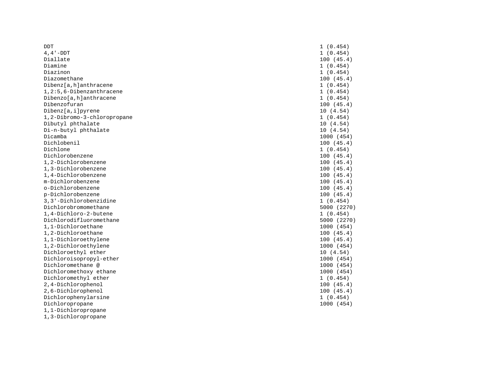| <b>DDT</b>                   | 1(0.454)    |
|------------------------------|-------------|
| $4, 4 - DDT$                 | 1(0.454)    |
| Diallate                     | 100(45.4)   |
| Diamine                      | 1(0.454)    |
| Diazinon                     | 1(0.454)    |
| Diazomethane                 | 100(45.4)   |
| Dibenz[a, h]anthracene       | 1(0.454)    |
| $1, 2:5, 6-Dibenzanthracene$ | 1(0.454)    |
| Dibenzo[a, h]anthracene      | 1(0.454)    |
| Dibenzofuran                 | 100(45.4)   |
| Dibenz[a,i]pyrene            | 10(4.54)    |
| 1,2-Dibromo-3-chloropropane  | 1(0.454)    |
| Dibutyl phthalate            | 10 (4.54)   |
| Di-n-butyl phthalate         | 10(4.54)    |
| Dicamba                      | 1000 (454)  |
| Dichlobenil                  | 100(45.4)   |
| Dichlone                     | 1(0.454)    |
| Dichlorobenzene              | 100(45.4)   |
| 1,2-Dichlorobenzene          | 100(45.4)   |
| 1,3-Dichlorobenzene          | 100(45.4)   |
| 1,4-Dichlorobenzene          | 100(45.4)   |
| m-Dichlorobenzene            | 100(45.4)   |
| o-Dichlorobenzene            | 100(45.4)   |
| p-Dichlorobenzene            | 100(45.4)   |
| 3, 3'-Dichlorobenzidine      | 1(0.454)    |
| Dichlorobromomethane         | 5000 (2270) |
| 1,4-Dichloro-2-butene        | 1(0.454)    |
| Dichlorodifluoromethane      | 5000 (2270) |
| 1.1-Dichloroethane           | 1000 (454)  |
| 1,2-Dichloroethane           | 100(45.4)   |
| 1,1-Dichloroethylene         | 100(45.4)   |
| 1,2-Dichloroethylene         | 1000 (454)  |
| Dichloroethyl ether          | 10(4.54)    |
| Dichloroisopropyl-ether      | 1000 (454)  |
| Dichloromethane @            | 1000 (454)  |
| Dichloromethoxy ethane       | 1000 (454)  |
| Dichloromethyl ether         | 1(0.454)    |
| 2,4-Dichlorophenol           | 100(45.4)   |
| 2,6-Dichlorophenol           | 100(45.4)   |
| Dichlorophenylarsine         | 1(0.454)    |
| Dichloropropane              | 1000 (454)  |
| 1,1-Dichloropropane          |             |

1,3-Dichloropropane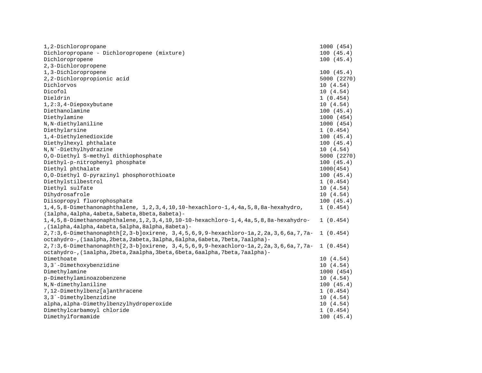| 1,2-Dichloropropane                                                                             | 1000 (454)  |
|-------------------------------------------------------------------------------------------------|-------------|
| Dichloropropane - Dichloropropene (mixture)                                                     | 100(45.4)   |
| Dichloropropene                                                                                 | 100(45.4)   |
| 2,3-Dichloropropene                                                                             |             |
| 1,3-Dichloropropene                                                                             | 100(45.4)   |
| 2,2-Dichloropropionic acid                                                                      | 5000 (2270) |
| Dichlorvos                                                                                      | 10(4.54)    |
| Dicofol                                                                                         | 10(4.54)    |
| Dieldrin                                                                                        | 1(0.454)    |
| 1,2:3,4-Diepoxybutane                                                                           | 10(4.54)    |
| Diethanolamine                                                                                  | 100(45.4)   |
| Diethylamine                                                                                    | 1000 (454)  |
| N, N-diethylaniline                                                                             | 1000 (454)  |
| Diethylarsine                                                                                   | 1(0.454)    |
| 1,4-Diethylenedioxide                                                                           | 100(45.4)   |
| Diethylhexyl phthalate                                                                          | 100(45.4)   |
| N, N´-Diethylhydrazine                                                                          | 10(4.54)    |
| 0,0-Diethyl S-methyl dithiophosphate                                                            | 5000 (2270) |
| Diethyl-p-nitrophenyl phosphate                                                                 | 100(45.4)   |
| Diethyl phthalate                                                                               | 1000(454)   |
| 0,0-Diethyl 0-pyrazinyl phosphorothioate                                                        | 100(45.4)   |
| Diethylstilbestrol                                                                              | 1(0.454)    |
| Diethyl sulfate                                                                                 | 10(4.54)    |
| Dihydrosafrole                                                                                  | 10(4.54)    |
| Diisopropyl fluorophosphate                                                                     | 100(45.4)   |
| 1, 4, 5, 8-Dimethanonaphthalene, 1, 2, 3, 4, 10, 10-hexachloro-1, 4, 4a, 5, 8, 8a-hexahydro,    | 1(0.454)    |
| (lalpha, 4alpha, 4abeta, 5abeta, 8beta, 8abeta) -                                               |             |
| 1, 4, 5, 8-Dimethanonaphthalene, 1, 2, 3, 4, 10, 10-10-hexachloro-1, 4, 4a, 5, 8, 8a-hexahydro- | 1(0.454)    |
| , (lalpha, 4alpha, 4abeta, 5alpha, 8alpha, 8abeta) -                                            |             |
| 2,7:3,6-Dimethanonaphth[2,3-b]oxirene, 3,4,5,6,9,9-hexachloro-1a,2,2a,3,6,6a,7,7a- 1 (0.454)    |             |
| octahydro-, (laalpha, 2beta, 2abeta, 3alpha, 6alpha, 6abeta, 7beta, 7aalpha) -                  |             |
| 2,7:3,6-Dimethanonaphth[2,3-b]oxirene, 3,4,5,6,9,9-hexachloro-1a,2,2a,3,6,6a,7,7a- 1 (0.454)    |             |
| octahydro-, (laalpha, 2beta, 2aalpha, 3beta, 6beta, 6aalpha, 7beta, 7aalpha) -                  |             |
| Dimethoate                                                                                      | 10(4.54)    |
| 3, 3'-Dimethoxybenzidine                                                                        | 10(4.54)    |
| Dimethylamine                                                                                   | 1000 (454)  |
| p-Dimethylaminoazobenzene                                                                       | 10(4.54)    |
| N, N-dimethylaniline                                                                            | 100(45.4)   |
| 7,12-Dimethylbenz[a]anthracene                                                                  | 1(0.454)    |
| 3, 3'-Dimethylbenzidine                                                                         | 10(4.54)    |
| alpha, alpha-Dimethylbenzylhydroperoxide                                                        | 10(4.54)    |
| Dimethylcarbamoyl chloride                                                                      | 1(0.454)    |
| Dimethylformamide                                                                               | 100(45.4)   |
|                                                                                                 |             |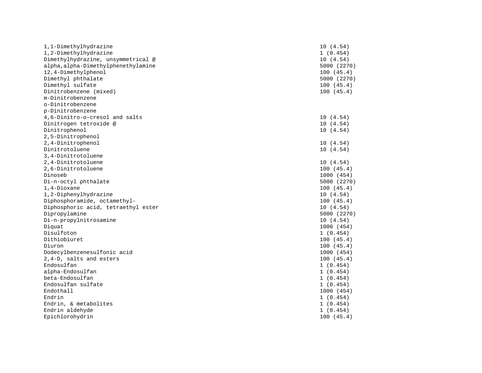| 1,1-Dimethylhydrazine               | 10(4.54)    |
|-------------------------------------|-------------|
| 1,2-Dimethylhydrazine               | 1(0.454)    |
| Dimethylhydrazine, unsymmetrical @  | 10(4.54)    |
| alpha, alpha-Dimethylphenethylamine | 5000 (2270) |
| 12,4-Dimethylphenol                 | 100(45.4)   |
| Dimethyl phthalate                  | 5000 (2270) |
| Dimethyl sulfate                    | 100(45.4)   |
| Dinitrobenzene (mixed)              | 100(45.4)   |
| m-Dinitrobenzene                    |             |
| o-Dinitrobenzene                    |             |
| p-Dinitrobenzene                    |             |
| 4,6-Dinitro-o-cresol and salts      | 10(4.54)    |
| Dinitrogen tetroxide @              | 10(4.54)    |
| Dinitrophenol                       | 10(4.54)    |
| 2,5-Dinitrophenol                   |             |
| 2,4-Dinitrophenol                   | 10(4.54)    |
| Dinitrotoluene                      | 10(4.54)    |
| 3,4-Dinitrotoluene                  |             |
| 2,4-Dinitrotoluene                  | 10(4.54)    |
| 2,6-Dinitrotoluene                  | 100(45.4)   |
| Dinoseb                             | 1000 (454)  |
| Di-n-octyl phthalate                | 5000 (2270) |
| 1,4-Dioxane                         | 100(45.4)   |
| 1,2-Diphenylhydrazine               | 10(4.54)    |
| Diphosphoramide, octamethyl-        | 100(45.4)   |
| Diphosphoric acid, tetraethyl ester | 10(4.54)    |
| Dipropylamine                       | 5000 (2270) |
| Di-n-propylnitrosamine              | 10(4.54)    |
| Diquat                              | 1000 (454)  |
| Disulfoton                          | 1(0.454)    |
| Dithiobiuret                        | 100(45.4)   |
| Diuron                              | 100(45.4)   |
| Dodecylbenzenesulfonic acid         | 1000 (454)  |
| 2,4-D, salts and esters             | 100(45.4)   |
| Endosulfan                          | 1(0.454)    |
| alpha-Endosulfan                    | 1(0.454)    |
| beta-Endosulfan                     | 1(0.454)    |
| Endosulfan sulfate                  | 1(0.454)    |
| Endothall                           | 1000 (454)  |
| Endrin                              | 1(0.454)    |
| Endrin, & metabolites               | 1(0.454)    |
| Endrin aldehyde                     | 1(0.454)    |
| Epichlorohydrin                     | 100(45.4)   |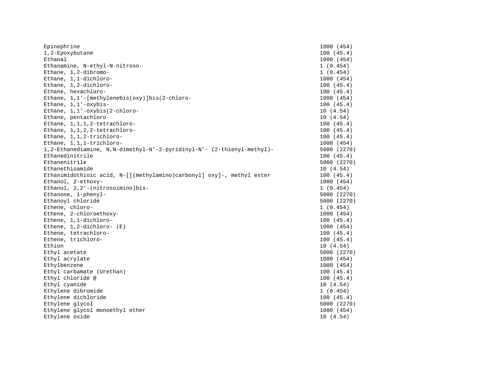| Epinephrine                                                            | 1000 (454)  |
|------------------------------------------------------------------------|-------------|
| 1,2-Epoxybutane                                                        | 100(45.4)   |
| Ethanal                                                                | 1000 (454)  |
| Ethanamine, N-ethyl-N-nitroso-                                         | 1(0.454)    |
| Ethane, 1,2-dibromo-                                                   | 1(0.454)    |
| Ethane, 1,1-dichloro-                                                  | 1000 (454)  |
| Ethane, 1,2-dichloro-                                                  | 100(45.4)   |
| Ethane, hexachloro-                                                    | 100(45.4)   |
| Ethane, 1,1'-[methylenebis(oxy)]bis(2-chloro-                          | 1000 (454)  |
| Ethane, 1,1'-oxybis-                                                   | 100(45.4)   |
| Ethane, 1,1'-oxybis(2-chloro-                                          | 10(4.54)    |
| Ethane, pentachloro-                                                   | 10(4.54)    |
| Ethane, 1, 1, 1, 2-tetrachloro-                                        | 100(45.4)   |
| Ethane, 1,1,2,2-tetrachloro-                                           | 100(45.4)   |
| Ethane, 1,1,2-trichloro-                                               | 100(45.4)   |
| Ethane, 1,1,1-trichloro-                                               | 1000 (454)  |
| 1,2-Ethanediamine, N,N-dimethyl-N'-2-pyridinyl-N'- (2-thienyl-methyl)- | 5000 (2270) |
| Ethanedinitrile                                                        | 100(45.4)   |
| Ethanenitrile                                                          | 5000 (2270) |
| Ethanethioamide                                                        | 10(4.54)    |
| Ethanimidothioic acid, N-[[(methylamino)carbonyl] oxy]-, methyl ester  | 100(45.4)   |
| Ethanol, 2-ethoxy-                                                     | 1000 (454)  |
| Ethanol, 2,2'-(nitrosoimino)bis-                                       | 1(0.454)    |
| Ethanone, 1-phenyl-                                                    | 5000 (2270) |
| Ethanoyl chloride                                                      | 5000 (2270) |
| Ethene, chloro-                                                        | 1(0.454)    |
| Ethene, 2-chloroethoxy-                                                | 1000 (454)  |
| Ethene, 1,1-dichloro-                                                  | 100(45.4)   |
| Ethene, $1, 2$ -dichloro- $(E)$                                        | 1000 (454)  |
| Ethene, tetrachloro-                                                   | 100(45.4)   |
| Ethene, trichloro-                                                     | 100(45.4)   |
| Ethion                                                                 | 10(4.54)    |
| Ethyl acetate                                                          | 5000 (2270) |
| Ethyl acrylate                                                         | 1000 (454)  |
| Ethylbenzene                                                           | 1000 (454)  |
| Ethyl carbamate (Urethan)                                              | 100(45.4)   |
| Ethyl chloride @                                                       | 100(45.4)   |
| Ethyl cyanide                                                          | 10(4.54)    |
| Ethylene dibromide                                                     | 1(0.454)    |
| Ethylene dichloride                                                    | 100(45.4)   |
| Ethylene glycol                                                        | 5000 (2270) |
| Ethylene glycol monoethyl ether                                        | 1000 (454)  |
| Ethylene oxide                                                         | 10(4.54)    |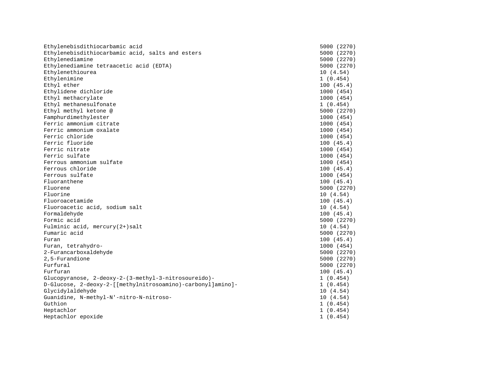| Ethylenebisdithiocarbamic acid                              | 5000 (2270) |
|-------------------------------------------------------------|-------------|
| Ethylenebisdithiocarbamic acid, salts and esters            | 5000 (2270) |
| Ethylenediamine                                             | 5000 (2270) |
| Ethylenediamine tetraacetic acid (EDTA)                     | 5000 (2270) |
| Ethylenethiourea                                            | 10(4.54)    |
| Ethylenimine                                                | 1(0.454)    |
| Ethyl ether                                                 | 100(45.4)   |
| Ethylidene dichloride                                       | 1000 (454)  |
| Ethyl methacrylate                                          | 1000 (454)  |
| Ethyl methanesulfonate                                      | 1(0.454)    |
| Ethyl methyl ketone @                                       | 5000 (2270) |
| Famphurdimethylester                                        | 1000 (454)  |
| Ferric ammonium citrate                                     | 1000 (454)  |
| Ferric ammonium oxalate                                     | 1000 (454)  |
| Ferric chloride                                             | 1000 (454)  |
| Ferric fluoride                                             | 100(45.4)   |
| Ferric nitrate                                              | 1000 (454)  |
| Ferric sulfate                                              | 1000 (454)  |
| Ferrous ammonium sulfate                                    | 1000 (454)  |
| Ferrous chloride                                            | 100(45.4)   |
| Ferrous sulfate                                             | 1000 (454)  |
| Fluoranthene                                                | 100(45.4)   |
| Fluorene                                                    | 5000 (2270) |
| Fluorine                                                    | 10(4.54)    |
| Fluoroacetamide                                             | 100(45.4)   |
| Fluoroacetic acid, sodium salt                              | 10(4.54)    |
| Formaldehyde                                                | 100(45.4)   |
| Formic acid                                                 | 5000 (2270) |
| Fulminic acid, mercury $(2+)$ salt                          | 10(4.54)    |
| Fumaric acid                                                | 5000 (2270) |
| Furan                                                       | 100(45.4)   |
| Furan, tetrahydro-                                          | 1000 (454)  |
| 2-Furancarboxaldehyde                                       | 5000 (2270) |
| 2,5-Furandione                                              | 5000 (2270) |
| Furfural                                                    | 5000 (2270) |
| Furfuran                                                    | 100(45.4)   |
| Glucopyranose, 2-deoxy-2-(3-methyl-3-nitrosoureido)-        | 1(0.454)    |
| D-Glucose, 2-deoxy-2-[[methylnitrosoamino)-carbonyl]amino]- | 1(0.454)    |
| Glycidylaldehyde                                            | 10(4.54)    |
| Guanidine, N-methyl-N'-nitro-N-nitroso-                     | 10(4.54)    |
| Guthion                                                     | 1(0.454)    |
| Heptachlor                                                  | 1(0.454)    |
| Heptachlor epoxide                                          | 1(0.454)    |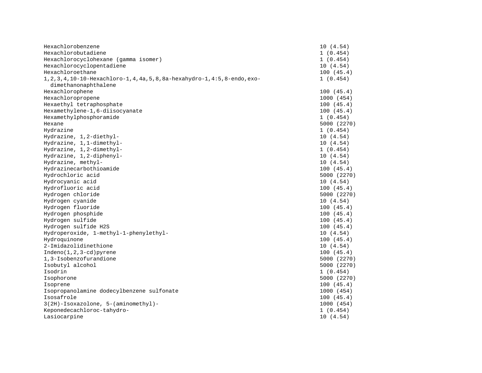| Hexachlorobenzene                                                               | 10(4.54)    |
|---------------------------------------------------------------------------------|-------------|
| Hexachlorobutadiene                                                             | 1(0.454)    |
| Hexachlorocyclohexane (gamma isomer)                                            | 1(0.454)    |
| Hexachlorocyclopentadiene                                                       | 10(4.54)    |
| Hexachloroethane                                                                | 100(45.4)   |
| 1, 2, 3, 4, 10-10-Hexachloro-1, 4, 4a, 5, 8, 8a-hexahydro-1, 4: 5, 8-endo, exo- | 1(0.454)    |
| dimethanonaphthalene                                                            |             |
| Hexachlorophene                                                                 | 100(45.4)   |
| Hexachloropropene                                                               | 1000 (454)  |
| Hexaethyl tetraphosphate                                                        | 100(45.4)   |
| Hexamethylene-1,6-diisocyanate                                                  | 100(45.4)   |
| Hexamethylphosphoramide                                                         | 1(0.454)    |
| Hexane                                                                          | 5000 (2270) |
| Hydrazine                                                                       | 1(0.454)    |
| Hydrazine, 1,2-diethyl-                                                         | 10(4.54)    |
| Hydrazine, 1,1-dimethyl-                                                        | 10(4.54)    |
| Hydrazine, 1,2-dimethyl-                                                        | 1(0.454)    |
| Hydrazine, 1,2-diphenyl-                                                        | 10(4.54)    |
| Hydrazine, methyl-                                                              | 10(4.54)    |
| Hydrazinecarbothioamide                                                         | 100(45.4)   |
| Hydrochloric acid                                                               | 5000 (2270) |
| Hydrocyanic acid                                                                | 10(4.54)    |
| Hydrofluoric acid                                                               | 100(45.4)   |
| Hydrogen chloride                                                               | 5000 (2270) |
| Hydrogen cyanide                                                                | 10(4.54)    |
| Hydrogen fluoride                                                               | 100(45.4)   |
| Hydrogen phosphide                                                              | 100(45.4)   |
| Hydrogen sulfide                                                                | 100(45.4)   |
| Hydrogen sulfide H2S                                                            | 100(45.4)   |
| Hydroperoxide, 1-methyl-1-phenylethyl-                                          | 10(4.54)    |
| Hydroquinone                                                                    | 100(45.4)   |
| 2-Imidazolidinethione                                                           | 10(4.54)    |
| $Indeno(1,2,3-cd)pyrene$                                                        | 100(45.4)   |
| 1,3-Isobenzofurandione                                                          | 5000 (2270) |
| Isobutyl alcohol                                                                | 5000 (2270) |
| Isodrin                                                                         | 1(0.454)    |
| Isophorone                                                                      | 5000 (2270) |
| Isoprene                                                                        | 100(45.4)   |
| Isopropanolamine dodecylbenzene sulfonate                                       | 1000 (454)  |
| Isosafrole                                                                      | 100(45.4)   |
| 3(2H)-Isoxazolone, 5-(aminomethyl)-                                             | 1000 (454)  |
| Keponedecachloroc-tahydro-                                                      | 1(0.454)    |
| Lasiocarpine                                                                    | 10(4.54)    |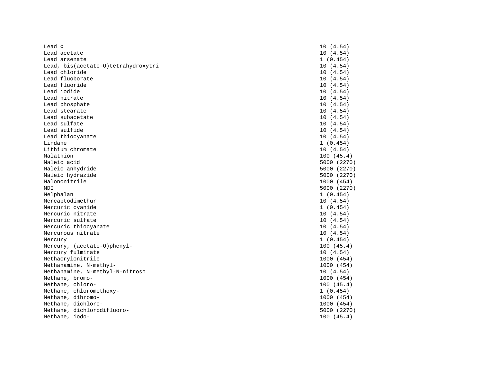| Lead $\phi$                         | 10(4.54)    |
|-------------------------------------|-------------|
| Lead acetate                        | 10(4.54)    |
| Lead arsenate                       | 1(0.454)    |
| Lead, bis(acetato-0)tetrahydroxytri | 10(4.54)    |
| Lead chloride                       | 10(4.54)    |
| Lead fluoborate                     | 10(4.54)    |
| Lead fluoride                       | 10(4.54)    |
| Lead iodide                         | 10(4.54)    |
| Lead nitrate                        | 10(4.54)    |
| Lead phosphate                      | 10(4.54)    |
| Lead stearate                       | 10(4.54)    |
| Lead subacetate                     | 10(4.54)    |
| Lead sulfate                        | 10(4.54)    |
| Lead sulfide                        | 10(4.54)    |
| Lead thiocyanate                    | 10(4.54)    |
| Lindane                             | 1(0.454)    |
| Lithium chromate                    | 10(4.54)    |
| Malathion                           | 100(45.4)   |
| Maleic acid                         | 5000 (2270) |
| Maleic anhydride                    | 5000 (2270) |
| Maleic hydrazide                    | 5000 (2270) |
| Malononitrile                       | 1000 (454)  |
| MDI                                 | 5000 (2270) |
| Melphalan                           | 1(0.454)    |
| Mercaptodimethur                    | 10(4.54)    |
| Mercuric cyanide                    | 1(0.454)    |
| Mercuric nitrate                    | 10(4.54)    |
| Mercuric sulfate                    | 10(4.54)    |
| Mercuric thiocyanate                | 10(4.54)    |
| Mercurous nitrate                   | 10(4.54)    |
| Mercury                             | 1(0.454)    |
| Mercury, (acetato-0)phenyl-         | 100(45.4)   |
| Mercury fulminate                   | 10(4.54)    |
| Methacrylonitrile                   | 1000 (454)  |
| Methanamine, N-methyl-              | 1000 (454)  |
| Methanamine, N-methyl-N-nitroso     | 10(4.54)    |
| Methane, bromo-                     | 1000 (454)  |
| Methane, chloro-                    | 100(45.4)   |
| Methane, chloromethoxy-             | 1(0.454)    |
| Methane, dibromo-                   | 1000 (454)  |
| Methane, dichloro-                  | 1000 (454)  |
| Methane, dichlorodifluoro-          | 5000 (2270) |
| Methane, iodo-                      | 100(45.4)   |
|                                     |             |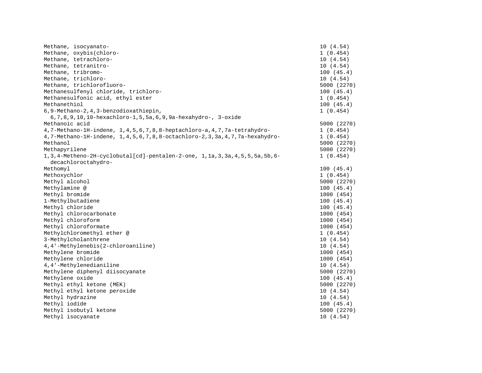| Methane, isocyanato-                                                                                       | 10(4.54)    |
|------------------------------------------------------------------------------------------------------------|-------------|
| Methane, oxybis(chloro-                                                                                    | 1(0.454)    |
| Methane, tetrachloro-                                                                                      | 10(4.54)    |
| Methane, tetranitro-                                                                                       | 10(4.54)    |
| Methane, tribromo-                                                                                         | 100(45.4)   |
| Methane, trichloro-                                                                                        | 10(4.54)    |
| Methane, trichlorofluoro-                                                                                  | 5000 (2270) |
| Methanesulfenyl chloride, trichloro-                                                                       | 100(45.4)   |
| Methanesulfonic acid, ethyl ester                                                                          | 1(0.454)    |
| Methanethiol                                                                                               | 100(45.4)   |
| 6,9-Methano-2,4,3-benzodioxathiepin,                                                                       | 1(0.454)    |
| 6, 7, 8, 9, 10, 10-hexachloro-1, 5, 5a, 6, 9, 9a-hexahydro-, 3-oxide                                       |             |
| Methanoic acid                                                                                             | 5000 (2270) |
| 4,7-Methano-1H-indene, 1,4,5,6,7,8,8-heptachloro-a,4,7,7a-tetrahydro-                                      | 1(0.454)    |
| 4,7-Methano-1H-indene, 1,4,5,6,7,8,8-octachloro-2,3,3a,4,7,7a-hexahydro-                                   | 1(0.454)    |
| Methanol                                                                                                   | 5000 (2270) |
| Methapyrilene                                                                                              | 5000 (2270) |
| 1, 3, 4-Metheno-2H-cyclobutal[cd]-pentalen-2-one, 1, 1a, 3, 3a, 4, 5, 5, 5a, 5b, 6-<br>decachloroctahydro- | 1(0.454)    |
| Methomyl                                                                                                   | 100(45.4)   |
| Methoxychlor                                                                                               | 1(0.454)    |
| Methyl alcohol                                                                                             | 5000 (2270) |
| Methylamine @                                                                                              | 100(45.4)   |
| Methyl bromide                                                                                             | 1000 (454)  |
| 1-Methylbutadiene                                                                                          | 100(45.4)   |
| Methyl chloride                                                                                            | 100(45.4)   |
| Methyl chlorocarbonate                                                                                     | 1000 (454)  |
| Methyl chloroform                                                                                          | 1000 (454)  |
| Methyl chloroformate                                                                                       | 1000 (454)  |
| Methylchloromethyl ether @                                                                                 | 1(0.454)    |
| 3-Methylcholanthrene                                                                                       | 10(4.54)    |
| 4,4'-Methylenebis(2-chloroaniline)                                                                         | 10(4.54)    |
| Methylene bromide                                                                                          | 1000 (454)  |
| Methylene chloride                                                                                         | 1000 (454)  |
| 4,4'-Methylenedianiline                                                                                    | 10(4.54)    |
| Methylene diphenyl diisocyanate                                                                            | 5000 (2270) |
| Methylene oxide                                                                                            | 100(45.4)   |
| Methyl ethyl ketone (MEK)                                                                                  | 5000 (2270) |
| Methyl ethyl ketone peroxide                                                                               | 10(4.54)    |
| Methyl hydrazine                                                                                           | 10(4.54)    |
| Methyl iodide                                                                                              | 100(45.4)   |
| Methyl isobutyl ketone                                                                                     | 5000 (2270) |
| Methyl isocyanate                                                                                          | 10(4.54)    |
|                                                                                                            |             |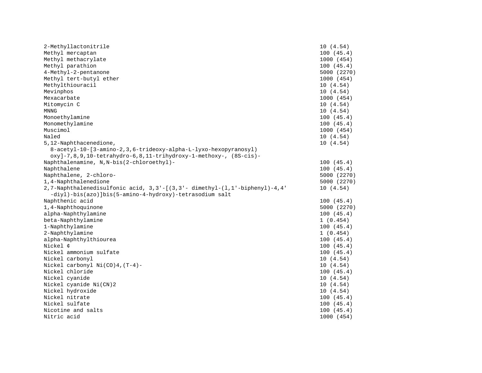| 2-Methyllactonitrile                                                      | 10(4.54)    |
|---------------------------------------------------------------------------|-------------|
| Methyl mercaptan                                                          | 100(45.4)   |
| Methyl methacrylate                                                       | 1000 (454)  |
| Methyl parathion                                                          | 100(45.4)   |
| 4-Methyl-2-pentanone                                                      | 5000 (2270) |
| Methyl tert-butyl ether                                                   | 1000 (454)  |
| Methylthiouracil                                                          | 10(4.54)    |
| Mevinphos                                                                 | 10(4.54)    |
| Mexacarbate                                                               | 1000 (454)  |
| Mitomycin C                                                               | 10(4.54)    |
| <b>MNNG</b>                                                               | 10(4.54)    |
| Monoethylamine                                                            | 100(45.4)   |
| Monomethylamine                                                           | 100(45.4)   |
| Muscimol                                                                  | 1000 (454)  |
| Naled                                                                     | 10(4.54)    |
| 5, 12-Naphthacenedione,                                                   | 10(4.54)    |
| 8-acetyl-10-[3-amino-2, 3, 6-trideoxy-alpha-L-lyxo-hexopyranosyl)         |             |
| $oxy$ ]-7,8,9,10-tetrahydro-6,8,11-trihydroxy-1-methoxy-, (8S-cis)-       |             |
| Naphthalenamine, N, N-bis(2-chloroethyl)-                                 | 100(45.4)   |
| Naphthalene                                                               | 100(45.4)   |
| Naphthalene, 2-chloro-                                                    | 5000 (2270) |
| 1,4-Naphthalenedione                                                      | 5000 (2270) |
| 2,7-Naphthalenedisulfonic acid, 3,3'-[(3,3'-dimethyl-(1,1'-biphenyl)-4,4' | 10(4.54)    |
| -diyl)-bis(azo)]bis(5-amino-4-hydroxy)-tetrasodium salt                   |             |
| Naphthenic acid                                                           | 100(45.4)   |
| 1,4-Naphthoquinone                                                        | 5000 (2270) |
| alpha-Naphthylamine                                                       | 100(45.4)   |
| beta-Naphthylamine                                                        | 1(0.454)    |
| 1-Naphthylamine                                                           | 100(45.4)   |
| 2-Naphthylamine                                                           | 1(0.454)    |
| alpha-Naphthylthiourea                                                    | 100(45.4)   |
| Nickel ¢                                                                  | 100(45.4)   |
| Nickel ammonium sulfate                                                   | 100(45.4)   |
| Nickel carbonyl                                                           | 10(4.54)    |
| Nickel carbonyl $Ni(CO)4$ , $(T-4)$ -                                     | 10(4.54)    |
| Nickel chloride                                                           | 100(45.4)   |
| Nickel cyanide                                                            | 10(4.54)    |
| Nickel cyanide Ni(CN)2                                                    | 10(4.54)    |
| Nickel hydroxide                                                          | 10(4.54)    |
| Nickel nitrate                                                            | 100(45.4)   |
| Nickel sulfate                                                            | 100(45.4)   |
| Nicotine and salts                                                        | 100(45.4)   |
| Nitric acid                                                               | 1000 (454)  |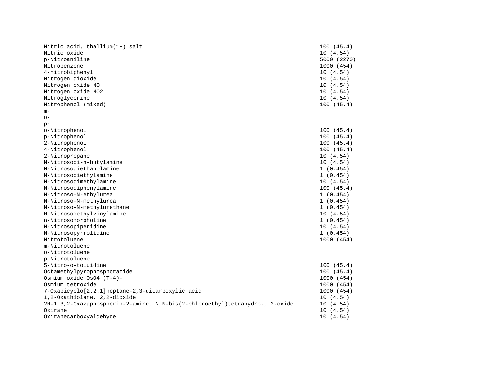| Nitric acid, thallium(1+) salt                                                  | 100(45.4)   |
|---------------------------------------------------------------------------------|-------------|
| Nitric oxide                                                                    | 10(4.54)    |
| p-Nitroaniline                                                                  | 5000 (2270) |
| Nitrobenzene                                                                    | 1000 (454)  |
| 4-nitrobiphenyl                                                                 | 10(4.54)    |
| Nitrogen dioxide                                                                | 10(4.54)    |
| Nitrogen oxide NO                                                               | 10(4.54)    |
| Nitrogen oxide NO2                                                              | 10(4.54)    |
| Nitroglycerine                                                                  | 10(4.54)    |
| Nitrophenol (mixed)                                                             | 100(45.4)   |
| $m-$                                                                            |             |
| $O -$                                                                           |             |
| $p -$                                                                           |             |
| o-Nitrophenol                                                                   | 100(45.4)   |
| p-Nitrophenol                                                                   | 100(45.4)   |
| 2-Nitrophenol                                                                   | 100(45.4)   |
| 4-Nitrophenol                                                                   | 100(45.4)   |
| 2-Nitropropane                                                                  | 10(4.54)    |
| N-Nitrosodi-n-butylamine                                                        | 10(4.54)    |
| N-Nitrosodiethanolamine                                                         | 1(0.454)    |
| N-Nitrosodiethylamine                                                           | 1(0.454)    |
| N-Nitrosodimethylamine                                                          | 10(4.54)    |
| N-Nitrosodiphenylamine                                                          | 100(45.4)   |
| N-Nitroso-N-ethylurea                                                           | 1(0.454)    |
| N-Nitroso-N-methylurea                                                          | 1(0.454)    |
| N-Nitroso-N-methylurethane                                                      | 1(0.454)    |
| N-Nitrosomethylvinylamine                                                       | 10(4.54)    |
| n-Nitrosomorpholine                                                             | 1(0.454)    |
| N-Nitrosopiperidine                                                             | 10(4.54)    |
| N-Nitrosopyrrolidine                                                            | 1(0.454)    |
| Nitrotoluene                                                                    | 1000 (454)  |
| m-Nitrotoluene                                                                  |             |
| o-Nitrotoluene                                                                  |             |
| p-Nitrotoluene                                                                  |             |
| 5-Nitro-o-toluidine                                                             | 100(45.4)   |
| Octamethylpyrophosphoramide                                                     | 100(45.4)   |
| Osmium oxide $OSO4$ (T-4)-                                                      | 1000 (454)  |
| Osmium tetroxide                                                                | 1000 (454)  |
| 7-Oxabicyclo[2.2.1]heptane-2,3-dicarboxylic acid                                | 1000 (454)  |
| 1,2-Oxathiolane, 2,2-dioxide                                                    | 10(4.54)    |
| 2H-1, 3, 2-Oxazaphosphorin-2-amine, N, N-bis(2-chloroethyl)tetrahydro-, 2-oxide | 10(4.54)    |
| Oxirane                                                                         | 10(4.54)    |
| Oxiranecarboxyaldehyde                                                          | 10(4.54)    |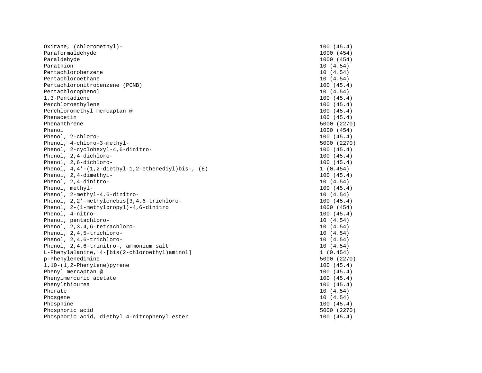| Oxirane, (chloromethyl)-                                       | 100(45.4)   |
|----------------------------------------------------------------|-------------|
| Paraformaldehyde                                               | 1000 (454)  |
| Paraldehyde                                                    | 1000 (454)  |
| Parathion                                                      | 10(4.54)    |
| Pentachlorobenzene                                             | 10(4.54)    |
| Pentachloroethane                                              | 10(4.54)    |
| Pentachloronitrobenzene (PCNB)                                 | 100(45.4)   |
| Pentachlorophenol                                              | 10(4.54)    |
| 1,3-Pentadiene                                                 | 100(45.4)   |
| Perchloroethylene                                              | 100(45.4)   |
| Perchloromethyl mercaptan @                                    | 100(45.4)   |
| Phenacetin                                                     | 100(45.4)   |
| Phenanthrene                                                   | 5000 (2270) |
| Phenol                                                         | 1000 (454)  |
| Phenol, 2-chloro-                                              | 100(45.4)   |
| Phenol, 4-chloro-3-methyl-                                     | 5000 (2270) |
| Phenol, 2-cyclohexyl-4,6-dinitro-                              | 100(45.4)   |
| Phenol, 2,4-dichloro-                                          | 100(45.4)   |
| Phenol, 2,6-dichloro-                                          | 100(45.4)   |
| Phenol, $4, 4'$ - $(1, 2$ -diethyl-1, 2-ethenediyl)bis-, $(E)$ | 1(0.454)    |
| Phenol, 2,4-dimethyl-                                          | 100(45.4)   |
| Phenol, 2,4-dinitro-                                           | 10(4.54)    |
| Phenol, methyl-                                                | 100(45.4)   |
| Phenol, 2-methyl-4,6-dinitro-                                  | 10(4.54)    |
| Phenol, 2,2'-methylenebis[3,4,6-trichloro-                     | 100(45.4)   |
| Phenol, 2-(1-methylpropyl)-4,6-dinitro                         | 1000 (454)  |
| Phenol, 4-nitro-                                               | 100(45.4)   |
| Phenol, pentachloro-                                           | 10(4.54)    |
| Phenol, 2, 3, 4, 6-tetrachloro-                                | 10(4.54)    |
| Phenol, 2,4,5-trichloro-                                       | 10(4.54)    |
| Phenol, 2,4,6-trichloro-                                       | 10(4.54)    |
| Phenol, 2,4,6-trinitro-, ammonium salt                         | 10(4.54)    |
| L-Phenylalanine, 4-[bis(2-chloroethyl)aminol]                  | 1(0.454)    |
| p-Phenylenedimine                                              | 5000 (2270) |
| $1, 10 - (1, 2-Phenylene)$ pyrene                              | 100(45.4)   |
| Phenyl mercaptan @                                             | 100(45.4)   |
| Phenylmercuric acetate                                         | 100(45.4)   |
| Phenylthiourea                                                 | 100(45.4)   |
| Phorate                                                        | 10(4.54)    |
| Phosgene                                                       | 10(4.54)    |
| Phosphine                                                      | 100(45.4)   |
| Phosphoric acid                                                | 5000 (2270) |
| Phosphoric acid, diethyl 4-nitrophenyl ester                   | 100(45.4)   |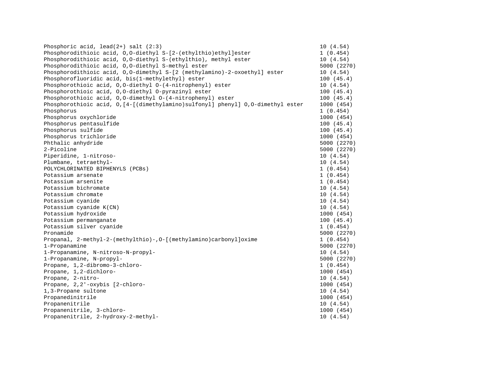| Phosphoric acid, $lead(2+)$ salt $(2:3)$                                         | 10(4.54)    |
|----------------------------------------------------------------------------------|-------------|
| Phosphorodithioic acid, 0,0-diethyl S-[2-(ethylthio)ethyl]ester                  | 1(0.454)    |
| Phosphorodithioic acid, 0,0-diethyl S-(ethylthio), methyl ester                  | 10(4.54)    |
| Phosphorodithioic acid, 0,0-diethyl S-methyl ester                               | 5000 (2270) |
| Phosphorodithioic acid, 0,0-dimethyl S-[2 (methylamino)-2-oxoethyl] ester        | 10(4.54)    |
| Phosphorofluoridic acid, bis(1-methylethyl) ester                                | 100(45.4)   |
| Phosphorothioic acid, 0,0-diethyl 0-(4-nitrophenyl) ester                        | 10 (4.54)   |
| Phosphorothioic acid, 0,0-diethyl 0-pyrazinyl ester                              | 100(45.4)   |
| Phosphorothioic acid, 0,0-dimethyl 0-(4-nitrophenyl) ester                       | 100(45.4)   |
| Phosphorothioic acid, 0, [4-[(dimethylamino)sulfonyl] phenyl] 0,0-dimethyl ester | 1000 (454)  |
| Phosphorus                                                                       | 1(0.454)    |
| Phosphorus oxychloride                                                           | 1000 (454)  |
| Phosphorus pentasulfide                                                          | 100(45.4)   |
| Phosphorus sulfide                                                               | 100(45.4)   |
| Phosphorus trichloride                                                           | 1000 (454)  |
| Phthalic anhydride                                                               | 5000 (2270) |
| 2-Picoline                                                                       | 5000 (2270) |
| Piperidine, 1-nitroso-                                                           | 10(4.54)    |
| Plumbane, tetraethyl-                                                            | 10(4.54)    |
| POLYCHLORINATED BIPHENYLS (PCBs)                                                 | 1(0.454)    |
| Potassium arsenate                                                               | 1(0.454)    |
| Potassium arsenite                                                               | 1(0.454)    |
| Potassium bichromate                                                             | 10(4.54)    |
| Potassium chromate                                                               | 10(4.54)    |
| Potassium cyanide                                                                | 10(4.54)    |
| Potassium cyanide K(CN)                                                          | 10 (4.54)   |
| Potassium hydroxide                                                              | 1000 (454)  |
| Potassium permanganate                                                           | 100(45.4)   |
| Potassium silver cyanide                                                         | 1(0.454)    |
| Pronamide                                                                        | 5000 (2270) |
| Propanal, 2-methyl-2-(methylthio)-, 0-[(methylamino)carbonyl]oxime               | 1(0.454)    |
| 1-Propanamine                                                                    | 5000 (2270) |
| 1-Propanamine, N-nitroso-N-propyl-                                               | 10(4.54)    |
| 1-Propanamine, N-propyl-                                                         | 5000 (2270) |
| Propane, 1,2-dibromo-3-chloro-                                                   | 1(0.454)    |
| Propane, 1,2-dichloro-                                                           | 1000 (454)  |
| Propane, 2-nitro-                                                                | 10(4.54)    |
| Propane, 2,2'-oxybis [2-chloro-                                                  | 1000 (454)  |
| 1,3-Propane sultone                                                              | 10(4.54)    |
| Propanedinitrile                                                                 | 1000 (454)  |
| Propanenitrile                                                                   | 10(4.54)    |
| Propanenitrile, 3-chloro-                                                        | 1000 (454)  |
| Propanenitrile, 2-hydroxy-2-methyl-                                              | 10(4.54)    |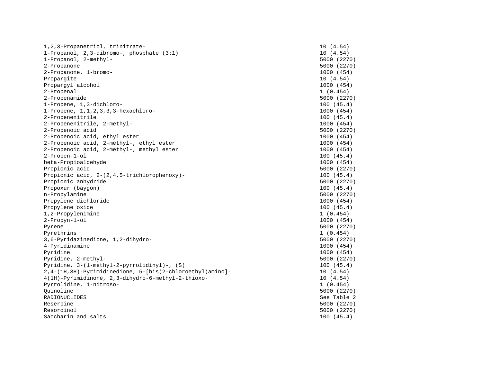| 1, 2, 3-Propanetriol, trinitrate-                           | 10(4.54)    |
|-------------------------------------------------------------|-------------|
| 1-Propanol, 2,3-dibromo-, phosphate (3:1)                   | 10(4.54)    |
| 1-Propanol, 2-methyl-                                       | 5000 (2270) |
| 2-Propanone                                                 | 5000 (2270) |
| 2-Propanone, 1-bromo-                                       | 1000 (454)  |
| Propargite                                                  | 10(4.54)    |
| Propargyl alcohol                                           | 1000 (454)  |
| 2-Propenal                                                  | 1(0.454)    |
| 2-Propenamide                                               | 5000 (2270) |
| 1-Propene, 1,3-dichloro-                                    | 100(45.4)   |
| $1$ -Propene, $1, 1, 2, 3, 3$ , 3-hexachloro-               | 1000 (454)  |
| 2-Propenenitrile                                            | 100(45.4)   |
| 2-Propenenitrile, 2-methyl-                                 | 1000 (454)  |
| 2-Propenoic acid                                            | 5000 (2270) |
| 2-Propenoic acid, ethyl ester                               | 1000 (454)  |
| 2-Propenoic acid, 2-methyl-, ethyl ester                    | 1000 (454)  |
| 2-Propenoic acid, 2-methyl-, methyl ester                   | 1000 (454)  |
| $2$ -Propen- $1$ -ol                                        | 100(45.4)   |
| beta-Propioaldehyde                                         | 1000 (454)  |
| Propionic acid                                              | 5000 (2270) |
| Propionic acid, 2-(2,4,5-trichlorophenoxy)-                 | 100(45.4)   |
| Propionic anhydride                                         | 5000 (2270) |
| Propoxur (baygon)                                           | 100(45.4)   |
| n-Propylamine                                               | 5000 (2270) |
| Propylene dichloride                                        | 1000 (454)  |
| Propylene oxide                                             | 100(45.4)   |
| 1,2-Propylenimine                                           | 1(0.454)    |
| $2$ -Propyn- $1$ -ol                                        | 1000 (454)  |
| Pyrene                                                      | 5000 (2270) |
| Pyrethrins                                                  | 1(0.454)    |
| 3,6-Pyridazinedione, 1,2-dihydro-                           | 5000 (2270) |
| 4-Pyridinamine                                              | 1000 (454)  |
| Pyridine                                                    | 1000 (454)  |
| Pyridine, 2-methyl-                                         | 5000 (2270) |
| Pyridine, 3-(1-methyl-2-pyrrolidinyl)-, (S)                 | 100(45.4)   |
| 2, 4-(1H, 3H)-Pyrimidinedione, 5-[bis(2-chloroethyl)amino]- | 10(4.54)    |
| 4(1H)-Pyrimidinone, 2,3-dihydro-6-methyl-2-thioxo-          | 10(4.54)    |
| Pyrrolidine, 1-nitroso-                                     | 1(0.454)    |
| Ouinoline                                                   | 5000 (2270) |
| RADIONUCLIDES                                               | See Table 2 |
| Reserpine                                                   | 5000 (2270) |
| Resorcinol                                                  | 5000 (2270) |
| Saccharin and salts                                         | 100(45.4)   |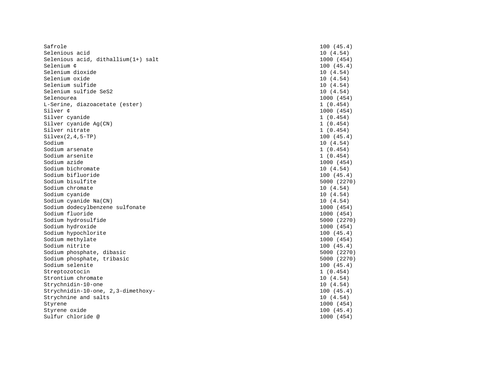| Safrole                             | 100(45.4)   |
|-------------------------------------|-------------|
| Selenious acid                      | 10(4.54)    |
| Selenious acid, dithallium(1+) salt | 1000 (454)  |
| Selenium ¢                          | 100(45.4)   |
| Selenium dioxide                    | 10(4.54)    |
| Selenium oxide                      | 10(4.54)    |
| Selenium sulfide                    | 10 (4.54)   |
| Selenium sulfide SeS2               | 10(4.54)    |
| Selenourea                          | 1000 (454)  |
| L-Serine, diazoacetate (ester)      | 1(0.454)    |
| Silver ¢                            | 1000 (454)  |
| Silver cyanide                      | 1(0.454)    |
| Silver cyanide Ag(CN)               | 1(0.454)    |
| Silver nitrate                      | 1(0.454)    |
| $Silvex(2,4,5-TP)$                  | 100(45.4)   |
| Sodium                              | 10(4.54)    |
| Sodium arsenate                     | 1(0.454)    |
| Sodium arsenite                     | 1(0.454)    |
| Sodium azide                        | 1000 (454)  |
| Sodium bichromate                   | 10 (4.54)   |
| Sodium bifluoride                   | 100(45.4)   |
| Sodium bisulfite                    | 5000 (2270) |
| Sodium chromate                     | 10(4.54)    |
| Sodium cyanide                      | 10(4.54)    |
| Sodium cyanide Na(CN)               | 10(4.54)    |
| Sodium dodecylbenzene sulfonate     | 1000 (454)  |
| Sodium fluoride                     | 1000 (454)  |
| Sodium hydrosulfide                 | 5000 (2270) |
| Sodium hydroxide                    | 1000 (454)  |
| Sodium hypochlorite                 | 100(45.4)   |
| Sodium methylate                    | 1000 (454)  |
| Sodium nitrite                      | 100(45.4)   |
| Sodium phosphate, dibasic           | 5000 (2270) |
| Sodium phosphate, tribasic          | 5000 (2270) |
| Sodium selenite                     | 100(45.4)   |
| Streptozotocin                      | 1(0.454)    |
| Strontium chromate                  | 10(4.54)    |
| Strychnidin-10-one                  | 10(4.54)    |
| Strychnidin-10-one, 2,3-dimethoxy-  | 100(45.4)   |
| Strychnine and salts                | 10(4.54)    |
| Styrene                             | 1000 (454)  |
| Styrene oxide                       | 100(45.4)   |
| Sulfur chloride @                   | 1000 (454)  |
|                                     |             |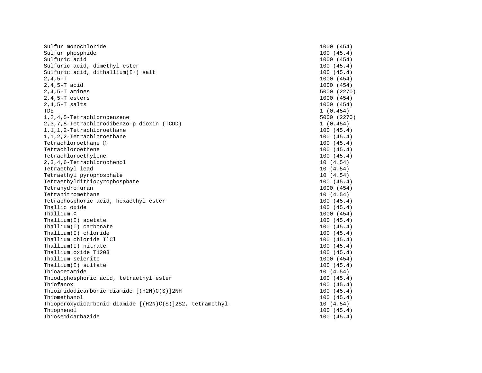| Sulfur monochloride                                       | 1000 (454)  |
|-----------------------------------------------------------|-------------|
| Sulfur phosphide                                          | 100(45.4)   |
| Sulfuric acid                                             | 1000 (454)  |
| Sulfuric acid, dimethyl ester                             | 100(45.4)   |
| Sulfuric acid, dithallium(I+) salt                        | 100(45.4)   |
| $2, 4, 5-T$                                               | 1000 (454)  |
| $2, 4, 5-T$ acid                                          | 1000 (454)  |
| $2, 4, 5-T$ amines                                        | 5000 (2270) |
| $2, 4, 5-T$ esters                                        | 1000 (454)  |
| $2, 4, 5-T$ salts                                         | 1000 (454)  |
| TDE                                                       | 1(0.454)    |
| 1, 2, 4, 5-Tetrachlorobenzene                             | 5000 (2270) |
| 2, 3, 7, 8-Tetrachlorodibenzo-p-dioxin (TCDD)             | 1(0.454)    |
| 1, 1, 1, 2-Tetrachloroethane                              | 100(45.4)   |
| 1, 1, 2, 2-Tetrachloroethane                              | 100(45.4)   |
| Tetrachloroethane @                                       | 100(45.4)   |
| Tetrachloroethene                                         | 100(45.4)   |
| Tetrachloroethylene                                       | 100(45.4)   |
| 2, 3, 4, 6-Tetrachlorophenol                              | 10(4.54)    |
| Tetraethyl lead                                           | 10(4.54)    |
| Tetraethyl pyrophosphate                                  | 10(4.54)    |
| Tetraethyldithiopyrophosphate                             | 100(45.4)   |
| Tetrahydrofuran                                           | 1000 (454)  |
| Tetranitromethane                                         | 10(4.54)    |
| Tetraphosphoric acid, hexaethyl ester                     | 100(45.4)   |
| Thallic oxide                                             | 100(45.4)   |
| Thallium ¢                                                | 1000 (454)  |
| Thallium $(I)$ acetate                                    | 100(45.4)   |
| Thallium(I) carbonate                                     | 100(45.4)   |
| Thallium(I) chloride                                      | 100(45.4)   |
| Thallium chloride T1Cl                                    | 100(45.4)   |
| Thallium(I) nitrate                                       | 100(45.4)   |
| Thallium oxide T1203                                      | 100(45.4)   |
| Thallium selenite                                         | 1000 (454)  |
| Thallium(I) sulfate                                       | 100(45.4)   |
| Thioacetamide                                             | 10(4.54)    |
| Thiodiphosphoric acid, tetraethyl ester                   | 100(45.4)   |
| Thiofanox                                                 | 100(45.4)   |
| Thioimidodicarbonic diamide [(H2N)C(S)]2NH                | 100(45.4)   |
| Thiomethanol                                              | 100(45.4)   |
| Thioperoxydicarbonic diamide [(H2N)C(S)]2S2, tetramethyl- | 10(4.54)    |
| Thiophenol                                                | 100(45.4)   |
| Thiosemicarbazide                                         | 100(45.4)   |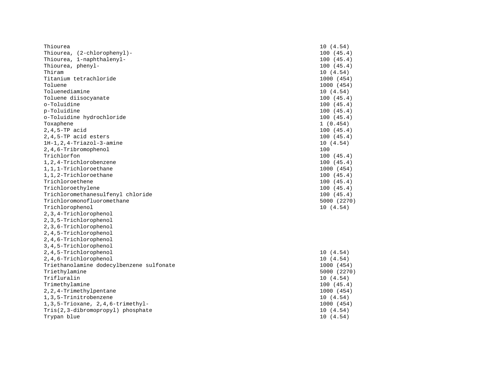| Thiourea                                 | 10(4.54)    |
|------------------------------------------|-------------|
| Thiourea, (2-chlorophenyl)-              | 100(45.4)   |
| Thiourea, 1-naphthalenyl-                | 100(45.4)   |
| Thiourea, phenyl-                        | 100(45.4)   |
| Thiram                                   | 10(4.54)    |
| Titanium tetrachloride                   | 1000 (454)  |
| Toluene                                  | 1000 (454)  |
| Toluenediamine                           | 10(4.54)    |
| Toluene diisocyanate                     | 100(45.4)   |
| o-Toluidine                              | 100(45.4)   |
| p-Toluidine                              | 100(45.4)   |
| o-Toluidine hydrochloride                | 100(45.4)   |
| Toxaphene                                | 1(0.454)    |
| $2, 4, 5-TP$ acid                        | 100(45.4)   |
| 2,4,5-TP acid esters                     | 100(45.4)   |
| $1H-1, 2, 4-Triazol-3-amine$             | 10(4.54)    |
| 2,4,6-Tribromophenol                     | 100         |
| Trichlorfon                              | 100(45.4)   |
| 1, 2, 4-Trichlorobenzene                 | 100(45.4)   |
| 1,1,1-Trichloroethane                    | 1000 (454)  |
| 1,1,2-Trichloroethane                    | 100(45.4)   |
| Trichloroethene                          | 100(45.4)   |
| Trichloroethylene                        | 100(45.4)   |
| Trichloromethanesulfenyl chloride        | 100(45.4)   |
| Trichloromonofluoromethane               | 5000 (2270) |
| Trichlorophenol                          | 10(4.54)    |
| 2, 3, 4-Trichlorophenol                  |             |
| 2, 3, 5-Trichlorophenol                  |             |
| 2,3,6-Trichlorophenol                    |             |
| 2, 4, 5-Trichlorophenol                  |             |
| 2,4,6-Trichlorophenol                    |             |
| 3, 4, 5-Trichlorophenol                  |             |
| 2,4,5-Trichlorophenol                    | 10(4.54)    |
| 2,4,6-Trichlorophenol                    | 10(4.54)    |
| Triethanolamine dodecylbenzene sulfonate | 1000 (454)  |
| Triethylamine                            | 5000 (2270) |
| Trifluralin                              | 10(4.54)    |
| Trimethylamine                           | 100(45.4)   |
| 2, 2, 4-Trimethylpentane                 | 1000 (454)  |
| 1, 3, 5-Trinitrobenzene                  | 10(4.54)    |
| 1, 3, 5-Trioxane, 2, 4, 6-trimethyl-     | 1000 (454)  |
| Tris(2,3-dibromopropyl) phosphate        | 10(4.54)    |
| Trypan blue                              | 10(4.54)    |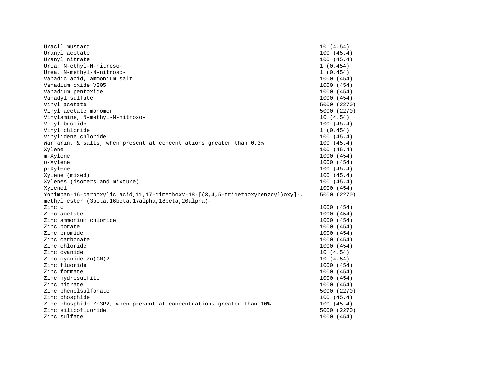| Uracil mustard                                                                                                                                  | 10(4.54)    |
|-------------------------------------------------------------------------------------------------------------------------------------------------|-------------|
| Uranyl acetate                                                                                                                                  | 100(45.4)   |
| Uranyl nitrate                                                                                                                                  | 100(45.4)   |
| Urea, N-ethyl-N-nitroso-                                                                                                                        | 1(0.454)    |
| Urea, N-methyl-N-nitroso-                                                                                                                       | 1(0.454)    |
| Vanadic acid, ammonium salt                                                                                                                     | 1000 (454)  |
| Vanadium oxide V205                                                                                                                             | 1000 (454)  |
| Vanadium pentoxide                                                                                                                              | 1000 (454)  |
| Vanadyl sulfate                                                                                                                                 | 1000 (454)  |
| Vinyl acetate                                                                                                                                   | 5000 (2270) |
| Vinyl acetate monomer                                                                                                                           | 5000 (2270) |
| Vinylamine, N-methyl-N-nitroso-                                                                                                                 | 10 (4.54)   |
| Vinyl bromide                                                                                                                                   | 100(45.4)   |
| Vinyl chloride                                                                                                                                  | 1(0.454)    |
| Vinylidene chloride                                                                                                                             | 100(45.4)   |
| Warfarin, $\&$ salts, when present at concentrations greater than $0.3\%$                                                                       | 100(45.4)   |
| Xylene                                                                                                                                          | 100(45.4)   |
| m-Xylene                                                                                                                                        | 1000 (454)  |
| o-Xylene                                                                                                                                        | 1000 (454)  |
| p-Xylene                                                                                                                                        | 100(45.4)   |
| Xylene (mixed)                                                                                                                                  | 100(45.4)   |
| Xylenes (isomers and mixture)                                                                                                                   | 100(45.4)   |
| Xylenol                                                                                                                                         | 1000 (454)  |
| Yohimban-16-carboxylic acid, 11, 17-dimethoxy-18-[(3, 4, 5-trimethoxybenzoyl) oxy]-,<br>methyl ester (3beta, 16beta, 17alpha, 18beta, 20alpha)- | 5000 (2270) |
| Zinc ¢                                                                                                                                          | 1000 (454)  |
| Zinc acetate                                                                                                                                    | 1000 (454)  |
| Zinc ammonium chloride                                                                                                                          | 1000 (454)  |
| Zinc borate                                                                                                                                     | 1000 (454)  |
| Zinc bromide                                                                                                                                    | 1000 (454)  |
| Zinc carbonate                                                                                                                                  | 1000 (454)  |
| Zinc chloride                                                                                                                                   | 1000 (454)  |
| Zinc cyanide                                                                                                                                    | 10(4.54)    |
| Zinc cyanide Zn(CN)2                                                                                                                            | 10(4.54)    |
| Zinc fluoride                                                                                                                                   | 1000 (454)  |
| Zinc formate                                                                                                                                    | 1000 (454)  |
| Zinc hydrosulfite                                                                                                                               | 1000 (454)  |
| Zinc nitrate                                                                                                                                    | 1000 (454)  |
| Zinc phenolsulfonate                                                                                                                            | 5000 (2270) |
| Zinc phosphide                                                                                                                                  | 100(45.4)   |
| Zinc phosphide Zn3P2, when present at concentrations greater than 10%                                                                           | 100(45.4)   |
| Zinc silicofluoride                                                                                                                             | 5000 (2270) |
| Zinc sulfate                                                                                                                                    | 1000 (454)  |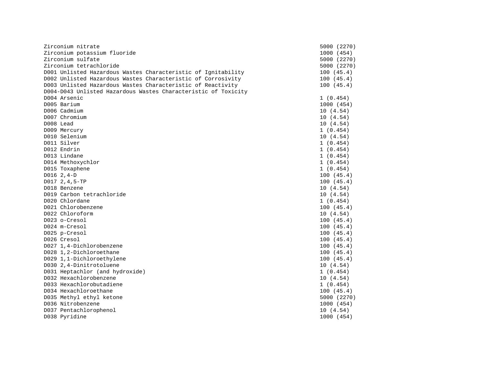| Zirconium nitrate                                              | 5000 (2270) |
|----------------------------------------------------------------|-------------|
| Zirconium potassium fluoride                                   | 1000 (454)  |
| Zirconium sulfate                                              | 5000 (2270) |
| Zirconium tetrachloride                                        | 5000 (2270) |
| D001 Unlisted Hazardous Wastes Characteristic of Ignitability  | 100(45.4)   |
| D002 Unlisted Hazardous Wastes Characteristic of Corrosivity   | 100(45.4)   |
| D003 Unlisted Hazardous Wastes Characteristic of Reactivity    | 100(45.4)   |
| D004-D043 Unlisted Hazardous Wastes Characteristic of Toxicity |             |
| D004 Arsenic                                                   | 1(0.454)    |
| D005 Barium                                                    | 1000 (454)  |
| D006 Cadmium                                                   | 10(4.54)    |
| D007 Chromium                                                  | 10(4.54)    |
| D008 Lead                                                      | 10(4.54)    |
| D009 Mercury                                                   | 1(0.454)    |
| D010 Selenium                                                  | 10(4.54)    |
| D011 Silver                                                    | 1(0.454)    |
| D012 Endrin                                                    | 1(0.454)    |
| D013 Lindane                                                   | 1(0.454)    |
| D014 Methoxychlor                                              | 1(0.454)    |
| D015 Toxaphene                                                 | 1(0.454)    |
| $D016 2, 4-D$                                                  | 100(45.4)   |
| D017 2, 4, 5-TP                                                | 100(45.4)   |
| D018 Benzene                                                   | 10(4.54)    |
| D019 Carbon tetrachloride                                      | 10(4.54)    |
| D020 Chlordane                                                 | 1(0.454)    |
| D021 Chlorobenzene                                             | 100(45.4)   |
| D022 Chloroform                                                | 10(4.54)    |
| D023 o-Cresol                                                  | 100(45.4)   |
| D024 m-Cresol                                                  | 100(45.4)   |
| D025 p-Cresol                                                  | 100(45.4)   |
| D026 Cresol                                                    | 100(45.4)   |
| D027 1,4-Dichlorobenzene                                       | 100(45.4)   |
| D028 1,2-Dichloroethane                                        | 100(45.4)   |
| D029 1,1-Dichloroethylene                                      | 100(45.4)   |
| D030 2,4-Dinitrotoluene                                        | 10(4.54)    |
| D031 Heptachlor (and hydroxide)                                | 1(0.454)    |
| D032 Hexachlorobenzene                                         | 10(4.54)    |
| D033 Hexachlorobutadiene                                       | 1(0.454)    |
| D034 Hexachloroethane                                          | 100(45.4)   |
| D035 Methyl ethyl ketone                                       | 5000 (2270) |
| D036 Nitrobenzene                                              | 1000 (454)  |
| D037 Pentachlorophenol                                         | 10(4.54)    |
| D038 Pyridine                                                  | 1000 (454)  |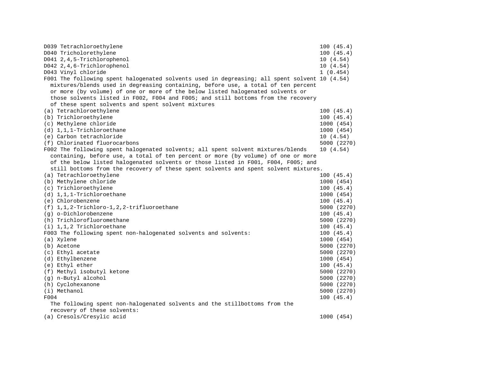| D039 Tetrachloroethylene                                                                      | 100(45.4)   |
|-----------------------------------------------------------------------------------------------|-------------|
| D040 Tricholorethylene                                                                        | 100(45.4)   |
| D041 2,4,5-Trichlorophenol                                                                    | 10(4.54)    |
| D042 2,4,6-Trichlorophenol                                                                    | 10(4.54)    |
| D043 Vinyl chloride                                                                           | 1(0.454)    |
| F001 The following spent halogenated solvents used in degreasing; all spent solvent 10 (4.54) |             |
| mixtures/blends used in degreasing containing, before use, a total of ten percent             |             |
| or more (by volume) of one or more of the below listed halogenated solvents or                |             |
| those solvents listed in F002, F004 and F005; and still bottoms from the recovery             |             |
| of these spent solvents and spent solvent mixtures                                            |             |
| (a) Tetrachloroethylene                                                                       | 100(45.4)   |
| (b) Trichloroethylene                                                                         | 100(45.4)   |
| (c) Methylene chloride                                                                        | 1000 (454)  |
| (d) 1,1,1-Trichloroethane                                                                     | 1000 (454)  |
| (e) Carbon tetrachloride                                                                      | 10(4.54)    |
| (f) Chlorinated fluorocarbons                                                                 | 5000 (2270) |
| F002 The following spent halogenated solvents; all spent solvent mixtures/blends              | 10(4.54)    |
| containing, before use, a total of ten percent or more (by volume) of one or more             |             |
| of the below listed halogenated solvents or those listed in F001, F004, F005; and             |             |
| still bottoms from the recovery of these spent solvents and spent solvent mixtures.           |             |
| (a) Tetrachloroethylene                                                                       | 100(45.4)   |
| (b) Methylene chloride                                                                        | 1000 (454)  |
| (c) Trichloroethylene                                                                         | 100(45.4)   |
| (d) 1,1,1-Trichloroethane                                                                     | 1000 (454)  |
| (e) Chlorobenzene                                                                             | 100(45.4)   |
| $(f)$ 1, 1, 2-Trichloro-1, 2, 2-trifluoroethane                                               | 5000 (2270) |
| (q) o-Dichlorobenzene                                                                         | 100(45.4)   |
| (h) Trichlorofluoromethane                                                                    | 5000 (2270) |
| $(i)$ 1,1,2 Trichloroethane                                                                   | 100(45.4)   |
| F003 The following spent non-halogenated solvents and solvents:                               | 100(45.4)   |
| (a) Xylene                                                                                    | 1000 (454)  |
| (b) Acetone                                                                                   | 5000 (2270) |
| (c) Ethyl acetate                                                                             | 5000 (2270) |
| (d) Ethylbenzene                                                                              | 1000 (454)  |
| (e) Ethyl ether                                                                               | 100(45.4)   |
| (f) Methyl isobutyl ketone                                                                    | 5000 (2270) |
| (q) n-Butyl alcohol                                                                           | 5000 (2270) |
| (h) Cyclohexanone                                                                             | 5000 (2270) |
| (i) Methanol                                                                                  | 5000 (2270) |
| F004                                                                                          | 100(45.4)   |
| The following spent non-halogenated solvents and the stillbottoms from the                    |             |
| recovery of these solvents:                                                                   |             |
| (a) Cresols/Cresylic acid                                                                     | 1000 (454)  |
|                                                                                               |             |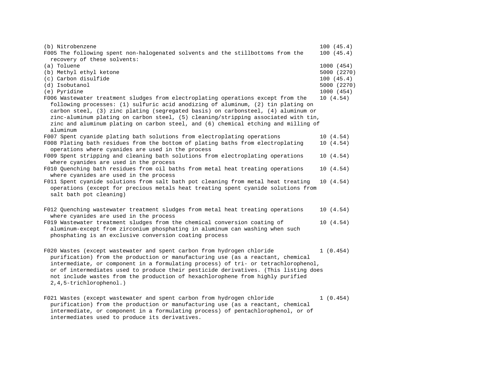| (b) Nitrobenzene<br>F005 The following spent non-halogenated solvents and the stillbottoms from the | 100(45.4)<br>100(45.4) |
|-----------------------------------------------------------------------------------------------------|------------------------|
| recovery of these solvents:                                                                         |                        |
| (a) Toluene                                                                                         | 1000 (454)             |
| (b) Methyl ethyl ketone                                                                             | 5000 (2270)            |
| (c) Carbon disulfide                                                                                | 100(45.4)              |
| (d) Isobutanol                                                                                      | 5000 (2270)            |
| (e) Pyridine                                                                                        | 1000 (454)             |
| F006 Wastewater treatment sludges from electroplating operations except from the                    | 10(4.54)               |
| following processes: (1) sulfuric acid anodizing of aluminum, (2) tin plating on                    |                        |
| carbon steel, (3) zinc plating (segregated basis) on carbonsteel, (4) aluminum or                   |                        |
| zinc-aluminum plating on carbon steel, (5) cleaning/stripping associated with tin,                  |                        |
| zinc and aluminum plating on carbon steel, and (6) chemical etching and milling of                  |                        |
| aluminum                                                                                            |                        |
| F007 Spent cyanide plating bath solutions from electroplating operations                            | 10(4.54)               |
| F008 Plating bath residues from the bottom of plating baths from electroplating                     | 10(4.54)               |
| operations where cyanides are used in the process                                                   |                        |
| F009 Spent stripping and cleaning bath solutions from electroplating operations                     | 10(4.54)               |
| where cyanides are used in the process                                                              |                        |
| F010 Quenching bath residues from oil baths from metal heat treating operations                     | 10(4.54)               |
| where cyanides are used in the process                                                              |                        |
| F011 Spent cyanide solutions from salt bath pot cleaning from metal heat treating                   | 10(4.54)               |
| operations (except for precious metals heat treating spent cyanide solutions from                   |                        |
| salt bath pot cleaning)                                                                             |                        |
|                                                                                                     |                        |
| F012 Quenching wastewater treatment sludges from metal heat treating operations                     | 10(4.54)               |
| where cyanides are used in the process                                                              |                        |
|                                                                                                     | 10(4.54)               |
| F019 Wastewater treatment sludges from the chemical conversion coating of                           |                        |
| aluminum-except from zirconium phosphating in aluminum can washing when such                        |                        |
| phosphating is an exclusive conversion coating process                                              |                        |
|                                                                                                     |                        |
| F020 Wastes (except wastewater and spent carbon from hydrogen chloride                              | 1(0.454)               |
| purification) from the production or manufacturing use (as a reactant, chemical                     |                        |
| intermediate, or component in a formulating process) of tri- or tetrachlorophenol,                  |                        |
| or of intermediates used to produce their pesticide derivatives. (This listing does                 |                        |
| not include wastes from the production of hexachlorophene from highly purified                      |                        |
| 2, 4, 5-trichlorophenol.)                                                                           |                        |
|                                                                                                     |                        |
| F021 Wastes (except wastewater and spent carbon from hydrogen chloride                              | 1(0.454)               |
| purification) from the production or manufacturing use (as a reactant, chemical                     |                        |
| intermediate, or component in a formulating process) of pentachlorophenol, or of                    |                        |

intermediates used to produce its derivatives.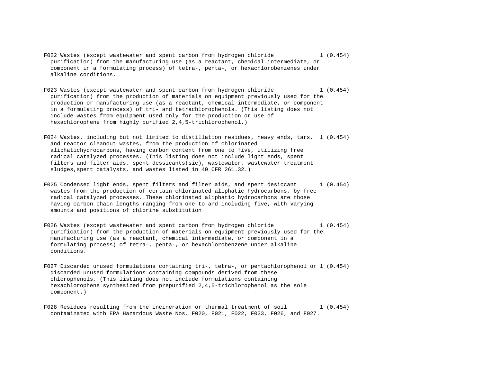- F022 Wastes (except wastewater and spent carbon from hydrogen chloride 1 (0.454) purification) from the manufacturing use (as a reactant, chemical intermediate, or component in a formulating process) of tetra-, penta-, or hexachlorobenzenes under alkaline conditions.
- F023 Wastes (except wastewater and spent carbon from hydrogen chloride 1 (0.454) purification) from the production of materials on equipment previously used for the production or manufacturing use (as a reactant, chemical intermediate, or component in a formulating process) of tri- and tetrachlorophenols. (This listing does not include wastes from equipment used only for the production or use of hexachlorophene from highly purified 2,4,5-trichlorophenol.)

F024 Wastes, including but not limited to distillation residues, heavy ends, tars, 1 (0.454) and reactor cleanout wastes, from the production of chlorinated aliphatichydrocarbons, having carbon content from one to five, utilizing free radical catalyzed processes. (This listing does not include light ends, spent filters and filter aids, spent dessicants(sic), wastewater, wastewater treatment sludges,spent catalysts, and wastes listed in 40 CFR 261.32.)

- F025 Condensed light ends, spent filters and filter aids, and spent desiccant 1 (0.454) wastes from the production of certain chlorinated aliphatic hydrocarbons, by free radical catalyzed processes. These chlorinated aliphatic hydrocarbons are those having carbon chain lengths ranging from one to and including five, with varying amounts and positions of chlorine substitution
- F026 Wastes (except wastewater and spent carbon from hydrogen chloride 1 (0.454) purification) from the production of materials on equipment previously used for the manufacturing use (as a reactant, chemical intermediate, or component in a formulating process) of tetra-, penta-, or hexachlorobenzene under alkaline conditions.
- F027 Discarded unused formulations containing tri-, tetra-, or pentachlorophenol or 1 (0.454) discarded unused formulations containing compounds derived from these chlorophenols. (This listing does not include formulations containing hexachlorophene synthesized from prepurified 2,4,5-trichlorophenol as the sole component.)
- F028 Residues resulting from the incineration or thermal treatment of soil 1 (0.454) contaminated with EPA Hazardous Waste Nos. F020, F021, F022, F023, F026, and F027.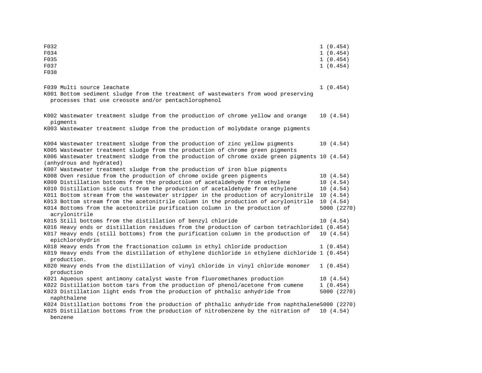| F032<br>F034<br>F035<br>F037<br>F038                                                                                                                                     | 1(0.454)<br>1(0.454)<br>1(0.454)<br>1(0.454) |
|--------------------------------------------------------------------------------------------------------------------------------------------------------------------------|----------------------------------------------|
| F039 Multi source leachate<br>K001 Bottom sediment sludge from the treatment of wastewaters from wood preserving<br>processes that use creosote and/or pentachlorophenol | 1(0.454)                                     |
| K002 Wastewater treatment sludge from the production of chrome yellow and orange<br>pigments                                                                             | 10(4.54)                                     |
| K003 Wastewater treatment sludge from the production of molybdate orange pigments                                                                                        |                                              |
| K004 Wastewater treatment sludge from the production of zinc yellow pigments<br>K005 Wastewater treatment sludge from the production of chrome green pigments            | 10(4.54)                                     |
| K006 Wastewater treatment sludge from the production of chrome oxide green pigments 10 (4.54)<br>(anhydrous and hydrated)                                                |                                              |
| K007 Wastewater treatment sludge from the production of iron blue pigments                                                                                               |                                              |
| K008 Oven residue from the production of chrome oxide green pigments                                                                                                     | 10(4.54)                                     |
| K009 Distillation bottoms from the production of acetaldehyde from ethylene<br>K010 Distillation side cuts from the production of acetaldehyde from ethylene             | 10(4.54)                                     |
| K011 Bottom stream from the wastewater stripper in the production of acrylonitrile                                                                                       | 10(4.54)<br>10(4.54)                         |
| K013 Bottom stream from the acetonitrile column in the production of acrylonitrile                                                                                       | 10(4.54)                                     |
| K014 Bottoms from the acetonitrile purification column in the production of<br>acrylonitrile                                                                             | 5000 (2270)                                  |
| K015 Still bottoms from the distillation of benzyl chloride                                                                                                              | 10(4.54)                                     |
| K016 Heavy ends or distillation residues from the production of carbon tetrachloride1 (0.454)                                                                            |                                              |
| K017 Heavy ends (still bottoms) from the purification column in the production of<br>epichlorohydrin                                                                     | 10 (4.54)                                    |
| K018 Heavy ends from the fractionation column in ethyl chloride production                                                                                               | 1(0.454)                                     |
| K019 Heavy ends from the distillation of ethylene dichloride in ethylene dichloride 1 (0.454)<br>production.                                                             |                                              |
| K020 Heavy ends from the distillation of vinyl chloride in vinyl chloride monomer<br>production                                                                          | 1(0.454)                                     |
| K021 Aqueous spent antimony catalyst waste from fluoromethanes production                                                                                                | 10(4.54)                                     |
| K022 Distillation bottom tars from the production of phenol/acetone from cumene                                                                                          | 1(0.454)                                     |
| K023 Distillation light ends from the production of phthalic anhydride from<br>naphthalene                                                                               | 5000 (2270)                                  |
| K024 Distillation bottoms from the production of phthalic anhydride from naphthalene5000 (2270)                                                                          |                                              |
| K025 Distillation bottoms from the production of nitrobenzene by the nitration of                                                                                        | 10(4.54)                                     |
| benzene                                                                                                                                                                  |                                              |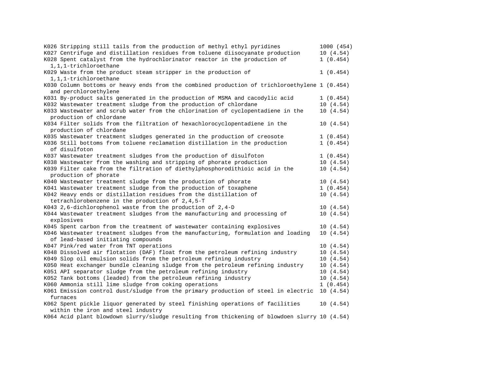| K026 Stripping still tails from the production of methyl ethyl pyridines                      | 1000 (454) |
|-----------------------------------------------------------------------------------------------|------------|
| K027 Centrifuge and distillation residues from toluene diisocyanate production                | 10(4.54)   |
| K028 Spent catalyst from the hydrochlorinator reactor in the production of                    | 1(0.454)   |
| 1,1,1-trichloroethane                                                                         |            |
| K029 Waste from the product steam stripper in the production of                               | 1(0.454)   |
| 1,1,1-trichloroethane                                                                         |            |
| K030 Column bottoms or heavy ends from the combined production of trichloroethylene 1 (0.454) |            |
| and perchloroethylene                                                                         |            |
| K031 By-product salts generated in the production of MSMA and cacodylic acid                  | 1(0.454)   |
| K032 Wastewater treatment sludge from the production of chlordane                             | 10(4.54)   |
| K033 Wastewater and scrub water from the chlorination of cyclopentadiene in the               | 10(4.54)   |
| production of chlordane                                                                       |            |
| K034 Filter solids from the filtration of hexachlorocyclopentadiene in the                    | 10(4.54)   |
| production of chlordane                                                                       |            |
| K035 Wastewater treatment sludges generated in the production of creosote                     | 1(0.454)   |
| K036 Still bottoms from toluene reclamation distillation in the production                    | 1(0.454)   |
| of disulfoton                                                                                 |            |
| K037 Wastewater treatment sludges from the production of disulfoton                           | 1(0.454)   |
| K038 Wastewater from the washing and stripping of phorate production                          | 10(4.54)   |
| K039 Filter cake from the filtration of diethylphosphorodithioic acid in the                  | 10(4.54)   |
| production of phorate                                                                         |            |
| K040 Wastewater treatment sludge from the production of phorate                               | 10(4.54)   |
| K041 Wastewater treatment sludge from the production of toxaphene                             | 1(0.454)   |
| K042 Heavy ends or distillation residues from the distillation of                             | 10(4.54)   |
| tetrachlorobenzene in the production of 2,4,5-T                                               |            |
| K043 2,6-dichlorophenol waste from the production of 2,4-D                                    | 10(4.54)   |
| K044 Wastewater treatment sludges from the manufacturing and processing of                    | 10(4.54)   |
| explosives                                                                                    |            |
| K045 Spent carbon from the treatment of wastewater containing explosives                      | 10(4.54)   |
| K046 Wastewater treatment sludges from the manufacturing, formulation and loading             | 10(4.54)   |
| of lead-based initiating compounds                                                            |            |
| K047 Pink/red water from TNT operations                                                       | 10(4.54)   |
| K048 Dissolved air flotation (DAF) float from the petroleum refining industry                 | 10(4.54)   |
| K049 Slop oil emulsion solids from the petroleum refining industry                            | 10(4.54)   |
| K050 Heat exchanger bundle cleaning sludge from the petroleum refining industry               | 10(4.54)   |
| K051 API separator sludge from the petroleum refining industry                                | 10(4.54)   |
| K052 Tank bottoms (leaded) from the petroleum refining industry                               | 10(4.54)   |
| K060 Ammonia still lime sludge from coking operations                                         | 1(0.454)   |
| K061 Emission control dust/sludge from the primary production of steel in electric            | 10(4.54)   |
| furnaces                                                                                      |            |
| K062 Spent pickle liquor generated by steel finishing operations of facilities                | 10(4.54)   |
| within the iron and steel industry                                                            |            |
| K064 Acid plant blowdown slurry/sludge resulting from thickening of blowdoen slurry 10 (4.54) |            |
|                                                                                               |            |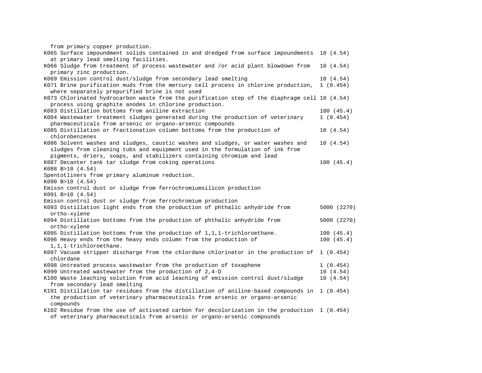from primary copper production.

| $222.00$ $P = 20.002$ $P = 0.000$ $P = 0.000$ $P = 0.000$                                                                                              |             |
|--------------------------------------------------------------------------------------------------------------------------------------------------------|-------------|
| K065 Surface impoundment solids contained in and dredged from surface impoundments 10 (4.54)                                                           |             |
| at primary lead smelting facilities.                                                                                                                   |             |
| K066 Sludge from treatment of process wastewater and /or acid plant blowdown from<br>primary zinc production.                                          | 10(4.54)    |
| K069 Emission control dust/sludge from secondary lead smelting                                                                                         | 10(4.54)    |
| K071 Brine purification muds from the mercury cell process in chlorine production,                                                                     | 1(0.454)    |
| where separately prepurified brine is not used                                                                                                         |             |
| K073 Chlorinated hydrocarbon waste from the purification step of the diaphragm cell 10 (4.54)<br>process using graphite anodes in chlorine production. |             |
| K083 Distillation bottoms from aniline extraction                                                                                                      | 100(45.4)   |
| K084 Wastewater treatment sludges generated during the production of veterinary                                                                        | 1(0.454)    |
| pharmaceuticals from arsenic or organo-arsenic compounds                                                                                               |             |
| K085 Distillation or fractionation column bottoms from the production of                                                                               | 10(4.54)    |
| chlorobenzenes                                                                                                                                         |             |
| K086 Solvent washes and sludges, caustic washes and sludges, or water washes and                                                                       | 10(4.54)    |
| sludges from cleaning tubs and equipment used in the formulation of ink from                                                                           |             |
| pigments, driers, soaps, and stabilizers containing chromium and lead                                                                                  |             |
| K087 Decanter tank tar sludge from coking operations                                                                                                   | 100(45.4)   |
| K088 B>10 (4.54)                                                                                                                                       |             |
| Spentotliners from primary aluminum reduction.                                                                                                         |             |
| K090 B>10 (4.54)                                                                                                                                       |             |
| Emissn control dust or sludge from ferrochromiumsilicon production                                                                                     |             |
| K091 B>10 (4.54)                                                                                                                                       |             |
| Emissn control dust or sludge from ferrochromium production                                                                                            |             |
| K093 Distillation light ends from the production of phthalic anhydride from<br>ortho-xylene                                                            | 5000 (2270) |
| K094 Distillation bottoms from the production of phthalic anhydride from                                                                               | 5000 (2270) |
| ortho-xylene                                                                                                                                           |             |
| K095 Distillation bottoms from the production of 1,1,1-trichloroethane.                                                                                | 100(45.4)   |
| K096 Heavy ends from the heavy ends column from the production of                                                                                      | 100(45.4)   |
| 1,1,1-trichloroethane.                                                                                                                                 |             |
| K097 Vacuum stripper discharge from the chlordane chlorinator in the production of<br>chlordane                                                        | 1(0.454)    |
| K098 Untreated process wastewater from the production of toxaphene                                                                                     | 1(0.454)    |
| K099 Untreated wastewater from the production of $2,4-D$                                                                                               | 10(4.54)    |
| K100 Waste leaching solution from acid leaching of emission control dust/sludge                                                                        | 10(4.54)    |
| from secondary lead smelting                                                                                                                           |             |
| K101 Distillation tar residues from the distillation of aniline-based compounds in 1 (0.454)                                                           |             |
| the production of veterinary pharmaceuticals from arsenic or organo-arsenic                                                                            |             |
| compounds                                                                                                                                              |             |
| K102 Residue from the use of activated carbon for decolorization in the production 1 (0.454)                                                           |             |
|                                                                                                                                                        |             |

of veterinary pharmaceuticals from arsenic or organo-arsenic compounds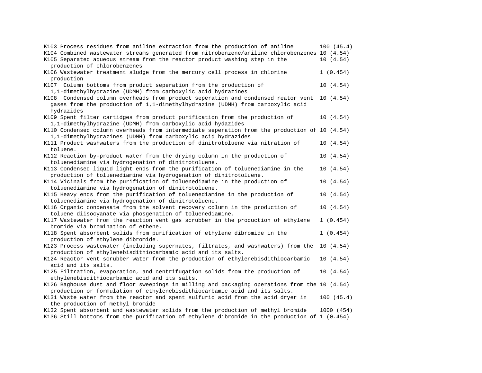| 100(45.4)                                                                                     |
|-----------------------------------------------------------------------------------------------|
| K104 Combined wastewater streams generated from nitrobenzene/aniline chlorobenzenes 10 (4.54) |
| 10(4.54)                                                                                      |
|                                                                                               |
| 1(0.454)                                                                                      |
|                                                                                               |
| 10(4.54)                                                                                      |
|                                                                                               |
| 10 (4.54)                                                                                     |
|                                                                                               |
|                                                                                               |
| 10(4.54)                                                                                      |
|                                                                                               |
| K110 Condensed column overheads from intermediate seperation from the production of 10 (4.54) |
|                                                                                               |
| 10(4.54)                                                                                      |
|                                                                                               |
| 10(4.54)                                                                                      |
|                                                                                               |
| 10(4.54)                                                                                      |
|                                                                                               |
| 10(4.54)                                                                                      |
|                                                                                               |
| 10(4.54)                                                                                      |
|                                                                                               |
| 10(4.54)                                                                                      |
|                                                                                               |
| 1(0.454)                                                                                      |
|                                                                                               |
| 1(0.454)                                                                                      |
|                                                                                               |
| 10(4.54)                                                                                      |
|                                                                                               |
| 10(4.54)                                                                                      |
|                                                                                               |
| 10(4.54)                                                                                      |
|                                                                                               |
| K126 Baghouse dust and floor sweepings in milling and packaging operations from the 10 (4.54) |
|                                                                                               |
| 100(45.4)                                                                                     |
|                                                                                               |
| 1000 (454)                                                                                    |
| K136 Still bottoms from the purification of ethylene dibromide in the production of 1 (0.454) |
|                                                                                               |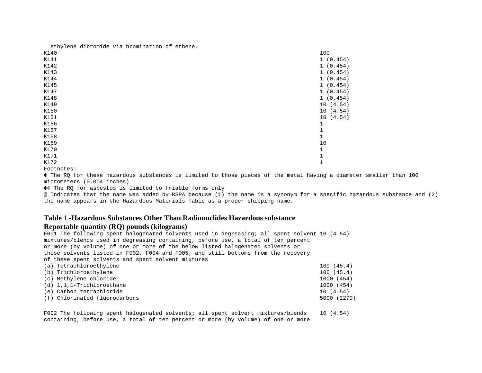ethylene dibromide via bromination of ethene.

| K140 | 100                       |
|------|---------------------------|
| K141 | 1(0.454)                  |
| K142 | 1(0.454)                  |
| K143 | 1(0.454)                  |
| K144 | 1(0.454)                  |
| K145 | 1(0.454)                  |
| K147 | 1(0.454)                  |
| K148 | 1(0.454)                  |
| K149 | (4.54)<br>10              |
| K150 | 10 <sup>°</sup><br>(4.54) |
| K151 | 10<br>(4.54)              |
| K156 | 1                         |
| K157 | 1                         |
| K158 | 1                         |
| K169 | 10                        |
| K170 | $\mathbf 1$               |
| K171 | $1\,$                     |
| K172 | $\mathbf{1}$              |
|      |                           |

Footnotes:

¢ The RQ for these hazardous substances is limited to those pieces of the metal having a diameter smaller than 100 micrometers (0.004 inches)

¢¢ The RQ for asbestos is limited to friable forms only

@ Indicates that the name was added by RSPA because (1) the name is a synonym for a specific hazardous substance and (2) the name appears in the Hazardous Materials Table as a proper shipping name.

# **Table** 1.-**Hazardous Substances Other Than Radionuclides Hazardous substance**

#### **Reportable quantity (RQ) pounds (kilograms)**

F001 The following spent halogenated solvents used in degreasing; all spent solvent 10 (4.54) mixtures/blends used in degreasing containing, before use, a total of ten percent or more (by volume) of one or more of the below listed halogenated solvents or those solvents listed in F002, F004 and F005; and still bottoms from the recovery of these spent solvents and spent solvent mixtures (a) Tetrachloroethylene 100 (45.4) (b) Trichloroethylene 100 (45.4) (c) Methylene chloride 1000 (454)

| $(d) 1,1,1$ -Trichloroethane  | 1000 (454)  |
|-------------------------------|-------------|
| (e) Carbon tetrachloride      | 10 (4.54)   |
| (f) Chlorinated fluorocarbons | 5000 (2270) |

F002 The following spent halogenated solvents; all spent solvent mixtures/blends 10 (4.54) containing, before use, a total of ten percent or more (by volume) of one or more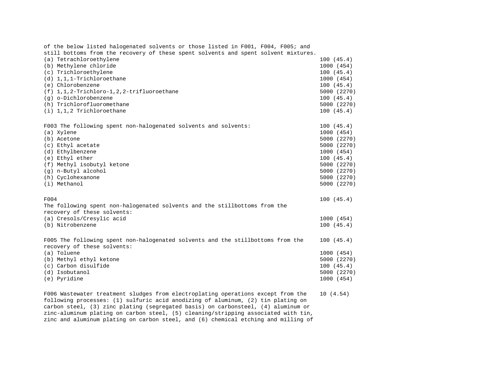| of the below listed halogenated solvents or those listed in F001, F004, F005; and                              |             |
|----------------------------------------------------------------------------------------------------------------|-------------|
| still bottoms from the recovery of these spent solvents and spent solvent mixtures.                            |             |
| (a) Tetrachloroethylene                                                                                        | 100(45.4)   |
| (b) Methylene chloride                                                                                         | 1000 (454)  |
| (c) Trichloroethylene                                                                                          | 100(45.4)   |
| $(d) 1, 1, 1$ -Trichloroethane                                                                                 | 1000 (454)  |
| (e) Chlorobenzene                                                                                              | 100(45.4)   |
| $(f)$ 1, 1, 2-Trichloro-1, 2, 2-trifluoroethane                                                                | 5000 (2270) |
| (q) o-Dichlorobenzene                                                                                          | 100(45.4)   |
| (h) Trichlorofluoromethane                                                                                     | 5000 (2270) |
| $(i)$ 1,1,2 Trichloroethane                                                                                    | 100(45.4)   |
| F003 The following spent non-halogenated solvents and solvents:                                                | 100(45.4)   |
| (a) Xylene                                                                                                     | 1000 (454)  |
| (b) Acetone                                                                                                    | 5000 (2270) |
| (c) Ethyl acetate                                                                                              | 5000 (2270) |
| (d) Ethylbenzene                                                                                               | 1000 (454)  |
| (e) Ethyl ether                                                                                                | 100(45.4)   |
| (f) Methyl isobutyl ketone                                                                                     | 5000 (2270) |
| (g) n-Butyl alcohol                                                                                            | 5000 (2270) |
| (h) Cyclohexanone                                                                                              | 5000 (2270) |
| (i) Methanol                                                                                                   | 5000 (2270) |
| F004                                                                                                           | 100(45.4)   |
| The following spent non-halogenated solvents and the stillbottoms from the<br>recovery of these solvents:      |             |
| (a) Cresols/Cresylic acid                                                                                      | 1000 (454)  |
| (b) Nitrobenzene                                                                                               | 100(45.4)   |
|                                                                                                                |             |
| F005 The following spent non-halogenated solvents and the stillbottoms from the<br>recovery of these solvents: | 100(45.4)   |
| (a) Toluene                                                                                                    | 1000 (454)  |
| (b) Methyl ethyl ketone                                                                                        | 5000 (2270) |
| (c) Carbon disulfide                                                                                           | 100(45.4)   |
| (d) Isobutanol                                                                                                 | 5000 (2270) |
| (e) Pyridine                                                                                                   | 1000 (454)  |
| F006 Wastewater treatment sludges from electroplating operations except from the                               | 10(4.54)    |

following processes: (1) sulfuric acid anodizing of aluminum, (2) tin plating on carbon steel, (3) zinc plating (segregated basis) on carbonsteel, (4) aluminum or zinc-aluminum plating on carbon steel, (5) cleaning/stripping associated with tin, zinc and aluminum plating on carbon steel, and (6) chemical etching and milling of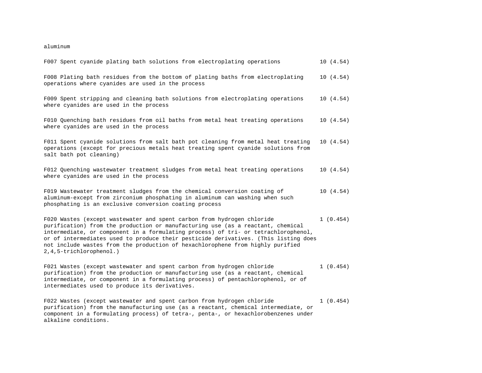aluminum

| F007 Spent cyanide plating bath solutions from electroplating operations                                                                                                                                                                                                                                                                                                                                                                              |  | 10(4.54) |
|-------------------------------------------------------------------------------------------------------------------------------------------------------------------------------------------------------------------------------------------------------------------------------------------------------------------------------------------------------------------------------------------------------------------------------------------------------|--|----------|
| F008 Plating bath residues from the bottom of plating baths from electroplating<br>operations where cyanides are used in the process                                                                                                                                                                                                                                                                                                                  |  | 10(4.54) |
| F009 Spent stripping and cleaning bath solutions from electroplating operations<br>where cyanides are used in the process                                                                                                                                                                                                                                                                                                                             |  | 10(4.54) |
| F010 Quenching bath residues from oil baths from metal heat treating operations<br>where cyanides are used in the process                                                                                                                                                                                                                                                                                                                             |  | 10(4.54) |
| F011 Spent cyanide solutions from salt bath pot cleaning from metal heat treating<br>operations (except for precious metals heat treating spent cyanide solutions from<br>salt bath pot cleaning)                                                                                                                                                                                                                                                     |  | 10(4.54) |
| F012 Quenching wastewater treatment sludges from metal heat treating operations<br>where cyanides are used in the process                                                                                                                                                                                                                                                                                                                             |  | 10(4.54) |
| F019 Wastewater treatment sludges from the chemical conversion coating of<br>aluminum-except from zirconium phosphating in aluminum can washing when such<br>phosphating is an exclusive conversion coating process                                                                                                                                                                                                                                   |  | 10(4.54) |
| F020 Wastes (except wastewater and spent carbon from hydrogen chloride<br>purification) from the production or manufacturing use (as a reactant, chemical<br>intermediate, or component in a formulating process) of tri- or tetrachlorophenol,<br>or of intermediates used to produce their pesticide derivatives. (This listing does<br>not include wastes from the production of hexachlorophene from highly purified<br>2, 4, 5-trichlorophenol.) |  | 1(0.454) |
| F021 Wastes (except wastewater and spent carbon from hydrogen chloride<br>purification) from the production or manufacturing use (as a reactant, chemical<br>intermediate, or component in a formulating process) of pentachlorophenol, or of<br>intermediates used to produce its derivatives.                                                                                                                                                       |  | 1(0.454) |

F022 Wastes (except wastewater and spent carbon from hydrogen chloride 1 (0.454) purification) from the manufacturing use (as a reactant, chemical intermediate, or component in a formulating process) of tetra-, penta-, or hexachlorobenzenes under alkaline conditions.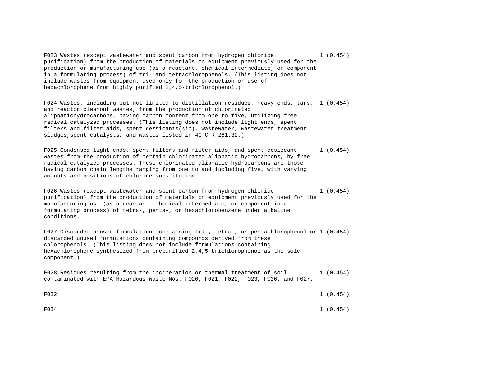F023 Wastes (except wastewater and spent carbon from hydrogen chloride 1 (0.454) purification) from the production of materials on equipment previously used for the production or manufacturing use (as a reactant, chemical intermediate, or component in a formulating process) of tri- and tetrachlorophenols. (This listing does not include wastes from equipment used only for the production or use of hexachlorophene from highly purified 2,4,5-trichlorophenol.)

F024 Wastes, including but not limited to distillation residues, heavy ends, tars, 1 (0.454) and reactor cleanout wastes, from the production of chlorinated aliphatichydrocarbons, having carbon content from one to five, utilizing free radical catalyzed processes. (This listing does not include light ends, spent filters and filter aids, spent dessicants(sic), wastewater, wastewater treatment sludges,spent catalysts, and wastes listed in 40 CFR 261.32.)

F025 Condensed light ends, spent filters and filter aids, and spent desiccant 1 (0.454) wastes from the production of certain chlorinated aliphatic hydrocarbons, by free radical catalyzed processes. These chlorinated aliphatic hydrocarbons are those having carbon chain lengths ranging from one to and including five, with varying amounts and positions of chlorine substitution

F026 Wastes (except wastewater and spent carbon from hydrogen chloride 1 (0.454) purification) from the production of materials on equipment previously used for the manufacturing use (as a reactant, chemical intermediate, or component in a formulating process) of tetra-, penta-, or hexachlorobenzene under alkaline conditions.

F027 Discarded unused formulations containing tri-, tetra-, or pentachlorophenol or 1 (0.454) discarded unused formulations containing compounds derived from these chlorophenols. (This listing does not include formulations containing hexachlorophene synthesized from prepurified 2,4,5-trichlorophenol as the sole component.)

F028 Residues resulting from the incineration or thermal treatment of soil 1 (0.454) contaminated with EPA Hazardous Waste Nos. F020, F021, F022, F023, F026, and F027.

 $F034$  1 (0.454)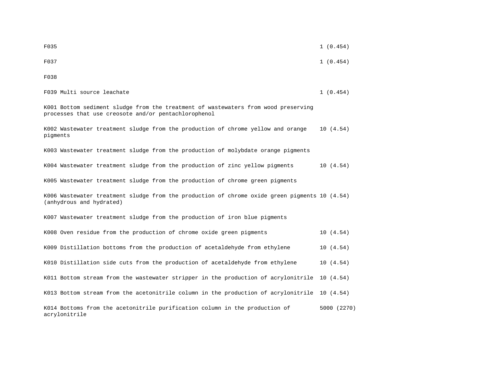| F035                                                                                                                                       | 1(0.454)    |
|--------------------------------------------------------------------------------------------------------------------------------------------|-------------|
| F037                                                                                                                                       | 1(0.454)    |
| F038                                                                                                                                       |             |
| F039 Multi source leachate                                                                                                                 | 1(0.454)    |
| K001 Bottom sediment sludge from the treatment of wastewaters from wood preserving<br>processes that use creosote and/or pentachlorophenol |             |
| K002 Wastewater treatment sludge from the production of chrome yellow and orange<br>pigments                                               | 10(4.54)    |
| K003 Wastewater treatment sludge from the production of molybdate orange pigments                                                          |             |
| K004 Wastewater treatment sludge from the production of zinc yellow pigments                                                               | 10(4.54)    |
| K005 Wastewater treatment sludge from the production of chrome green pigments                                                              |             |
| K006 Wastewater treatment sludge from the production of chrome oxide green pigments 10 (4.54)<br>(anhydrous and hydrated)                  |             |
| K007 Wastewater treatment sludge from the production of iron blue pigments                                                                 |             |
| K008 Oven residue from the production of chrome oxide green pigments                                                                       | 10(4.54)    |
| K009 Distillation bottoms from the production of acetaldehyde from ethylene                                                                | 10(4.54)    |
| K010 Distillation side cuts from the production of acetaldehyde from ethylene                                                              | 10(4.54)    |
| K011 Bottom stream from the wastewater stripper in the production of acrylonitrile                                                         | 10(4.54)    |
| K013 Bottom stream from the acetonitrile column in the production of acrylonitrile                                                         | 10(4.54)    |
| K014 Bottoms from the acetonitrile purification column in the production of<br>acrylonitrile                                               | 5000 (2270) |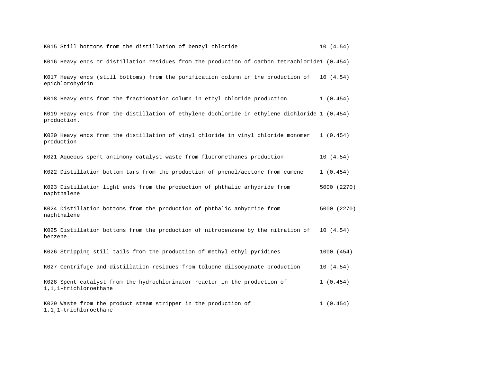| K015 Still bottoms from the distillation of benzyl chloride                                                  | 10(4.54)    |
|--------------------------------------------------------------------------------------------------------------|-------------|
| K016 Heavy ends or distillation residues from the production of carbon tetrachloride1 (0.454)                |             |
| K017 Heavy ends (still bottoms) from the purification column in the production of<br>epichlorohydrin         | 10(4.54)    |
| K018 Heavy ends from the fractionation column in ethyl chloride production                                   | 1(0.454)    |
| K019 Heavy ends from the distillation of ethylene dichloride in ethylene dichloride 1 (0.454)<br>production. |             |
| K020 Heavy ends from the distillation of vinyl chloride in vinyl chloride monomer<br>production              | 1(0.454)    |
| K021 Aqueous spent antimony catalyst waste from fluoromethanes production                                    | 10(4.54)    |
| K022 Distillation bottom tars from the production of phenol/acetone from cumene                              | 1(0.454)    |
| K023 Distillation light ends from the production of phthalic anhydride from<br>naphthalene                   | 5000 (2270) |
| K024 Distillation bottoms from the production of phthalic anhydride from<br>naphthalene                      | 5000 (2270) |
| K025 Distillation bottoms from the production of nitrobenzene by the nitration of<br>benzene                 | 10(4.54)    |
| K026 Stripping still tails from the production of methyl ethyl pyridines                                     | 1000 (454)  |
| K027 Centrifuge and distillation residues from toluene diisocyanate production                               | 10(4.54)    |
| K028 Spent catalyst from the hydrochlorinator reactor in the production of<br>1,1,1-trichloroethane          | 1(0.454)    |
| K029 Waste from the product steam stripper in the production of<br>1,1,1-trichloroethane                     | 1(0.454)    |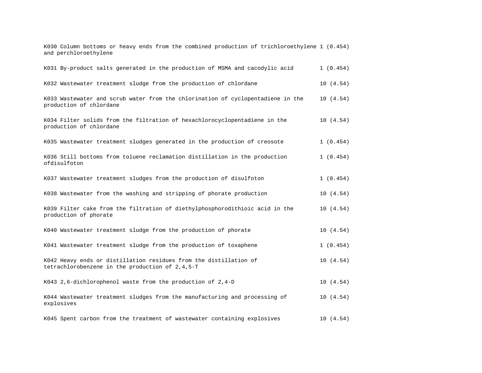K030 Column bottoms or heavy ends from the combined production of trichloroethylene 1 (0.454) and perchloroethylene

| K031 By-product salts generated in the production of MSMA and cacodylic acid                                         | 1(0.454)  |
|----------------------------------------------------------------------------------------------------------------------|-----------|
| K032 Wastewater treatment sludge from the production of chlordane                                                    | 10(4.54)  |
| K033 Wastewater and scrub water from the chlorination of cyclopentadiene in the<br>production of chlordane           | 10(4.54)  |
| K034 Filter solids from the filtration of hexachlorocyclopentadiene in the<br>production of chlordane                | 10(4.54)  |
| K035 Wastewater treatment sludges generated in the production of creosote                                            | 1(0.454)  |
| K036 Still bottoms from toluene reclamation distillation in the production<br>ofdisulfoton                           | 1(0.454)  |
| K037 Wastewater treatment sludges from the production of disulfoton                                                  | 1(0.454)  |
| K038 Wastewater from the washing and stripping of phorate production                                                 | 10(4.54)  |
| K039 Filter cake from the filtration of diethylphosphorodithioic acid in the<br>production of phorate                | 10(4.54)  |
| K040 Wastewater treatment sludge from the production of phorate                                                      | 10(4.54)  |
| K041 Wastewater treatment sludge from the production of toxaphene                                                    | 1(0.454)  |
| K042 Heavy ends or distillation residues from the distillation of<br>tetrachlorobenzene in the production of 2,4,5-T | 10(4.54)  |
| K043 2,6-dichlorophenol waste from the production of 2,4-D                                                           | 10(4.54)  |
| K044 Wastewater treatment sludges from the manufacturing and processing of<br>explosives                             | 10(4.54)  |
| K045 Spent carbon from the treatment of wastewater containing explosives                                             | 10 (4.54) |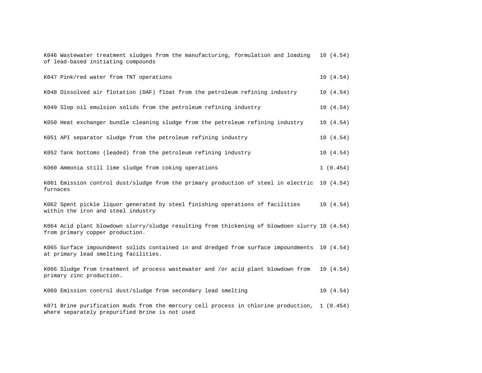| K046 Wastewater treatment sludges from the manufacturing, formulation and loading<br>of lead-based initiating compounds                        | 10(4.54) |
|------------------------------------------------------------------------------------------------------------------------------------------------|----------|
| K047 Pink/red water from TNT operations                                                                                                        | 10(4.54) |
| K048 Dissolved air flotation (DAF) float from the petroleum refining industry                                                                  | 10(4.54) |
| K049 Slop oil emulsion solids from the petroleum refining industry                                                                             | 10(4.54) |
| K050 Heat exchanger bundle cleaning sludge from the petroleum refining industry                                                                | 10(4.54) |
| K051 API separator sludge from the petroleum refining industry                                                                                 | 10(4.54) |
| K052 Tank bottoms (leaded) from the petroleum refining industry                                                                                | 10(4.54) |
| K060 Ammonia still lime sludge from coking operations                                                                                          | 1(0.454) |
| K061 Emission control dust/sludge from the primary production of steel in electric 10 (4.54)<br>furnaces                                       |          |
| K062 Spent pickle liquor generated by steel finishing operations of facilities<br>within the iron and steel industry                           | 10(4.54) |
| K064 Acid plant blowdown slurry/sludge resulting from thickening of blowdoen slurry 10 (4.54)<br>from primary copper production.               |          |
| K065 Surface impoundment solids contained in and dredged from surface impoundments 10 (4.54)<br>at primary lead smelting facilities.           |          |
| K066 Sludge from treatment of process wastewater and /or acid plant blowdown from<br>primary zinc production.                                  | 10(4.54) |
| K069 Emission control dust/sludge from secondary lead smelting                                                                                 | 10(4.54) |
| K071 Brine purification muds from the mercury cell process in chlorine production, 1 (0.454)<br>where separately prepurified brine is not used |          |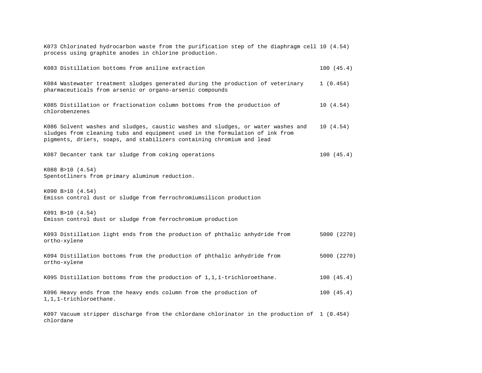| K073 Chlorinated hydrocarbon waste from the purification step of the diaphragm cell 10 (4.54)<br>process using graphite anodes in chlorine production.                                                                                    |             |
|-------------------------------------------------------------------------------------------------------------------------------------------------------------------------------------------------------------------------------------------|-------------|
| K083 Distillation bottoms from aniline extraction                                                                                                                                                                                         | 100(45.4)   |
| K084 Wastewater treatment sludges generated during the production of veterinary<br>pharmaceuticals from arsenic or organo-arsenic compounds                                                                                               | 1(0.454)    |
| K085 Distillation or fractionation column bottoms from the production of<br>chlorobenzenes                                                                                                                                                | 10(4.54)    |
| K086 Solvent washes and sludges, caustic washes and sludges, or water washes and<br>sludges from cleaning tubs and equipment used in the formulation of ink from<br>pigments, driers, soaps, and stabilizers containing chromium and lead | 10(4.54)    |
| K087 Decanter tank tar sludge from coking operations                                                                                                                                                                                      | 100(45.4)   |
| K088 B>10 (4.54)<br>Spentotliners from primary aluminum reduction.                                                                                                                                                                        |             |
| K090 B>10 (4.54)<br>Emissn control dust or sludge from ferrochromiumsilicon production                                                                                                                                                    |             |
| K091 B>10 (4.54)<br>Emissn control dust or sludge from ferrochromium production                                                                                                                                                           |             |
| K093 Distillation light ends from the production of phthalic anhydride from<br>ortho-xylene                                                                                                                                               | 5000 (2270) |
| K094 Distillation bottoms from the production of phthalic anhydride from<br>ortho-xylene                                                                                                                                                  | 5000 (2270) |
| K095 Distillation bottoms from the production of 1,1,1-trichloroethane.                                                                                                                                                                   | 100(45.4)   |
| K096 Heavy ends from the heavy ends column from the production of<br>1,1,1-trichloroethane.                                                                                                                                               | 100(45.4)   |
| $K097$ Vacuum stripper discharge from the chlordane chlorinator in the production of 1 (0.454)                                                                                                                                            |             |

K097 Vacuum stripper discharge from the chlordane chlorinator in the production of 1 (0.454) chlordane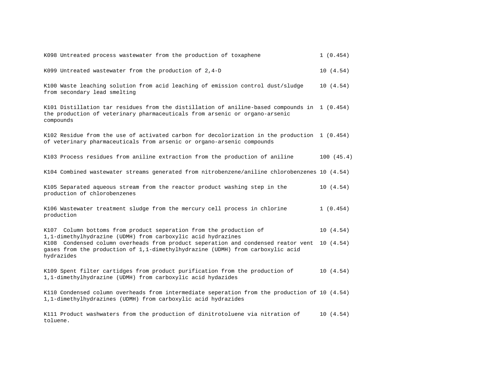| K098 Untreated process wastewater from the production of toxaphene                                                                                                                       | 1(0.454)  |
|------------------------------------------------------------------------------------------------------------------------------------------------------------------------------------------|-----------|
| K099 Untreated wastewater from the production of $2,4-D$                                                                                                                                 | 10(4.54)  |
| K100 Waste leaching solution from acid leaching of emission control dust/sludge<br>from secondary lead smelting                                                                          | 10(4.54)  |
| K101 Distillation tar residues from the distillation of aniline-based compounds in 1 (0.454)<br>the production of veterinary pharmaceuticals from arsenic or organo-arsenic<br>compounds |           |
| K102 Residue from the use of activated carbon for decolorization in the production $1$ (0.454)<br>of veterinary pharmaceuticals from arsenic or organo-arsenic compounds                 |           |
| K103 Process residues from aniline extraction from the production of aniline                                                                                                             | 100(45.4) |
| K104 Combined wastewater streams generated from nitrobenzene/aniline chlorobenzenes 10 (4.54)                                                                                            |           |
| K105 Separated aqueous stream from the reactor product washing step in the<br>production of chlorobenzenes                                                                               | 10(4.54)  |
| K106 Wastewater treatment sludge from the mercury cell process in chlorine<br>production                                                                                                 | 1(0.454)  |
| K107 Column bottoms from product seperation from the production of<br>1,1-dimethylhydrazine (UDMH) from carboxylic acid hydrazines                                                       | 10(4.54)  |
| K108 Condensed column overheads from product seperation and condensed reator vent<br>gases from the production of 1,1-dimethylhydrazine (UDMH) from carboxylic acid<br>hydrazides        | 10(4.54)  |
| K109 Spent filter cartidges from product purification from the production of<br>1,1-dimethylhydrazine (UDMH) from carboxylic acid hydazides                                              | 10(4.54)  |
| K110 Condensed column overheads from intermediate seperation from the production of 10 (4.54)<br>1,1-dimethylhydrazines (UDMH) from carboxylic acid hydrazides                           |           |

K111 Product washwaters from the production of dinitrotoluene via nitration of 10 (4.54) toluene.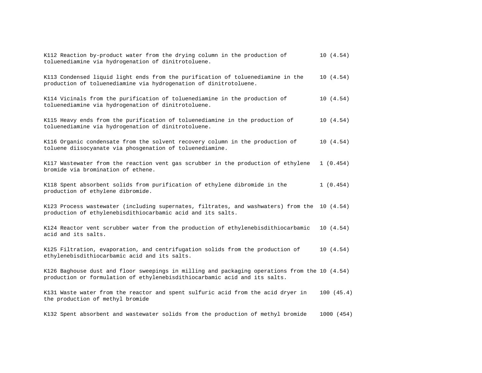| K112 Reaction by-product water from the drying column in the production of<br>toluenediamine via hydrogenation of dinitrotoluene.                                           | 10(4.54)   |
|-----------------------------------------------------------------------------------------------------------------------------------------------------------------------------|------------|
| K113 Condensed liquid light ends from the purification of toluenediamine in the<br>production of toluenediamine via hydrogenation of dinitrotoluene.                        | 10(4.54)   |
| K114 Vicinals from the purification of toluenediamine in the production of<br>toluenediamine via hydrogenation of dinitrotoluene.                                           | 10(4.54)   |
| K115 Heavy ends from the purification of toluenediamine in the production of<br>toluenediamine via hydrogenation of dinitrotoluene.                                         | 10(4.54)   |
| K116 Organic condensate from the solvent recovery column in the production of<br>toluene diisocyanate via phosqenation of toluenediamine.                                   | 10(4.54)   |
| K117 Wastewater from the reaction vent gas scrubber in the production of ethylene<br>bromide via bromination of ethene.                                                     | 1(0.454)   |
| K118 Spent absorbent solids from purification of ethylene dibromide in the<br>production of ethylene dibromide.                                                             | 1(0.454)   |
| K123 Process wastewater (including supernates, filtrates, and washwaters) from the 10 (4.54)<br>production of ethylenebisdithiocarbamic acid and its salts.                 |            |
| K124 Reactor vent scrubber water from the production of ethylenebisdithiocarbamic<br>acid and its salts.                                                                    | 10(4.54)   |
| K125 Filtration, evaporation, and centrifugation solids from the production of<br>ethylenebisdithiocarbamic acid and its salts.                                             | 10(4.54)   |
| K126 Baghouse dust and floor sweepings in milling and packaging operations from the 10 (4.54)<br>production or formulation of ethylenebisdithiocarbamic acid and its salts. |            |
| K131 Waste water from the reactor and spent sulfuric acid from the acid dryer in<br>the production of methyl bromide                                                        | 100(45.4)  |
| K132 Spent absorbent and wastewater solids from the production of methyl bromide                                                                                            | 1000 (454) |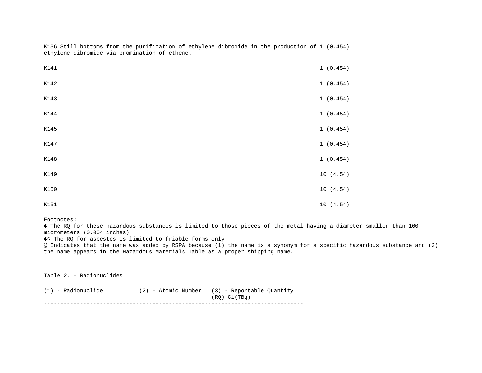| K141 | 1 (0.454) |
|------|-----------|
| K142 | 1(0.454)  |
| K143 | 1 (0.454) |
| K144 | 1 (0.454) |
| K145 | 1(0.454)  |
| K147 | 1 (0.454) |
| K148 | 1 (0.454) |
| K149 | 10(4.54)  |
| K150 | 10(4.54)  |
| K151 | 10(4.54)  |

K136 Still bottoms from the purification of ethylene dibromide in the production of 1 (0.454) ethylene dibromide via bromination of ethene.

#### Footnotes:

¢ The RQ for these hazardous substances is limited to those pieces of the metal having a diameter smaller than 100 micrometers (0.004 inches)

¢¢ The RQ for asbestos is limited to friable forms only

@ Indicates that the name was added by RSPA because (1) the name is a synonym for a specific hazardous substance and (2) the name appears in the Hazardous Materials Table as a proper shipping name.

Table 2. - Radionuclides

| (1) - Radionuclide | $(2)$ - Atomic Number $(3)$ - Reportable Ouantity |
|--------------------|---------------------------------------------------|
|                    | $(RO)$ $Ci(TBq)$                                  |
|                    |                                                   |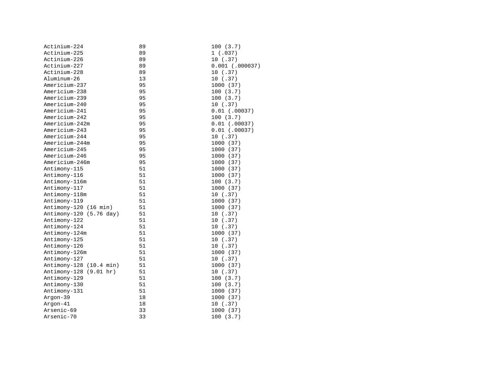| Actinium-224            | 89 | 100(3.7)          |
|-------------------------|----|-------------------|
| Actinium-225            | 89 | 1(.037)           |
| Actinium-226            | 89 | 10(.37)           |
| Actinium-227            | 89 | $0.001$ (.000037) |
| Actinium-228            | 89 | 10(.37)           |
| Aluminum-26             | 13 | 10(.37)           |
| Americium-237           | 95 | 1000 (37)         |
| Americium-238           | 95 | 100(3.7)          |
| Americium-239           | 95 | 100(3.7)          |
| Americium-240           | 95 | 10(.37)           |
| Americium-241           | 95 | $0.01$ (.00037)   |
| Americium-242           | 95 | 100(3.7)          |
| Americium-242m          | 95 | $0.01$ (.00037)   |
| Americium-243           | 95 | $0.01$ (.00037)   |
| Americium-244           | 95 | 10(.37)           |
| Americium-244m          | 95 | 1000 (37)         |
| Americium-245           | 95 | 1000 (37)         |
| Americium-246           | 95 | 1000 (37)         |
| Americium-246m          | 95 | 1000 (37)         |
| Antimony-115            | 51 | 1000 (37)         |
| Antimony-116            | 51 | 1000 (37)         |
| Antimony-116m           | 51 | 100(3.7)          |
| Antimony-117            | 51 | 1000 (37)         |
| Antimony-118m           | 51 | 10(.37)           |
| Antimony-119            | 51 | 1000 (37)         |
| Antimony-120 (16 min)   | 51 | 1000 (37)         |
| Antimony-120 (5.76 day) | 51 | 10(.37)           |
| Antimony-122            | 51 | 10(.37)           |
| Antimony-124            | 51 | 10(.37)           |
| Antimony-124m           | 51 | 1000 (37)         |
| Antimony-125            | 51 | 10(.37)           |
| Antimony-126            | 51 | 10(.37)           |
| Antimony-126m           | 51 | 1000 (37)         |
| Antimony-127            | 51 | 10(.37)           |
| Antimony-128 (10.4 min) | 51 | 1000 (37)         |
| Antimony-128 (9.01 hr)  | 51 | 10(.37)           |
| Antimony-129            | 51 | 100(3.7)          |
| Antimony-130            | 51 | 100(3.7)          |
| Antimony-131            | 51 | 1000 (37)         |
| Argon-39                | 18 | 1000 (37)         |
| Argon-41                | 18 | 10(.37)           |
| Arsenic-69              | 33 | 1000 (37)         |
| Arsenic-70              | 33 | 100(3.7)          |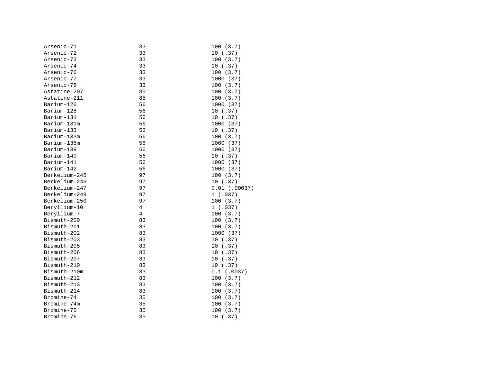| Arsenic-71    | 33 | 100(3.7)        |
|---------------|----|-----------------|
| Arsenic-72    | 33 | 10(.37)         |
| Arsenic-73    | 33 | 100(3.7)        |
| Arsenic-74    | 33 | 10 (.37)        |
| Arsenic-76    | 33 | 100(3.7)        |
| Arsenic-77    | 33 | 1000 (37)       |
| Arsenic-78    | 33 | 100(3.7)        |
| Astatine-207  | 85 | 100(3.7)        |
| Astatine-211  | 85 | 100(3.7)        |
| Barium-126    | 56 | 1000 (37)       |
| Barium-128    | 56 | 10(.37)         |
| Barium-131    | 56 | 10(.37)         |
| Barium-131m   | 56 | 1000 (37)       |
| Barium-133    | 56 | 10 (.37)        |
| Barium-133m   | 56 | 100(3.7)        |
| Barium-135m   | 56 | 1000 (37)       |
| Barium-139    | 56 | 1000 (37)       |
| Barium-140    | 56 | 10(.37)         |
| Barium-141    | 56 | 1000 (37)       |
| Barium-142    | 56 | 1000 (37)       |
| Berkelium-245 | 97 | 100(3.7)        |
| Berkelium-246 | 97 | 10(.37)         |
| Berkelium-247 | 97 | $0.01$ (.00037) |
| Berkelium-249 | 97 | 1(.037)         |
| Berkelium-250 | 97 | 100(3.7)        |
| Beryllium-10  | 4  | 1(.037)         |
| Beryllium-7   | 4  | 100(3.7)        |
| Bismuth-200   | 83 | 100(3.7)        |
| Bismuth-201   | 83 | 100(3.7)        |
| Bismuth-202   | 83 | 1000 (37)       |
| Bismuth-203   | 83 | 10(.37)         |
| Bismuth-205   | 83 | 10(.37)         |
| Bismuth-206   | 83 | 10(.37)         |
| Bismuth-207   | 83 | 10(.37)         |
| Bismuth-210   | 83 | 10(.37)         |
| Bismuth-210m  | 83 | $0.1$ (.0037)   |
| Bismuth-212   | 83 | 100(3.7)        |
| Bismuth-213   | 83 | 100(3.7)        |
| Bismuth-214   | 83 | 100(3.7)        |
| Bromine-74    | 35 | 100(3.7)        |
| Bromine-74m   | 35 | 100(3.7)        |
| Bromine-75    | 35 | 100(3.7)        |
| Bromine-76    | 35 | 10 (.37)        |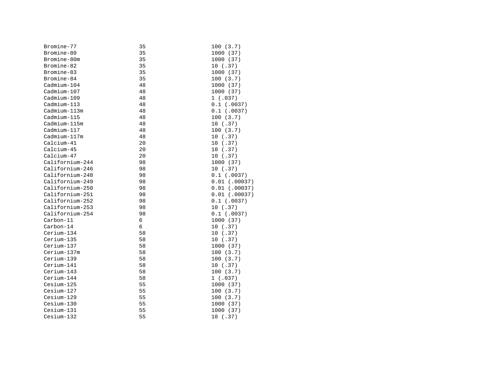| Bromine-77        | 35 | 100(3.7)        |
|-------------------|----|-----------------|
| Bromine-80        | 35 | 1000 (37)       |
| Bromine-80m       | 35 | 1000 (37)       |
| Bromine-82        | 35 | 10(.37)         |
| Bromine-83        | 35 | 1000 (37)       |
| Bromine-84        | 35 | 100(3.7)        |
| $C$ admium-104    | 48 | 1000 (37)       |
| $C$ admium $-107$ | 48 | 1000 (37)       |
| Cadmium-109       | 48 | 1(.037)         |
| $C$ admium $-113$ | 48 | $0.1$ (.0037)   |
| Cadmium-113m      | 48 | $0.1$ (.0037)   |
| Cadmium-115       | 48 | 100(3.7)        |
| Cadmium-115m      | 48 | 10(.37)         |
| Cadmium-117       | 48 | 100(3.7)        |
| Cadmium-117m      | 48 | 10(.37)         |
| Calcium-41        | 20 | 10(.37)         |
| Calcium-45        | 20 | 10(.37)         |
| Calcium-47        | 20 | 10(.37)         |
| Californium-244   | 98 | 1000 (37)       |
| Californium-246   | 98 | 10(.37)         |
| Californium-248   | 98 | $0.1$ (.0037)   |
| Californium-249   | 98 | $0.01$ (.00037) |
| Californium-250   | 98 | $0.01$ (.00037) |
| Californium-251   | 98 | $0.01$ (.00037) |
| Californium-252   | 98 | $0.1$ (.0037)   |
| Californium-253   | 98 | 10(.37)         |
| Californium-254   | 98 | $0.1$ (.0037)   |
| Carbon-11         | 6  | 1000 (37)       |
| Carbon-14         | 6  | 10(.37)         |
| Cerium-134        | 58 | 10(.37)         |
| Cerium-135        | 58 | 10(.37)         |
| Cerium-137        | 58 | 1000 (37)       |
| Cerium-137m       | 58 | 100(3.7)        |
| Cerium-139        | 58 | 100(3.7)        |
| Cerium-141        | 58 | 10(.37)         |
| Cerium-143        | 58 | 100(3.7)        |
| Cerium-144        | 58 | 1(.037)         |
| Cesium-125        | 55 | 1000 (37)       |
| Cesium-127        | 55 | 100(3.7)        |
| Cesium-129        | 55 | 100(3.7)        |
| Cesium-130        | 55 | 1000 (37)       |
| Cesium-131        | 55 | 1000 (37)       |
| Cesium-132        | 55 | 10(.37)         |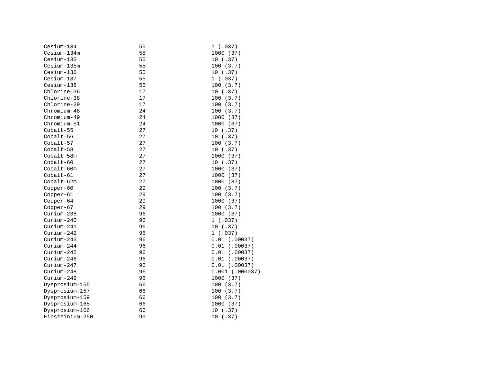| Cesium-134      | 55 | 1(.037)           |
|-----------------|----|-------------------|
| Cesium-134m     | 55 | 1000 (37)         |
| Cesium-135      | 55 | 10(.37)           |
| Cesium-135m     | 55 | 100(3.7)          |
| Cesium-136      | 55 | 10(.37)           |
| Cesium-137      | 55 | 1(.037)           |
| Cesium-138      | 55 | 100(3.7)          |
| Chlorine-36     | 17 | 10(.37)           |
| Chlorine-38     | 17 | 100(3.7)          |
| Chlorine-39     | 17 | 100(3.7)          |
| $Chromium-48$   | 24 | 100 (3.7)         |
| Chromium-49     | 24 | 1000 (37)         |
| Chromium-51     | 24 | 1000 (37)         |
| Cobalt-55       | 27 | 10(.37)           |
| Cobalt-56       | 27 | 10 (.37)          |
| Cobalt-57       | 27 | 100(3.7)          |
| Cobalt-58       | 27 | 10(.37)           |
| Cobalt-58m      | 27 | 1000 (37)         |
| $Cobalt-60$     | 27 | 10(.37)           |
| $Cobalt-60m$    | 27 | 1000 (37)         |
| Cobalt-61       | 27 | 1000 (37)         |
| Cobalt-62m      | 27 | 1000 (37)         |
| Copper-60       | 29 | 100(3.7)          |
| Copper-61       | 29 | 100(3.7)          |
| $Copper-64$     | 29 | 1000 (37)         |
| $Copper-67$     | 29 | 100(3.7)          |
| Curium-238      | 96 | 1000 (37)         |
| Curium-240      | 96 | 1(.037)           |
| $Curium-241$    | 96 | 10(.37)           |
| $Curium-242$    | 96 | 1(.037)           |
| Curium-243      | 96 | $0.01$ (.00037)   |
| Curium-244      | 96 | $0.01$ (.00037)   |
| Curium-245      | 96 | $0.01$ (.00037)   |
| Curium-246      | 96 | $0.01$ (.00037)   |
| Curium-247      | 96 | $0.01$ (.00037)   |
| Curium-248      | 96 | $0.001$ (.000037) |
| Curium-249      | 96 | 1000 (37)         |
| Dysprosium-155  | 66 | 100 (3.7)         |
| Dysprosium-157  | 66 | 100(3.7)          |
| Dysprosium-159  | 66 | 100(3.7)          |
| Dysprosium-165  | 66 | 1000 (37)         |
| Dysprosium-166  | 66 | 10 (.37)          |
| Einsteinium-250 | 99 | 10(.37)           |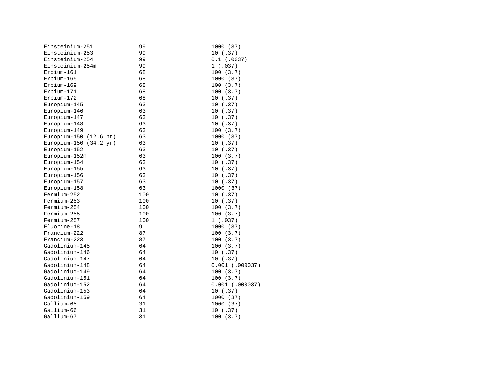| Einsteinium-251        | 99  | 1000 (37)         |
|------------------------|-----|-------------------|
| Einsteinium-253        | 99  | 10(.37)           |
| Einsteinium-254        | 99  | $0.1$ (.0037)     |
| Einsteinium-254m       | 99  | 1(.037)           |
| Erbium-161             | 68  | 100(3.7)          |
| Erbium-165             | 68  | 1000 (37)         |
| Erbium-169             | 68  | 100(3.7)          |
| Erbium-171             | 68  | 100(3.7)          |
| Erbium-172             | 68  | 10(.37)           |
| Europium-145           | 63  | 10(.37)           |
| Europium-146           | 63  | 10(.37)           |
| Europium-147           | 63  | 10(.37)           |
| Europium-148           | 63  | 10(.37)           |
| Europium-149           | 63  | 100(3.7)          |
| Europium-150 (12.6 hr) | 63  | 1000 (37)         |
| Europium-150 (34.2 yr) | 63  | 10(.37)           |
| Europium-152           | 63  | 10(.37)           |
| Europium-152m          | 63  | 100(3.7)          |
| Europium-154           | 63  | 10(.37)           |
| Europium-155           | 63  | 10(.37)           |
| Europium-156           | 63  | 10(.37)           |
| Europium-157           | 63  | 10(.37)           |
| Europium-158           | 63  | 1000 (37)         |
| Fermium-252            | 100 | 10(.37)           |
| Fermium-253            | 100 | 10(.37)           |
| Fermium-254            | 100 | 100(3.7)          |
| Fermium-255            | 100 | 100(3.7)          |
| Fermium-257            | 100 | 1(.037)           |
| Fluorine-18            | 9   | 1000 (37)         |
| Francium-222           | 87  | 100(3.7)          |
| Francium-223           | 87  | 100(3.7)          |
| Gadolinium-145         | 64  | 100(3.7)          |
| Gadolinium-146         | 64  | 10(.37)           |
| Gadolinium-147         | 64  | 10(.37)           |
| Gadolinium-148         | 64  | $0.001$ (.000037) |
| Gadolinium-149         | 64  | 100(3.7)          |
| Gadolinium-151         | 64  | 100(3.7)          |
| Gadolinium-152         | 64  | $0.001$ (.000037) |
| Gadolinium-153         | 64  | 10(.37)           |
| Gadolinium-159         | 64  | 1000 (37)         |
| Gallium-65             | 31  | 1000 (37)         |
| Gallium-66             | 31  | 10(.37)           |
| Gallium-67             | 31  | 100(3.7)          |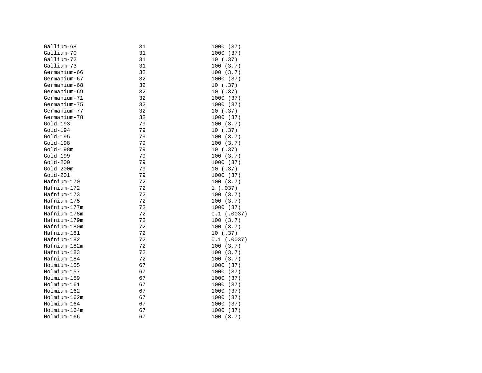| Gallium-68   | 31 | 1000 (37)     |
|--------------|----|---------------|
| Gallium-70   | 31 | 1000 (37)     |
| Gallium-72   | 31 | 10(.37)       |
| Gallium-73   | 31 | 100(3.7)      |
| Germanium-66 | 32 | 100(3.7)      |
| Germanium-67 | 32 | 1000 (37)     |
| Germanium-68 | 32 | 10(.37)       |
| Germanium-69 | 32 | 10(.37)       |
| Germanium-71 | 32 | 1000 (37)     |
| Germanium-75 | 32 | 1000 (37)     |
| Germanium-77 | 32 | 10(.37)       |
| Germanium-78 | 32 | 1000 (37)     |
| $Gold-193$   | 79 | 100 (3.7)     |
| $Gold-194$   | 79 | 10(.37)       |
| $Gold-195$   | 79 | 100(3.7)      |
| $Gold-198$   | 79 | 100(3.7)      |
| Gold-198m    | 79 | 10(.37)       |
| Gold-199     | 79 | 100(3.7)      |
| $Gold-200$   | 79 | 1000 (37)     |
| $Gold-200m$  | 79 | 10(.37)       |
| $Gold-201$   | 79 | 1000 (37)     |
| Hafnium-170  | 72 | 100(3.7)      |
| Hafnium-172  | 72 | 1(.037)       |
| Hafnium-173  | 72 | 100(3.7)      |
| Hafnium-175  | 72 | 100(3.7)      |
| Hafnium-177m | 72 | 1000 (37)     |
| Hafnium-178m | 72 | $0.1$ (.0037) |
| Hafnium-179m | 72 | 100(3.7)      |
| Hafnium-180m | 72 | 100(3.7)      |
| Hafnium-181  | 72 | 10(.37)       |
| Hafnium-182  | 72 | $0.1$ (.0037) |
| Hafnium-182m | 72 | 100(3.7)      |
| Hafnium-183  | 72 | 100(3.7)      |
| Hafnium-184  | 72 | 100(3.7)      |
| Holmium-155  | 67 | 1000 (37)     |
| Holmium-157  | 67 | 1000 (37)     |
| Holmium-159  | 67 | 1000 (37)     |
| Holmium-161  | 67 | 1000 (37)     |
| Holmium-162  | 67 | 1000 (37)     |
| Holmium-162m | 67 | 1000 (37)     |
| Holmium-164  | 67 | 1000 (37)     |
| Holmium-164m | 67 | 1000 (37)     |
| Holmium-166  | 67 | 100(3.7)      |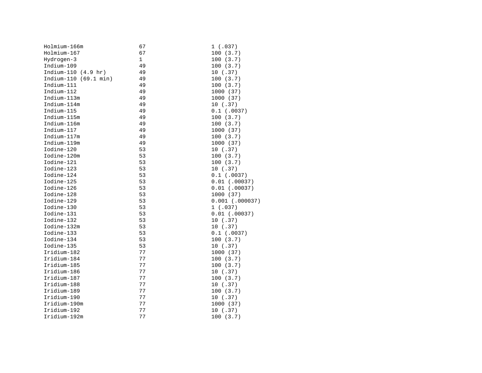| Holmium-166m          | 67 | 1(.037)           |
|-----------------------|----|-------------------|
| Holmium-167           | 67 | 100(3.7)          |
| Hydrogen-3            | 1  | 100(3.7)          |
| Indium-109            | 49 | 100(3.7)          |
| Indium-110 (4.9 hr)   | 49 | 10(.37)           |
| Indium-110 (69.1 min) | 49 | 100(3.7)          |
| Indium-111            | 49 | 100(3.7)          |
| Indium-112            | 49 | 1000 (37)         |
| Indium-113m           | 49 | 1000 (37)         |
| Indium-114m           | 49 | 10(.37)           |
| Indium-115            | 49 | $0.1$ (.0037)     |
| Indium-115m           | 49 | 100(3.7)          |
| Indium-116m           | 49 | 100(3.7)          |
| Indium-117            | 49 | 1000 (37)         |
| Indium-117m           | 49 | 100(3.7)          |
| Indium-119m           | 49 | 1000 (37)         |
| Iodine-120            | 53 | 10(.37)           |
| Iodine-120m           | 53 | 100(3.7)          |
| Iodine-121            | 53 | 100(3.7)          |
| Iodine-123            | 53 | 10(.37)           |
| Iodine-124            | 53 | $0.1$ (.0037)     |
| Iodine-125            | 53 | $0.01$ (.00037)   |
| Iodine-126            | 53 | $0.01$ (.00037)   |
| Iodine-128            | 53 | 1000 (37)         |
| Iodine-129            | 53 | $0.001$ (.000037) |
| Iodine-130            | 53 | 1(.037)           |
| Iodine-131            | 53 | $0.01$ (.00037)   |
| Iodine-132            | 53 | 10(.37)           |
| Iodine-132m           | 53 | 10(.37)           |
| Iodine-133            | 53 | $0.1$ (.0037)     |
| Iodine-134            | 53 | 100(3.7)          |
| Iodine-135            | 53 | 10(.37)           |
| Iridium-182           | 77 | 1000 (37)         |
| Iridium-184           | 77 | 100(3.7)          |
| Iridium-185           | 77 | 100(3.7)          |
| Iridium-186           | 77 | 10(.37)           |
| Iridium-187           | 77 | 100(3.7)          |
| Iridium-188           | 77 | 10(.37)           |
| Iridium-189           | 77 | 100(3.7)          |
| Iridium-190           | 77 | 10(.37)           |
| Iridium-190m          | 77 | 1000 (37)         |
| Iridium-192           | 77 | 10(.37)           |
| Iridium-192m          | 77 | 100(3.7)          |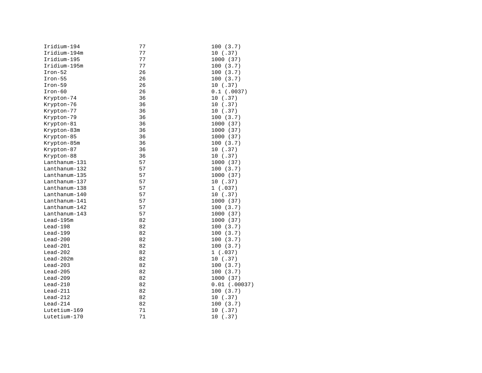| Iridium-194   | 77 | 100 (3.7)       |
|---------------|----|-----------------|
| Iridium-194m  | 77 | 10(.37)         |
| Iridium-195   | 77 | 1000 (37)       |
| Iridium-195m  | 77 | 100(3.7)        |
| $Iron-52$     | 26 | 100(3.7)        |
| $Iron-55$     | 26 | 100(3.7)        |
| $Iron-59$     | 26 | 10(.37)         |
| $Iron-60$     | 26 | $0.1$ (.0037)   |
| Krypton-74    | 36 | 10(.37)         |
| Krypton-76    | 36 | 10(.37)         |
| Krypton-77    | 36 | 10(.37)         |
| Krypton-79    | 36 | 100(3.7)        |
| Krypton-81    | 36 | 1000 (37)       |
| Krypton-83m   | 36 | 1000 (37)       |
| Krypton-85    | 36 | 1000 (37)       |
| Krypton-85m   | 36 | 100(3.7)        |
| Krypton-87    | 36 | 10(.37)         |
| Krypton-88    | 36 | 10(.37)         |
| Lanthanum-131 | 57 | 1000 (37)       |
| Lanthanum-132 | 57 | 100(3.7)        |
| Lanthanum-135 | 57 | 1000 (37)       |
| Lanthanum-137 | 57 | 10(.37)         |
| Lanthanum-138 | 57 | 1(.037)         |
| Lanthanum-140 | 57 | 10(.37)         |
| Lanthanum-141 | 57 | 1000 (37)       |
| Lanthanum-142 | 57 | 100 (3.7)       |
| Lanthanum-143 | 57 | 1000 (37)       |
| $Lead-195m$   | 82 | 1000 (37)       |
| $Lead-198$    | 82 | 100(3.7)        |
| $Lead-199$    | 82 | 100(3.7)        |
| $Lead-200$    | 82 | 100(3.7)        |
| $lead-201$    | 82 | 100(3.7)        |
| $Lead-202$    | 82 | 1(.037)         |
| $Lead-202m$   | 82 | 10(.37)         |
| $Lead-203$    | 82 | 100(3.7)        |
| $Lead-205$    | 82 | 100(3.7)        |
| $Lead-209$    | 82 | 1000 (37)       |
| $Lead-210$    | 82 | $0.01$ (.00037) |
| $Lead-211$    | 82 | 100(3.7)        |
| $Lead-212$    | 82 | 10 (.37)        |
| $Lead-214$    | 82 | 100(3.7)        |
| Lutetium-169  | 71 | 10 (.37)        |
| Lutetium-170  | 71 | 10 (.37)        |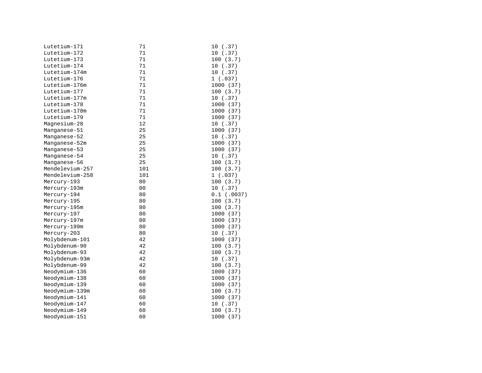| Lutetium-171    | 71     | 10(.37)       |
|-----------------|--------|---------------|
| Lutetium-172    | 71     | 10(.37)       |
| Lutetium-173    | 71     | 100(3.7)      |
| Lutetium-174    | 71     | 10(.37)       |
| Lutetium-174m   | $7\,1$ | 10(.37)       |
| Lutetium-176    | 71     | 1(.037)       |
| Lutetium-176m   | 71     | 1000 (37)     |
| Lutetium-177    | 71     | 100(3.7)      |
| Lutetium-177m   | $7\,1$ | 10(.37)       |
| Lutetium-178    | 71     | 1000 (37)     |
| Lutetium-178m   | 71     | 1000 (37)     |
| Lutetium-179    | 71     | 1000 (37)     |
| Magnesium-28    | 12     | 10(.37)       |
| Manganese-51    | 25     | 1000 (37)     |
| Manganese-52    | 25     | 10(.37)       |
| Manganese-52m   | 25     | 1000 (37)     |
| Manganese-53    | 25     | 1000 (37)     |
| Manganese-54    | 25     | 10(.37)       |
| Manganese-56    | 25     | 100(3.7)      |
| Mendelevium-257 | 101    | 100(3.7)      |
| Mendelevium-258 | 101    | 1(.037)       |
| Mercury-193     | 80     | 100(3.7)      |
| Mercury-193m    | 80     | 10(.37)       |
| Mercury-194     | 80     | $0.1$ (.0037) |
| Mercury-195     | 80     | 100(3.7)      |
| Mercury-195m    | 80     | 100(3.7)      |
| Mercury-197     | 80     | 1000 (37)     |
| Mercury-197m    | 80     | 1000 (37)     |
| Mercury-199m    | 80     | 1000 (37)     |
| Mercury-203     | 80     | 10(.37)       |
| Molybdenum-101  | 42     | 1000 (37)     |
| Molybdenum-90   | 42     | 100(3.7)      |
| Molybdenum-93   | 42     | 100(3.7)      |
| Molybdenum-93m  | 42     | 10(.37)       |
| Molybdenum-99   | 42     | 100(3.7)      |
| Neodymium-136   | 60     | 1000 (37)     |
| Neodymium-138   | 60     | 1000 (37)     |
| Neodymium-139   | 60     | 1000 (37)     |
| Neodymium-139m  | 60     | 100(3.7)      |
| Neodymium-141   | 60     | 1000 (37)     |
| Neodymium-147   | 60     | 10(.37)       |
| Neodymium-149   | 60     | 100(3.7)      |
| Neodymium-151   | 60     | 1000 (37)     |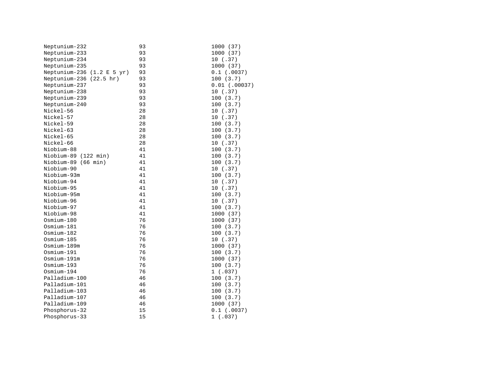| Neptunium-232                | 93 | 1000 (37)       |
|------------------------------|----|-----------------|
| Neptunium-233                | 93 | 1000 (37)       |
| Neptunium-234                | 93 | 10(.37)         |
| Neptunium-235                | 93 | 1000 (37)       |
| Neptunium-236 $(1.2 E 5 yr)$ | 93 | $0.1$ (.0037)   |
| Neptunium-236 (22.5 hr)      | 93 | 100(3.7)        |
| Neptunium-237                | 93 | $0.01$ (.00037) |
| Neptunium-238                | 93 | 10(.37)         |
| Neptunium-239                | 93 | 100(3.7)        |
| Neptunium-240                | 93 | 100(3.7)        |
| Nickel-56                    | 28 | 10(.37)         |
| Nickel-57                    | 28 | 10(.37)         |
| Nickel-59                    | 28 | 100(3.7)        |
| Nickel-63                    | 28 | 100(3.7)        |
| Nickel-65                    | 28 | 100(3.7)        |
| Nickel-66                    | 28 | 10(.37)         |
| Niobium-88                   | 41 | 100(3.7)        |
| Niobium-89 (122 min)         | 41 | 100(3.7)        |
| Niobium-89 (66 min)          | 41 | 100(3.7)        |
| Niobium-90                   | 41 | 10(.37)         |
| Niobium-93m                  | 41 | 100(3.7)        |
| Niobium-94                   | 41 | 10(.37)         |
| Niobium-95                   | 41 | 10 (.37)        |
| Niobium-95m                  | 41 | 100(3.7)        |
| Niobium-96                   | 41 | 10(.37)         |
| Niobium-97                   | 41 | 100(3.7)        |
| Niobium-98                   | 41 | 1000 (37)       |
| Osmium-180                   | 76 | 1000 (37)       |
| Osmium-181                   | 76 | 100(3.7)        |
| Osmium-182                   | 76 | 100(3.7)        |
| Osmium-185                   | 76 | 10(.37)         |
| Osmium-189m                  | 76 | 1000 (37)       |
| Osmium-191                   | 76 | 100(3.7)        |
| Osmium-191m                  | 76 | 1000 (37)       |
| Osmium-193                   | 76 | 100(3.7)        |
| Osmium-194                   | 76 | 1(.037)         |
| Palladium-100                | 46 | 100(3.7)        |
| Palladium-101                | 46 | 100(3.7)        |
| Palladium-103                | 46 | 100(3.7)        |
| Palladium-107                | 46 | 100(3.7)        |
| Palladium-109                | 46 | 1000 (37)       |
| Phosphorus-32                | 15 | $0.1$ (.0037)   |
| Phosphorus-33                | 15 | 1(.037)         |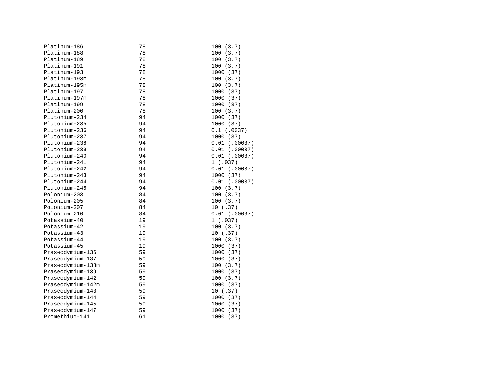| Platinum-186      | 78 | 100(3.7)        |
|-------------------|----|-----------------|
| Platinum-188      | 78 | 100(3.7)        |
| Platinum-189      | 78 | 100(3.7)        |
| Platinum-191      | 78 | 100(3.7)        |
| Platinum-193      | 78 | 1000 (37)       |
| Platinum-193m     | 78 | 100(3.7)        |
| Platinum-195m     | 78 | 100(3.7)        |
| Platinum-197      | 78 | 1000 (37)       |
| Platinum-197m     | 78 | 1000 (37)       |
| Platinum-199      | 78 | 1000 (37)       |
| Platinum-200      | 78 | 100(3.7)        |
| Plutonium-234     | 94 | 1000 (37)       |
| Plutonium-235     | 94 | 1000 (37)       |
| Plutonium-236     | 94 | $0.1$ (.0037)   |
| Plutonium-237     | 94 | 1000 (37)       |
| Plutonium-238     | 94 | $0.01$ (.00037) |
| Plutonium-239     | 94 | $0.01$ (.00037) |
| Plutonium-240     | 94 | $0.01$ (.00037) |
| Plutonium-241     | 94 | 1(.037)         |
| Plutonium-242     | 94 | $0.01$ (.00037) |
| Plutonium-243     | 94 | 1000 (37)       |
| Plutonium-244     | 94 | $0.01$ (.00037) |
| Plutonium-245     | 94 | 100(3.7)        |
| Polonium-203      | 84 | 100(3.7)        |
| Polonium-205      | 84 | 100(3.7)        |
| Polonium-207      | 84 | 10(.37)         |
| Polonium-210      | 84 | $0.01$ (.00037) |
| Potassium-40      | 19 | 1(.037)         |
| Potassium-42      | 19 | 100(3.7)        |
| Potassium-43      | 19 | 10(.37)         |
| Potassium-44      | 19 | 100(3.7)        |
| Potassium-45      | 19 | 1000 (37)       |
| Praseodymium-136  | 59 | 1000 (37)       |
| Praseodymium-137  | 59 | 1000 (37)       |
| Praseodymium-138m | 59 | 100(3.7)        |
| Praseodymium-139  | 59 | 1000 (37)       |
| Praseodymium-142  | 59 | 100(3.7)        |
| Praseodymium-142m | 59 | 1000 (37)       |
| Praseodymium-143  | 59 | 10(.37)         |
| Praseodymium-144  | 59 | 1000 (37)       |
| Praseodymium-145  | 59 | 1000 (37)       |
| Praseodymium-147  | 59 | 1000 (37)       |
| Promethium-141    | 61 | 1000<br>(37)    |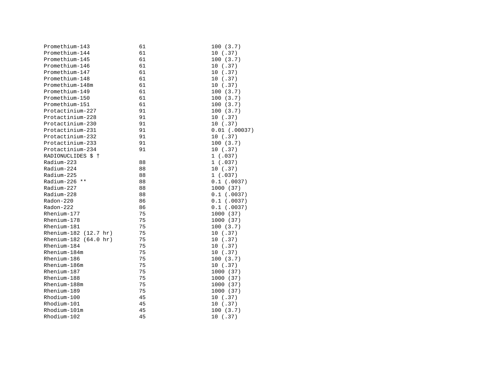| Promethium-143                  | 61 | 100(3.7)        |
|---------------------------------|----|-----------------|
| Promethium-144                  | 61 | 10(.37)         |
| Promethium-145                  | 61 | 100(3.7)        |
| Promethium-146                  | 61 | 10(.37)         |
| Promethium-147                  | 61 | 10(.37)         |
| Promethium-148                  | 61 | 10(.37)         |
| Promethium-148m                 | 61 | 10(.37)         |
| Promethium-149                  | 61 | 100(3.7)        |
| Promethium-150                  | 61 | 100(3.7)        |
| Promethium-151                  | 61 | 100(3.7)        |
| Protactinium-227                | 91 | 100(3.7)        |
| Protactinium-228                | 91 | 10(.37)         |
| Protactinium-230                | 91 | 10(.37)         |
| Protactinium-231                | 91 | $0.01$ (.00037) |
| Protactinium-232                | 91 | 10 (.37)        |
| Protactinium-233                | 91 | 100(3.7)        |
| Protactinium-234                | 91 | 10(.37)         |
| RADIONUCLIDES \$ 1              |    | 1(.037)         |
| Radium-223                      | 88 | 1(.037)         |
| Radium-224                      | 88 | 10(.37)         |
| Radium-225                      | 88 | 1(.037)         |
| Radium-226 **                   | 88 | $0.1$ (.0037)   |
| Radium-227                      | 88 | 1000 (37)       |
| Radium-228                      | 88 | $0.1$ (.0037)   |
| Radon-220                       | 86 | $0.1$ (.0037)   |
| Radon-222                       | 86 | $0.1$ (.0037)   |
| Rhenium-177                     | 75 | 1000 (37)       |
| Rhenium-178                     | 75 | 1000 (37)       |
| Rhenium-181                     | 75 | 100(3.7)        |
| Rhenium-182 $(12.7 \text{ hr})$ | 75 | 10(.37)         |
| Rhenium-182 (64.0 hr)           | 75 | 10(.37)         |
| Rhenium-184                     | 75 | 10(.37)         |
| Rhenium-184m                    | 75 | 10(.37)         |
| Rhenium-186                     | 75 | 100(3.7)        |
| Rhenium-186m                    | 75 | 10(.37)         |
| Rhenium-187                     | 75 | 1000 (37)       |
| Rhenium-188                     | 75 | 1000 (37)       |
| Rhenium-188m                    | 75 | 1000 (37)       |
| Rhenium-189                     | 75 | 1000 (37)       |
| Rhodium-100                     | 45 | 10(.37)         |
| Rhodium-101                     | 45 | 10(.37)         |
| Rhodium-101m                    | 45 | 100(3.7)        |
| Rhodium-102                     | 45 | 10(.37)         |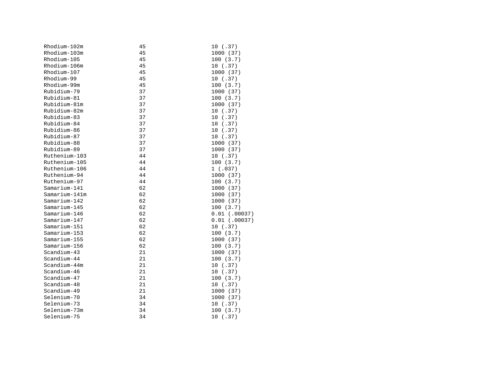| Rhodium-102m  | 45 | 10 (.37)        |
|---------------|----|-----------------|
| Rhodium-103m  | 45 | 1000 (37)       |
| Rhodium-105   | 45 | 100(3.7)        |
| Rhodium-106m  | 45 | 10(.37)         |
| Rhodium-107   | 45 | 1000 (37)       |
| Rhodium-99    | 45 | 10(.37)         |
| Rhodium-99m   | 45 | 100(3.7)        |
| Rubidium-79   | 37 | 1000 (37)       |
| Rubidium-81   | 37 | 100(3.7)        |
| Rubidium-81m  | 37 | 1000 (37)       |
| Rubidium-82m  | 37 | 10(.37)         |
| Rubidium-83   | 37 | 10(.37)         |
| Rubidium-84   | 37 | 10(.37)         |
| Rubidium-86   | 37 | 10 (.37)        |
| Rubidium-87   | 37 | 10(.37)         |
| Rubidium-88   | 37 | 1000 (37)       |
| Rubidium-89   | 37 | 1000 (37)       |
| Ruthenium-103 | 44 | 10(.37)         |
| Ruthenium-105 | 44 | 100(3.7)        |
| Ruthenium-106 | 44 | 1(.037)         |
| Ruthenium-94  | 44 | 1000 (37)       |
| Ruthenium-97  | 44 | 100(3.7)        |
| Samarium-141  | 62 | 1000 (37)       |
| Samarium-141m | 62 | 1000 (37)       |
| Samarium-142  | 62 | 1000 (37)       |
| Samarium-145  | 62 | 100(3.7)        |
| Samarium-146  | 62 | $0.01$ (.00037) |
| Samarium-147  | 62 | $0.01$ (.00037) |
| Samarium-151  | 62 | 10(.37)         |
| Samarium-153  | 62 | 100(3.7)        |
| Samarium-155  | 62 | 1000 (37)       |
| Samarium-156  | 62 | 100(3.7)        |
| $Scandium-43$ | 21 | 1000 (37)       |
| Scandium-44   | 21 | 100(3.7)        |
| Scandium-44m  | 21 | 10(.37)         |
| Scandium-46   | 21 | 10(.37)         |
| Scandium-47   | 21 | 100(3.7)        |
| Scandium-48   | 21 | 10(.37)         |
| Scandium-49   | 21 | 1000 (37)       |
| Selenium-70   | 34 | 1000 (37)       |
| Selenium-73   | 34 | 10(.37)         |
| Selenium-73m  | 34 | 100(3.7)        |
| Selenium-75   | 34 | 10(.37)         |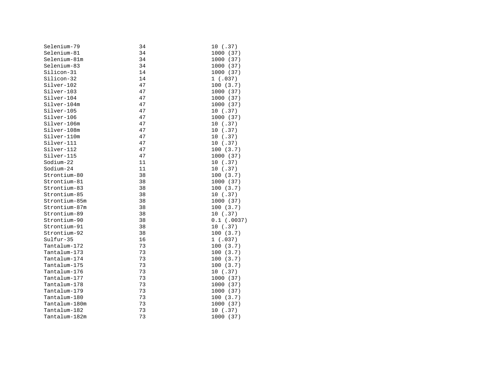| Selenium-79   | 34 | 10(.37)       |
|---------------|----|---------------|
| Selenium-81   | 34 | 1000 (37)     |
| Selenium-81m  | 34 | 1000 (37)     |
| Selenium-83   | 34 | 1000 (37)     |
| Silicon-31    | 14 | 1000 (37)     |
| Silicon-32    | 14 | 1(.037)       |
| Silver-102    | 47 | 100(3.7)      |
| Silver-103    | 47 | 1000 (37)     |
| Silver-104    | 47 | 1000 (37)     |
| Silver-104m   | 47 | 1000 (37)     |
| Silver-105    | 47 | 10(.37)       |
| Silver-106    | 47 | 1000 (37)     |
| Silver-106m   | 47 | 10(.37)       |
| Silver-108m   | 47 | 10(.37)       |
| Silver-110m   | 47 | 10(.37)       |
| Silver-111    | 47 | 10(.37)       |
| Silver-112    | 47 | 100(3.7)      |
| Silver-115    | 47 | 1000 (37)     |
| Sodium-22     | 11 | 10(.37)       |
| Sodium-24     | 11 | 10(.37)       |
| Strontium-80  | 38 | 100(3.7)      |
| Strontium-81  | 38 | 1000 (37)     |
| Strontium-83  | 38 | 100(3.7)      |
| Strontium-85  | 38 | 10(.37)       |
| Strontium-85m | 38 | 1000 (37)     |
| Strontium-87m | 38 | 100(3.7)      |
| Strontium-89  | 38 | 10(.37)       |
| Strontium-90  | 38 | $0.1$ (.0037) |
| Strontium-91  | 38 | 10(.37)       |
| Strontium-92  | 38 | 100(3.7)      |
| Sulfur-35     | 16 | 1(.037)       |
| Tantalum-172  | 73 | 100(3.7)      |
| Tantalum-173  | 73 | 100(3.7)      |
| Tantalum-174  | 73 | 100(3.7)      |
| Tantalum-175  | 73 | 100(3.7)      |
| Tantalum-176  | 73 | 10(.37)       |
| Tantalum-177  | 73 | 1000 (37)     |
| Tantalum-178  | 73 | 1000 (37)     |
| Tantalum-179  | 73 | 1000 (37)     |
| Tantalum-180  | 73 | 100(3.7)      |
| Tantalum-180m | 73 | 1000 (37)     |
| Tantalum-182  | 73 | 10(.37)       |
| Tantalum-182m | 73 | 1000 (37)     |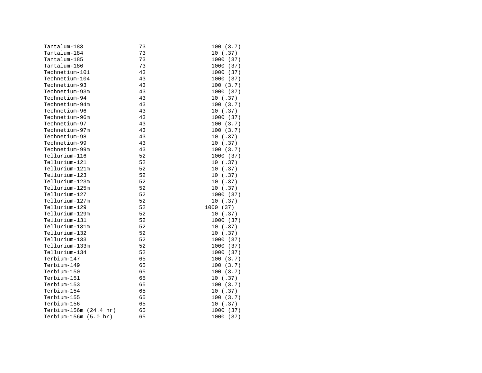| Tantalum-183           | 73 | 100(3.7)  |
|------------------------|----|-----------|
| Tantalum-184           | 73 | 10(.37)   |
| Tantalum-185           | 73 | 1000 (37) |
| Tantalum-186           | 73 | 1000 (37) |
| Technetium-101         | 43 | 1000 (37) |
| Technetium-104         | 43 | 1000 (37) |
| Technetium-93          | 43 | 100(3.7)  |
| Technetium-93m         | 43 | 1000 (37) |
| Technetium-94          | 43 | 10(.37)   |
| Technetium-94m         | 43 | 100(3.7)  |
| Technetium-96          | 43 | 10(.37)   |
| Technetium-96m         | 43 | 1000 (37) |
| Technetium-97          | 43 | 100(3.7)  |
| Technetium-97m         | 43 | 100(3.7)  |
| Technetium-98          | 43 | 10(.37)   |
| Technetium-99          | 43 | 10(.37)   |
| Technetium-99m         | 43 | 100(3.7)  |
| Tellurium-116          | 52 | 1000 (37) |
| Tellurium-121          | 52 | 10(.37)   |
| Tellurium-121m         | 52 | 10(.37)   |
| Tellurium-123          | 52 | 10(.37)   |
| Tellurium-123m         | 52 | 10(.37)   |
| Tellurium-125m         | 52 | 10(.37)   |
| Tellurium-127          | 52 | 1000 (37) |
| Tellurium-127m         | 52 | 10(.37)   |
| Tellurium-129          | 52 | 1000 (37) |
| Tellurium-129m         | 52 | 10(.37)   |
| Tellurium-131          | 52 | 1000 (37) |
| Tellurium-131m         | 52 | 10(.37)   |
| Tellurium-132          | 52 | 10(.37)   |
| Tellurium-133          | 52 | 1000 (37) |
| Tellurium-133m         | 52 | 1000 (37) |
| Tellurium-134          | 52 | 1000 (37) |
| Terbium-147            | 65 | 100(3.7)  |
| Terbium-149            | 65 | 100(3.7)  |
| Terbium-150            | 65 | 100(3.7)  |
| Terbium-151            | 65 | 10(.37)   |
| Terbium-153            | 65 | 100(3.7)  |
| Terbium-154            | 65 | 10(.37)   |
| Terbium-155            | 65 | 100(3.7)  |
| Terbium-156            | 65 | 10(.37)   |
| Terbium-156m (24.4 hr) | 65 | 1000 (37) |
| Terbium-156m (5.0 hr)  | 65 | 1000 (37) |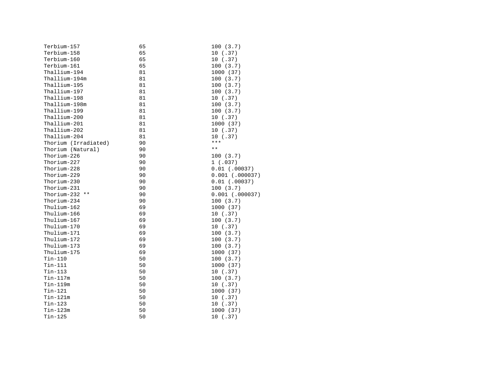| Terbium-157          | 65 | 100(3.7)          |
|----------------------|----|-------------------|
| Terbium-158          | 65 | 10(.37)           |
| Terbium-160          | 65 | 10(.37)           |
| Terbium-161          | 65 | 100(3.7)          |
| Thallium-194         | 81 | 1000 (37)         |
| Thallium-194m        | 81 | 100(3.7)          |
| Thallium-195         | 81 | 100(3.7)          |
| Thallium-197         | 81 | 100(3.7)          |
| Thallium-198         | 81 | 10(.37)           |
| Thallium-198m        | 81 | 100(3.7)          |
| Thallium-199         | 81 | 100(3.7)          |
| Thallium-200         | 81 | 10(.37)           |
| Thallium-201         | 81 | 1000 (37)         |
| Thallium-202         | 81 | 10(.37)           |
| Thallium-204         | 81 | 10(.37)           |
| Thorium (Irradiated) | 90 | ***               |
| Thorium (Natural)    | 90 | $\star\,\star$    |
| Thorium-226          | 90 | 100(3.7)          |
| Thorium-227          | 90 | 1(.037)           |
| Thorium-228          | 90 | $0.01$ (.00037)   |
| Thorium-229          | 90 | $0.001$ (.000037) |
| Thorium-230          | 90 | $0.01$ (.00037)   |
| Thorium-231          | 90 | 100(3.7)          |
| Thorium-232 **       | 90 | $0.001$ (.000037) |
| Thorium-234          | 90 | 100(3.7)          |
| Thulium-162          | 69 | 1000 (37)         |
| Thulium-166          | 69 | 10(.37)           |
| Thulium-167          | 69 | 100(3.7)          |
| Thulium-170          | 69 | 10(.37)           |
| Thulium-171          | 69 | 100(3.7)          |
| Thulium-172          | 69 | 100(3.7)          |
| Thulium-173          | 69 | 100(3.7)          |
| Thulium-175          | 69 | 1000 (37)         |
| Tin-110              | 50 | 100(3.7)          |
| $Tin-111$            | 50 | 1000 (37)         |
| Tin-113              | 50 | 10(.37)           |
| Tin-117m             | 50 | 100(3.7)          |
| Tin-119m             | 50 | 10 (.37)          |
| $Tin-121$            | 50 | 1000 (37)         |
| Tin-121m             | 50 | 10(.37)           |
| Tin-123              | 50 | 10(.37)           |
| $Tin-123m$           | 50 | 1000 (37)         |
| Tin-125              | 50 | 10(.37)           |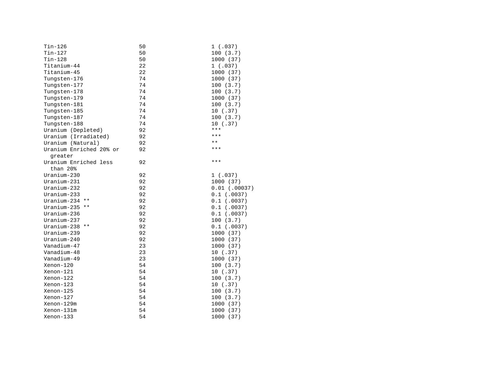| Tin-126                 | 50 | 1(.037)         |
|-------------------------|----|-----------------|
| Tin-127                 | 50 | 100(3.7)        |
| $Tin-128$               | 50 | 1000 (37)       |
| Titanium-44             | 22 | 1(.037)         |
| Titanium-45             | 22 | 1000 (37)       |
| Tungsten-176            | 74 | 1000 (37)       |
| Tungsten-177            | 74 | 100(3.7)        |
| Tungsten-178            | 74 | 100(3.7)        |
| Tungsten-179            | 74 | 1000 (37)       |
| Tungsten-181            | 74 | 100(3.7)        |
| Tungsten-185            | 74 | 10(.37)         |
| Tungsten-187            | 74 | 100(3.7)        |
| Tungsten-188            | 74 | 10(.37)         |
| Uranium (Depleted)      | 92 | ***             |
| Uranium (Irradiated)    | 92 | ***             |
| Uranium (Natural)       | 92 | $***$           |
| Uranium Enriched 20% or | 92 | $***$           |
| qreater                 |    |                 |
| Uranium Enriched less   | 92 | $***$           |
| than 20%                |    |                 |
| $Uranium-230$           | 92 | 1(.037)         |
| Uranium-231             | 92 | 1000 (37)       |
| $Uranium-232$           | 92 | $0.01$ (.00037) |
| Uranium-233             | 92 | $0.1$ (.0037)   |
| Uranium-234<br>$***$    | 92 | $0.1$ (.0037)   |
| Uranium-235 **          | 92 | $0.1$ (.0037)   |
| Uranium-236             | 92 | $0.1$ (.0037)   |
| $Uranium-237$           | 92 | 100(3.7)        |
| Uranium-238 **          | 92 | $0.1$ (.0037)   |
| $Uranium-239$           | 92 | 1000 (37)       |
| Uranium-240             | 92 | 1000 (37)       |
| Vanadium-47             | 23 | 1000 (37)       |
| Vanadium-48             | 23 | 10(.37)         |
| Vanadium-49             | 23 | 1000 (37)       |
| Xenon-120               | 54 | 100(3.7)        |
| Xenon-121               | 54 | 10(.37)         |
| Xenon-122               | 54 | 100(3.7)        |
| Xenon-123               | 54 | 10(.37)         |
| Xenon-125               | 54 | 100(3.7)        |
| Xenon-127               | 54 | 100(3.7)        |
| Xenon-129m              | 54 | 1000 (37)       |
| Xenon-131m              | 54 | 1000 (37)       |
| Xenon-133               | 54 | 1000 (37)       |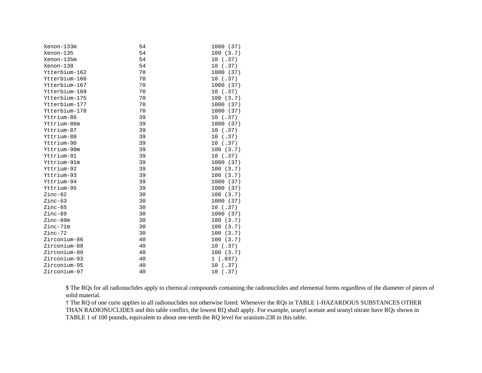| Xenon-133m    | 54 | 1000 (37) |
|---------------|----|-----------|
| Xenon-135     | 54 | 100(3.7)  |
| Xenon-135m    | 54 | 10(.37)   |
| Xenon-138     | 54 | 10(.37)   |
| Ytterbium-162 | 70 | 1000 (37) |
| Ytterbium-166 | 70 | 10(.37)   |
| Ytterbium-167 | 70 | 1000 (37) |
| Ytterbium-169 | 70 | 10(.37)   |
| Ytterbium-175 | 70 | 100(3.7)  |
| Ytterbium-177 | 70 | 1000 (37) |
| Ytterbium-178 | 70 | 1000 (37) |
| Yttrium-86    | 39 | 10(.37)   |
| Yttrium-86m   | 39 | 1000 (37) |
| Yttrium-87    | 39 | 10(.37)   |
| Yttrium-88    | 39 | 10(.37)   |
| Yttrium-90    | 39 | 10(.37)   |
| Yttrium-90m   | 39 | 100(3.7)  |
| Yttrium-91    | 39 | 10(.37)   |
| Yttrium-91m   | 39 | 1000 (37) |
| Yttrium-92    | 39 | 100(3.7)  |
| Yttrium-93    | 39 | 100(3.7)  |
| Yttrium-94    | 39 | 1000 (37) |
| Yttrium-95    | 39 | 1000 (37) |
| $Zinc-62$     | 30 | 100(3.7)  |
| $Zinc-63$     | 30 | 1000 (37) |
| $Zinc-65$     | 30 | 10(.37)   |
| $Zinc-69$     | 30 | 1000 (37) |
| Zinc-69m      | 30 | 100(3.7)  |
| Zinc-71m      | 30 | 100(3.7)  |
| Zinc-72       | 30 | 100(3.7)  |
| Zirconium-86  | 40 | 100(3.7)  |
| Zirconium-88  | 40 | 10(.37)   |
| Zirconium-89  | 40 | 100(3.7)  |
| Zirconium-93  | 40 | 1(.037)   |
| Zirconium-95  | 40 | 10(.37)   |
| Zirconium-97  | 40 | 10(.37)   |

\$ The RQs for all radionuclides apply to chemical compounds containing the radionuclides and elemental forms regardless of the diameter of pieces of solid material.

† The RQ of one curie applies to all radionuclides not otherwise listed. Whenever the RQs in TABLE 1-HAZARDOUS SUBSTANCES OTHER THAN RADIONUCLIDES and this table conflict, the lowest RQ shall apply. For example, uranyl acetate and uranyl nitrate have RQs shown in TABLE 1 of 100 pounds, equivalent to about one-tenth the RQ level for uranium-238 in this table.